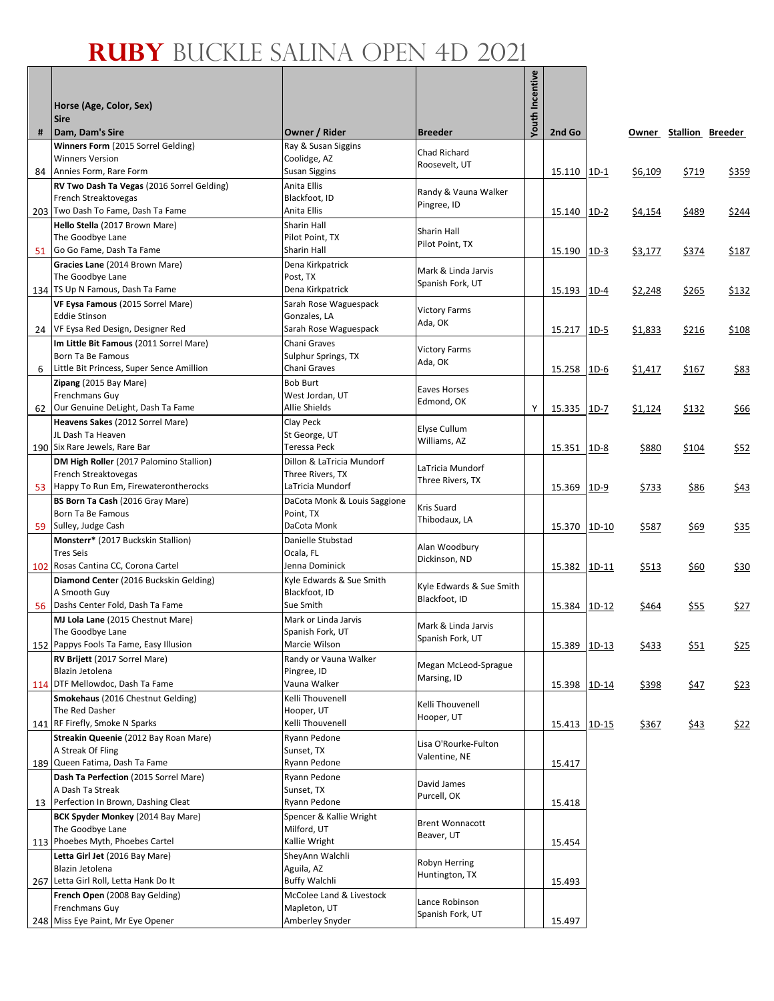Г

|    |                                                                         |                                               |                                         | Youth Incentive |        |         |                |                        |       |
|----|-------------------------------------------------------------------------|-----------------------------------------------|-----------------------------------------|-----------------|--------|---------|----------------|------------------------|-------|
|    | Horse (Age, Color, Sex)                                                 |                                               |                                         |                 |        |         |                |                        |       |
| #  | <b>Sire</b><br>Dam, Dam's Sire                                          | Owner / Rider                                 | <b>Breeder</b>                          |                 | 2nd Go |         |                | Owner Stallion Breeder |       |
|    | Winners Form (2015 Sorrel Gelding)                                      | Ray & Susan Siggins                           | Chad Richard                            |                 |        |         |                |                        |       |
|    | <b>Winners Version</b>                                                  | Coolidge, AZ                                  | Roosevelt, UT                           |                 |        |         |                |                        |       |
| 84 | Annies Form, Rare Form                                                  | Susan Siggins<br>Anita Ellis                  |                                         |                 | 15.110 | $1D-1$  | \$6,109        | \$719                  | \$359 |
|    | RV Two Dash Ta Vegas (2016 Sorrel Gelding)<br>French Streaktovegas      | Blackfoot, ID                                 | Randy & Vauna Walker                    |                 |        |         |                |                        |       |
|    | 203 Two Dash To Fame, Dash Ta Fame                                      | Anita Ellis                                   | Pingree, ID                             |                 | 15.140 | $1D-2$  | \$4,154        | \$489                  | \$244 |
|    | Hello Stella (2017 Brown Mare)                                          | Sharin Hall                                   | Sharin Hall                             |                 |        |         |                |                        |       |
|    | The Goodbye Lane<br>Go Go Fame, Dash Ta Fame                            | Pilot Point, TX<br>Sharin Hall                | Pilot Point, TX                         |                 |        |         |                |                        |       |
| 51 | Gracies Lane (2014 Brown Mare)                                          | Dena Kirkpatrick                              |                                         |                 | 15.190 | $1D-3$  | <u>\$3,177</u> | \$374                  | \$187 |
|    | The Goodbye Lane                                                        | Post, TX                                      | Mark & Linda Jarvis                     |                 |        |         |                |                        |       |
|    | 134 TS Up N Famous, Dash Ta Fame                                        | Dena Kirkpatrick                              | Spanish Fork, UT                        |                 | 15.193 | $1D-4$  | \$2,248        | \$265                  | \$132 |
|    | VF Eysa Famous (2015 Sorrel Mare)                                       | Sarah Rose Waguespack                         | <b>Victory Farms</b>                    |                 |        |         |                |                        |       |
|    | <b>Eddie Stinson</b><br>24 VF Eysa Red Design, Designer Red             | Gonzales, LA<br>Sarah Rose Waguespack         | Ada, OK                                 |                 | 15.217 | $1D-5$  | \$1,833        | \$216                  | \$108 |
|    | Im Little Bit Famous (2011 Sorrel Mare)                                 | Chani Graves                                  |                                         |                 |        |         |                |                        |       |
|    | Born Ta Be Famous                                                       | Sulphur Springs, TX                           | <b>Victory Farms</b><br>Ada, OK         |                 |        |         |                |                        |       |
| 6  | Little Bit Princess, Super Sence Amillion                               | Chani Graves                                  |                                         |                 | 15.258 | $1D-6$  | \$1,417        | \$167                  | \$83  |
|    | Zipang (2015 Bay Mare)                                                  | <b>Bob Burt</b>                               | Eaves Horses                            |                 |        |         |                |                        |       |
| 62 | Frenchmans Guy<br>Our Genuine DeLight, Dash Ta Fame                     | West Jordan, UT<br>Allie Shields              | Edmond, OK                              | Y               | 15.335 | $1D-7$  | \$1,124        | \$132                  | \$66  |
|    | Heavens Sakes (2012 Sorrel Mare)                                        | Clay Peck                                     |                                         |                 |        |         |                |                        |       |
|    | JL Dash Ta Heaven                                                       | St George, UT                                 | Elyse Cullum<br>Williams, AZ            |                 |        |         |                |                        |       |
|    | 190 Six Rare Jewels, Rare Bar                                           | Teressa Peck                                  |                                         |                 | 15.351 | $1D-8$  | \$880          | \$104                  | \$52  |
|    | DM High Roller (2017 Palomino Stallion)<br>French Streaktovegas         | Dillon & LaTricia Mundorf<br>Three Rivers, TX | LaTricia Mundorf                        |                 |        |         |                |                        |       |
| 53 | Happy To Run Em, Firewaterontherocks                                    | LaTricia Mundorf                              | Three Rivers, TX                        |                 | 15.369 | $1D-9$  | \$733          | \$86                   | \$43  |
|    | BS Born Ta Cash (2016 Gray Mare)                                        | DaCota Monk & Louis Saggione                  | Kris Suard                              |                 |        |         |                |                        |       |
|    | Born Ta Be Famous                                                       | Point, TX                                     | Thibodaux, LA                           |                 |        |         |                |                        |       |
|    | 59 Sulley, Judge Cash<br>Monsterr* (2017 Buckskin Stallion)             | DaCota Monk<br>Danielle Stubstad              |                                         |                 | 15.370 | 1D-10   | \$587          | \$69                   | \$35  |
|    | <b>Tres Seis</b>                                                        | Ocala, FL                                     | Alan Woodbury                           |                 |        |         |                |                        |       |
|    | 102 Rosas Cantina CC, Corona Cartel                                     | Jenna Dominick                                | Dickinson, ND                           |                 | 15.382 | 1D-11   | \$513          | \$60                   | \$30  |
|    | Diamond Center (2016 Buckskin Gelding)                                  | Kyle Edwards & Sue Smith                      | Kyle Edwards & Sue Smith                |                 |        |         |                |                        |       |
|    | A Smooth Guy<br>Dashs Center Fold, Dash Ta Fame                         | Blackfoot, ID<br>Sue Smith                    | Blackfoot, ID                           |                 |        |         |                |                        |       |
| 56 | MJ Lola Lane (2015 Chestnut Mare)                                       | Mark or Linda Jarvis                          |                                         |                 | 15.384 | $1D-12$ | \$464          | <u>\$55</u>            | \$27  |
|    | The Goodbye Lane                                                        | Spanish Fork, UT                              | Mark & Linda Jarvis<br>Spanish Fork, UT |                 |        |         |                |                        |       |
|    | 152 Pappys Fools Ta Fame, Easy Illusion                                 | Marcie Wilson                                 |                                         |                 | 15.389 | $1D-13$ | \$433          | \$51                   | \$25  |
|    | RV Brijett (2017 Sorrel Mare)                                           | Randy or Vauna Walker                         | Megan McLeod-Sprague                    |                 |        |         |                |                        |       |
|    | Blazin Jetolena<br>114 DTF Mellowdoc, Dash Ta Fame                      | Pingree, ID<br>Vauna Walker                   | Marsing, ID                             |                 | 15.398 | 1D-14   | \$398          | \$47                   | \$23  |
|    | Smokehaus (2016 Chestnut Gelding)                                       | Kelli Thouvenell                              |                                         |                 |        |         |                |                        |       |
|    | The Red Dasher                                                          | Hooper, UT                                    | Kelli Thouvenell<br>Hooper, UT          |                 |        |         |                |                        |       |
|    | 141 RF Firefly, Smoke N Sparks                                          | Kelli Thouvenell                              |                                         |                 | 15.413 | $1D-15$ | <u>\$367</u>   | \$43                   | \$22  |
|    | Streakin Queenie (2012 Bay Roan Mare)<br>A Streak Of Fling              | Ryann Pedone<br>Sunset, TX                    | Lisa O'Rourke-Fulton                    |                 |        |         |                |                        |       |
|    | 189 Queen Fatima, Dash Ta Fame                                          | Ryann Pedone                                  | Valentine, NE                           |                 | 15.417 |         |                |                        |       |
|    | Dash Ta Perfection (2015 Sorrel Mare)                                   | Ryann Pedone                                  | David James                             |                 |        |         |                |                        |       |
|    | A Dash Ta Streak                                                        | Sunset, TX                                    | Purcell, OK                             |                 |        |         |                |                        |       |
| 13 | Perfection In Brown, Dashing Cleat<br>BCK Spyder Monkey (2014 Bay Mare) | Ryann Pedone<br>Spencer & Kallie Wright       |                                         |                 | 15.418 |         |                |                        |       |
|    | The Goodbye Lane                                                        | Milford, UT                                   | <b>Brent Wonnacott</b>                  |                 |        |         |                |                        |       |
|    | 113 Phoebes Myth, Phoebes Cartel                                        | Kallie Wright                                 | Beaver, UT                              |                 | 15.454 |         |                |                        |       |
|    | Letta Girl Jet (2016 Bay Mare)                                          | SheyAnn Walchli                               | Robyn Herring                           |                 |        |         |                |                        |       |
|    | Blazin Jetolena                                                         | Aguila, AZ<br><b>Buffy Walchli</b>            | Huntington, TX                          |                 |        |         |                |                        |       |
|    | 267 Letta Girl Roll, Letta Hank Do It<br>French Open (2008 Bay Gelding) | McColee Land & Livestock                      |                                         |                 | 15.493 |         |                |                        |       |
|    | Frenchmans Guy                                                          | Mapleton, UT                                  | Lance Robinson                          |                 |        |         |                |                        |       |
|    | 248 Miss Eye Paint, Mr Eye Opener                                       | Amberley Snyder                               | Spanish Fork, UT                        |                 | 15.497 |         |                |                        |       |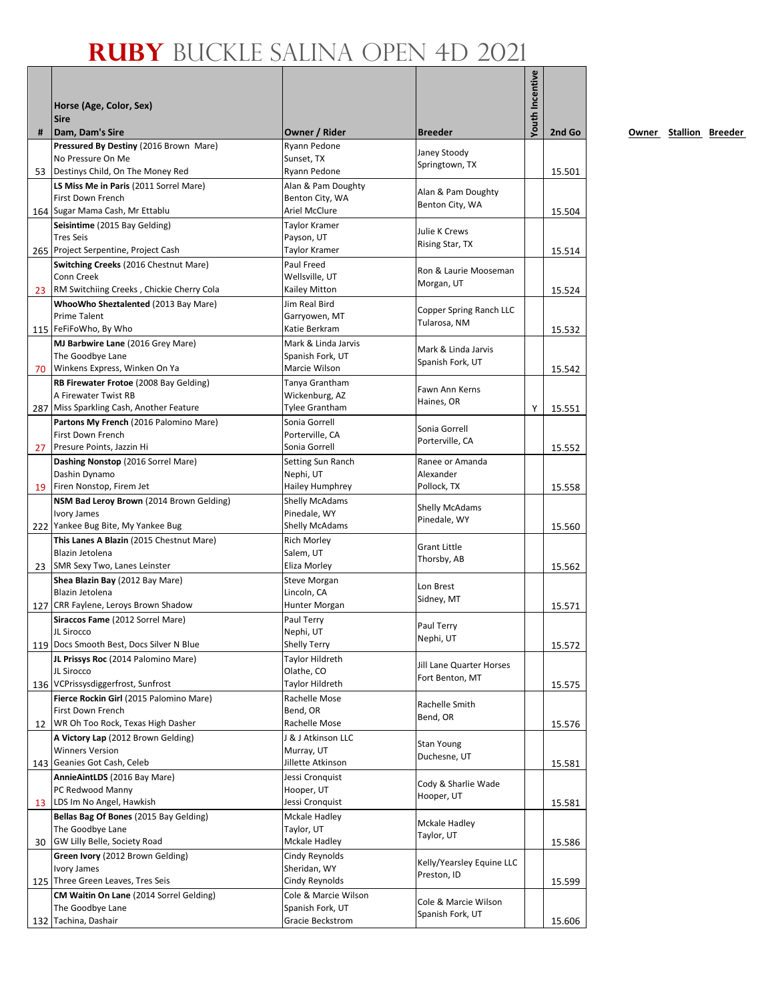|    | Horse (Age, Color, Sex)<br><b>Sire</b>                                |                                       |                                          | outh Incentive |        |
|----|-----------------------------------------------------------------------|---------------------------------------|------------------------------------------|----------------|--------|
| #  | Dam, Dam's Sire                                                       | Owner / Rider                         | <b>Breeder</b>                           |                | 2nd Go |
|    | Pressured By Destiny (2016 Brown Mare)                                | Ryann Pedone<br>Sunset, TX            | Janey Stoody                             |                |        |
|    | No Pressure On Me<br>53 Destinys Child, On The Money Red              | Ryann Pedone                          | Springtown, TX                           |                | 15.501 |
|    | LS Miss Me in Paris (2011 Sorrel Mare)                                | Alan & Pam Doughty                    |                                          |                |        |
|    | First Down French                                                     | Benton City, WA                       | Alan & Pam Doughty                       |                |        |
|    | 164 Sugar Mama Cash, Mr Ettablu                                       | Ariel McClure                         | Benton City, WA                          |                | 15.504 |
|    | Seisintime (2015 Bay Gelding)                                         | Taylor Kramer                         | Julie K Crews                            |                |        |
|    | <b>Tres Seis</b>                                                      | Payson, UT                            | Rising Star, TX                          |                |        |
|    | 265 Project Serpentine, Project Cash                                  | Taylor Kramer                         |                                          |                | 15.514 |
|    | Switching Creeks (2016 Chestnut Mare)<br>Conn Creek                   | Paul Freed<br>Wellsville, UT          | Ron & Laurie Mooseman                    |                |        |
|    | 23 RM Switchiing Creeks, Chickie Cherry Cola                          | Kailey Mitton                         | Morgan, UT                               |                | 15.524 |
|    | WhooWho Sheztalented (2013 Bay Mare)                                  | Jim Real Bird                         |                                          |                |        |
|    | <b>Prime Talent</b>                                                   | Garryowen, MT                         | Copper Spring Ranch LLC                  |                |        |
|    | 115 FeFiFoWho, By Who                                                 | Katie Berkram                         | Tularosa, NM                             |                | 15.532 |
|    | MJ Barbwire Lane (2016 Grey Mare)                                     | Mark & Linda Jarvis                   | Mark & Linda Jarvis                      |                |        |
|    | The Goodbye Lane                                                      | Spanish Fork, UT                      | Spanish Fork, UT                         |                |        |
|    | 70 Winkens Express, Winken On Ya                                      | Marcie Wilson                         |                                          |                | 15.542 |
|    | RB Firewater Frotoe (2008 Bay Gelding)<br>A Firewater Twist RB        | Tanya Grantham<br>Wickenburg, AZ      | Fawn Ann Kerns                           |                |        |
|    | 287 Miss Sparkling Cash, Another Feature                              | Tylee Grantham                        | Haines, OR                               | Υ              | 15.551 |
|    | Partons My French (2016 Palomino Mare)                                | Sonia Gorrell                         |                                          |                |        |
|    | First Down French                                                     | Porterville, CA                       | Sonia Gorrell                            |                |        |
| 27 | Presure Points, Jazzin Hi                                             | Sonia Gorrell                         | Porterville, CA                          |                | 15.552 |
|    | Dashing Nonstop (2016 Sorrel Mare)                                    | Setting Sun Ranch                     | Ranee or Amanda                          |                |        |
|    | Dashin Dynamo                                                         | Nephi, UT                             | Alexander                                |                |        |
|    | 19 Firen Nonstop, Firem Jet                                           | Hailey Humphrey                       | Pollock, TX                              |                | 15.558 |
|    | NSM Bad Leroy Brown (2014 Brown Gelding)<br><b>Ivory James</b>        | <b>Shelly McAdams</b><br>Pinedale, WY | Shelly McAdams                           |                |        |
|    | 222 Yankee Bug Bite, My Yankee Bug                                    | <b>Shelly McAdams</b>                 | Pinedale, WY                             |                | 15.560 |
|    | This Lanes A Blazin (2015 Chestnut Mare)                              | Rich Morley                           |                                          |                |        |
|    | Blazin Jetolena                                                       | Salem, UT                             | <b>Grant Little</b><br>Thorsby, AB       |                |        |
|    | 23 SMR Sexy Two, Lanes Leinster                                       | Eliza Morley                          |                                          |                | 15.562 |
|    | Shea Blazin Bay (2012 Bay Mare)                                       | Steve Morgan                          | Lon Brest                                |                |        |
|    | Blazin Jetolena<br>127 CRR Faylene, Leroys Brown Shadow               | Lincoln, CA<br>Hunter Morgan          | Sidney, MT                               |                |        |
|    | Siraccos Fame (2012 Sorrel Mare)                                      | Paul Terry                            |                                          |                | 15.571 |
|    | JL Sirocco                                                            | Nephi, UT                             | Paul Terry                               |                |        |
|    | 119 Docs Smooth Best, Docs Silver N Blue                              | <b>Shelly Terry</b>                   | Nephi, UT                                |                | 15.572 |
|    | JL Prissys Roc (2014 Palomino Mare)                                   | Taylor Hildreth                       | Jill Lane Quarter Horses                 |                |        |
|    | JL Sirocco                                                            | Olathe, CO                            | Fort Benton, MT                          |                |        |
|    | 136 VCPrissysdiggerfrost, Sunfrost                                    | Taylor Hildreth                       |                                          |                | 15.575 |
|    | Fierce Rockin Girl (2015 Palomino Mare)<br>First Down French          | Rachelle Mose<br>Bend, OR             | Rachelle Smith                           |                |        |
| 12 | WR Oh Too Rock, Texas High Dasher                                     | Rachelle Mose                         | Bend, OR                                 |                | 15.576 |
|    | A Victory Lap (2012 Brown Gelding)                                    | J & J Atkinson LLC                    |                                          |                |        |
|    | <b>Winners Version</b>                                                | Murray, UT                            | Stan Young<br>Duchesne, UT               |                |        |
|    | 143 Geanies Got Cash, Celeb                                           | Jillette Atkinson                     |                                          |                | 15.581 |
|    | AnnieAintLDS (2016 Bay Mare)                                          | Jessi Cronquist                       | Cody & Sharlie Wade                      |                |        |
|    | PC Redwood Manny                                                      | Hooper, UT                            | Hooper, UT                               |                |        |
|    | 13 LDS Im No Angel, Hawkish<br>Bellas Bag Of Bones (2015 Bay Gelding) | Jessi Cronquist<br>Mckale Hadley      |                                          |                | 15.581 |
|    | The Goodbye Lane                                                      | Taylor, UT                            | Mckale Hadley                            |                |        |
| 30 | GW Lilly Belle, Society Road                                          | Mckale Hadley                         | Taylor, UT                               |                | 15.586 |
|    | Green Ivory (2012 Brown Gelding)                                      | Cindy Reynolds                        |                                          |                |        |
|    | Ivory James                                                           | Sheridan, WY                          | Kelly/Yearsley Equine LLC<br>Preston, ID |                |        |
|    | 125 Three Green Leaves, Tres Seis                                     | Cindy Reynolds                        |                                          |                | 15.599 |
|    | CM Waitin On Lane (2014 Sorrel Gelding)                               | Cole & Marcie Wilson                  | Cole & Marcie Wilson                     |                |        |
|    | The Goodbye Lane<br>132 Tachina, Dashair                              | Spanish Fork, UT<br>Gracie Beckstrom  | Spanish Fork, UT                         |                | 15.606 |
|    |                                                                       |                                       |                                          |                |        |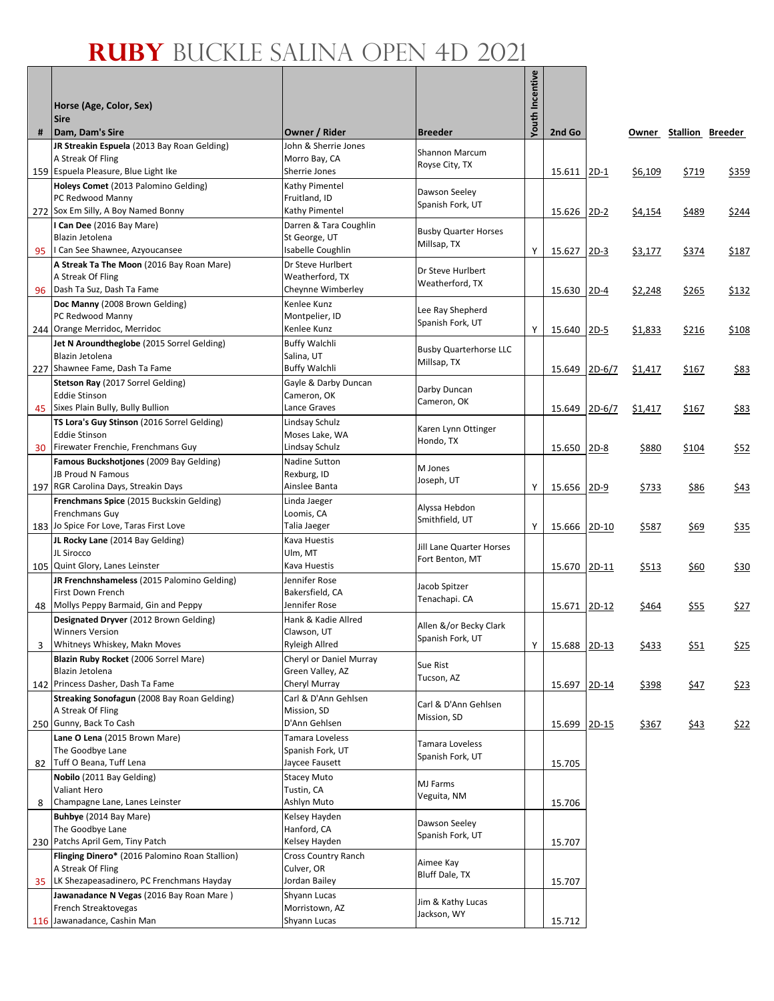Г

|    |                                                                              |                                     |                                              | Youth Incentive |        |          |              |                        |             |
|----|------------------------------------------------------------------------------|-------------------------------------|----------------------------------------------|-----------------|--------|----------|--------------|------------------------|-------------|
|    | Horse (Age, Color, Sex)<br><b>Sire</b>                                       |                                     |                                              |                 |        |          |              |                        |             |
| #  | Dam, Dam's Sire                                                              | Owner / Rider                       | <b>Breeder</b>                               |                 | 2nd Go |          |              | Owner Stallion Breeder |             |
|    | JR Streakin Espuela (2013 Bay Roan Gelding)                                  | John & Sherrie Jones                | <b>Shannon Marcum</b>                        |                 |        |          |              |                        |             |
|    | A Streak Of Fling                                                            | Morro Bay, CA                       | Royse City, TX                               |                 |        |          |              |                        |             |
|    | 159 Espuela Pleasure, Blue Light Ike<br>Holeys Comet (2013 Palomino Gelding) | Sherrie Jones<br>Kathy Pimentel     |                                              |                 | 15.611 | $2D-1$   | \$6,109      | \$719                  | \$359       |
|    | PC Redwood Manny                                                             | Fruitland, ID                       | Dawson Seeley                                |                 |        |          |              |                        |             |
|    | 272 Sox Em Silly, A Boy Named Bonny                                          | Kathy Pimentel                      | Spanish Fork, UT                             |                 | 15.626 | $2D-2$   | \$4,154      | \$489                  | \$244       |
|    | I Can Dee (2016 Bay Mare)                                                    | Darren & Tara Coughlin              | <b>Busby Quarter Horses</b>                  |                 |        |          |              |                        |             |
|    | Blazin Jetolena<br>I Can See Shawnee, Azyoucansee                            | St George, UT<br>Isabelle Coughlin  | Millsap, TX                                  | Υ               |        |          |              |                        |             |
| 95 | A Streak Ta The Moon (2016 Bay Roan Mare)                                    | Dr Steve Hurlbert                   |                                              |                 | 15.627 | $2D-3$   | \$3,177      | \$374                  | \$187       |
|    | A Streak Of Fling                                                            | Weatherford, TX                     | Dr Steve Hurlbert<br>Weatherford, TX         |                 |        |          |              |                        |             |
|    | 96 Dash Ta Suz, Dash Ta Fame                                                 | Cheynne Wimberley                   |                                              |                 | 15.630 | $2D-4$   | \$2,248      | \$265                  | \$132       |
|    | Doc Manny (2008 Brown Gelding)                                               | Kenlee Kunz                         | Lee Ray Shepherd                             |                 |        |          |              |                        |             |
|    | PC Redwood Manny<br>244 Orange Merridoc, Merridoc                            | Montpelier, ID<br>Kenlee Kunz       | Spanish Fork, UT                             | Y               | 15.640 | $2D-5$   | \$1,833      | \$216                  | \$108       |
|    | Jet N Aroundtheglobe (2015 Sorrel Gelding)                                   | <b>Buffy Walchli</b>                |                                              |                 |        |          |              |                        |             |
|    | Blazin Jetolena                                                              | Salina, UT                          | <b>Busby Quarterhorse LLC</b><br>Millsap, TX |                 |        |          |              |                        |             |
|    | 227 Shawnee Fame, Dash Ta Fame                                               | <b>Buffy Walchli</b>                |                                              |                 | 15.649 | $2D-6/7$ | \$1,417      | \$167                  | \$83        |
|    | Stetson Ray (2017 Sorrel Gelding)                                            | Gayle & Darby Duncan                | Darby Duncan                                 |                 |        |          |              |                        |             |
| 45 | <b>Eddie Stinson</b><br>Sixes Plain Bully, Bully Bullion                     | Cameron, OK<br>Lance Graves         | Cameron, OK                                  |                 | 15.649 | $2D-6/7$ | \$1,417      | \$167                  | <u>\$83</u> |
|    | TS Lora's Guy Stinson (2016 Sorrel Gelding)                                  | Lindsay Schulz                      |                                              |                 |        |          |              |                        |             |
|    | <b>Eddie Stinson</b>                                                         | Moses Lake, WA                      | Karen Lynn Ottinger                          |                 |        |          |              |                        |             |
| 30 | Firewater Frenchie, Frenchmans Guy                                           | Lindsay Schulz                      | Hondo, TX                                    |                 | 15.650 | $2D-8$   | \$880        | \$104                  | \$52        |
|    | Famous Buckshotjones (2009 Bay Gelding)                                      | Nadine Sutton                       | M Jones                                      |                 |        |          |              |                        |             |
|    | <b>JB Proud N Famous</b><br>197 RGR Carolina Days, Streakin Days             | Rexburg, ID<br>Ainslee Banta        | Joseph, UT                                   | Υ               | 15.656 | $2D-9$   |              | \$86                   |             |
|    | Frenchmans Spice (2015 Buckskin Gelding)                                     | Linda Jaeger                        |                                              |                 |        |          | <u>\$733</u> |                        | \$43        |
|    | Frenchmans Guy                                                               | Loomis, CA                          | Alyssa Hebdon                                |                 |        |          |              |                        |             |
|    | 183 Jo Spice For Love, Taras First Love                                      | Talia Jaeger                        | Smithfield, UT                               | Y               | 15.666 | $2D-10$  | \$587        | \$69                   | \$35        |
|    | JL Rocky Lane (2014 Bay Gelding)                                             | Kava Huestis                        | Jill Lane Quarter Horses                     |                 |        |          |              |                        |             |
|    | JL Sirocco<br>105 Quint Glory, Lanes Leinster                                | Ulm, MT<br>Kava Huestis             | Fort Benton, MT                              |                 | 15.670 | 2D-11    | \$513        | \$60                   | \$30        |
|    | JR Frenchnshameless (2015 Palomino Gelding)                                  | Jennifer Rose                       |                                              |                 |        |          |              |                        |             |
|    | First Down French                                                            | Bakersfield, CA                     | Jacob Spitzer<br>Tenachapi. CA               |                 |        |          |              |                        |             |
| 48 | Mollys Peppy Barmaid, Gin and Peppy                                          | Jennifer Rose                       |                                              |                 | 15.671 | $2D-12$  | \$464        | <u>\$55</u>            | \$27        |
|    | Designated Dryver (2012 Brown Gelding)<br><b>Winners Version</b>             | Hank & Kadie Allred                 | Allen &/or Becky Clark                       |                 |        |          |              |                        |             |
| 3  | Whitneys Whiskey, Makn Moves                                                 | Clawson, UT<br>Ryleigh Allred       | Spanish Fork, UT                             | Υ               | 15.688 | $2D-13$  | \$433        | \$51                   | \$25        |
|    | Blazin Ruby Rocket (2006 Sorrel Mare)                                        | Cheryl or Daniel Murray             |                                              |                 |        |          |              |                        |             |
|    | Blazin Jetolena                                                              | Green Valley, AZ                    | Sue Rist<br>Tucson, AZ                       |                 |        |          |              |                        |             |
|    | 142 Princess Dasher, Dash Ta Fame                                            | Cheryl Murray                       |                                              |                 | 15.697 | 2D-14    | \$398        | <u>\$47</u>            | \$23        |
|    | <b>Streaking Sonofagun</b> (2008 Bay Roan Gelding)<br>A Streak Of Fling      | Carl & D'Ann Gehlsen<br>Mission, SD | Carl & D'Ann Gehlsen                         |                 |        |          |              |                        |             |
|    | 250 Gunny, Back To Cash                                                      | D'Ann Gehlsen                       | Mission, SD                                  |                 | 15.699 | $2D-15$  | \$367        | \$43                   | \$22        |
|    | Lane O Lena (2015 Brown Mare)                                                | Tamara Loveless                     |                                              |                 |        |          |              |                        |             |
|    | The Goodbye Lane                                                             | Spanish Fork, UT                    | Tamara Loveless<br>Spanish Fork, UT          |                 |        |          |              |                        |             |
| 82 | Tuff O Beana, Tuff Lena                                                      | Jaycee Fausett                      |                                              |                 | 15.705 |          |              |                        |             |
|    | Nobilo (2011 Bay Gelding)<br>Valiant Hero                                    | <b>Stacey Muto</b><br>Tustin, CA    | MJ Farms                                     |                 |        |          |              |                        |             |
| 8  | Champagne Lane, Lanes Leinster                                               | Ashlyn Muto                         | Veguita, NM                                  |                 | 15.706 |          |              |                        |             |
|    | Buhbye (2014 Bay Mare)                                                       | Kelsey Hayden                       | Dawson Seeley                                |                 |        |          |              |                        |             |
|    | The Goodbye Lane                                                             | Hanford, CA                         | Spanish Fork, UT                             |                 |        |          |              |                        |             |
|    | 230 Patchs April Gem, Tiny Patch                                             | Kelsey Hayden                       |                                              |                 | 15.707 |          |              |                        |             |
|    | Flinging Dinero* (2016 Palomino Roan Stallion)<br>A Streak Of Fling          | Cross Country Ranch<br>Culver, OR   | Aimee Kay                                    |                 |        |          |              |                        |             |
| 35 | LK Shezapeasadinero, PC Frenchmans Hayday                                    | Jordan Bailey                       | Bluff Dale, TX                               |                 | 15.707 |          |              |                        |             |
|    | Jawanadance N Vegas (2016 Bay Roan Mare)                                     | Shyann Lucas                        | Jim & Kathy Lucas                            |                 |        |          |              |                        |             |
|    | French Streaktovegas                                                         | Morristown, AZ                      | Jackson, WY                                  |                 |        |          |              |                        |             |
|    | 116 Jawanadance, Cashin Man                                                  | Shyann Lucas                        |                                              |                 | 15.712 |          |              |                        |             |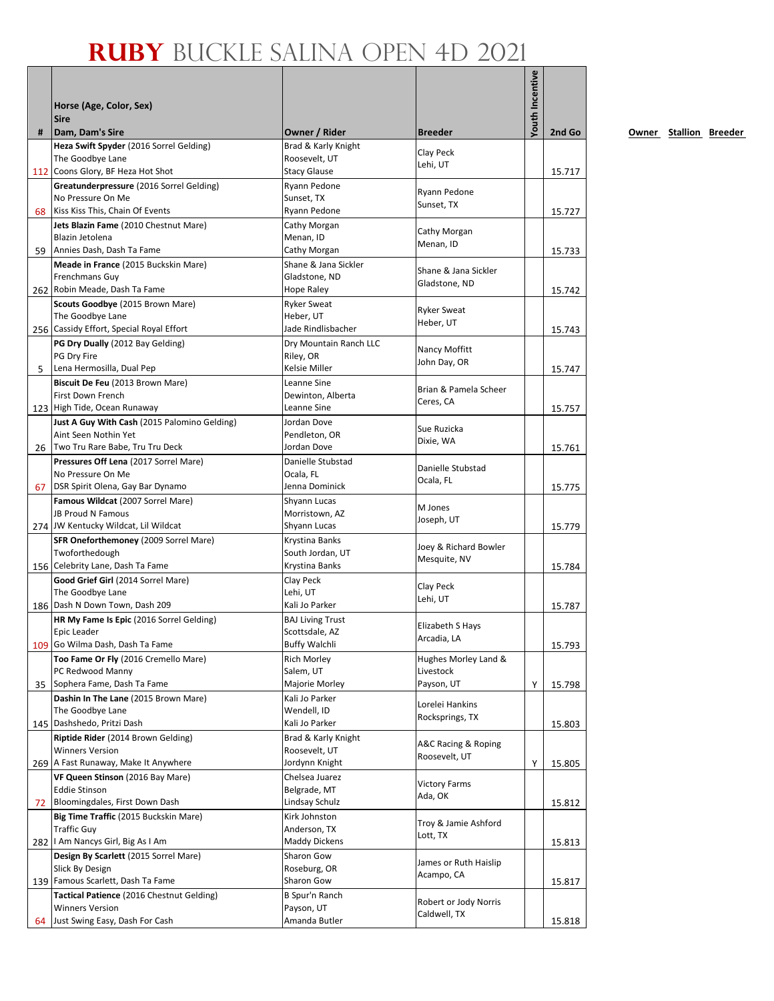|    | Horse (Age, Color, Sex)<br><b>Sire</b>                               |                                      |                                       | <b>/outh Incentive</b> |        |
|----|----------------------------------------------------------------------|--------------------------------------|---------------------------------------|------------------------|--------|
| #  | Dam, Dam's Sire                                                      | Owner / Rider                        | <b>Breeder</b>                        |                        | 2nd Go |
|    | Heza Swift Spyder (2016 Sorrel Gelding)                              | Brad & Karly Knight                  | Clay Peck                             |                        |        |
|    | The Goodbye Lane                                                     | Roosevelt, UT                        | Lehi, UT                              |                        |        |
|    | 112 Coons Glory, BF Heza Hot Shot                                    | <b>Stacy Glause</b>                  |                                       |                        | 15.717 |
|    | Greatunderpressure (2016 Sorrel Gelding)<br>No Pressure On Me        | Ryann Pedone<br>Sunset, TX           | Ryann Pedone                          |                        |        |
| 68 | Kiss Kiss This, Chain Of Events                                      | Ryann Pedone                         | Sunset, TX                            |                        | 15.727 |
|    | Jets Blazin Fame (2010 Chestnut Mare)                                | Cathy Morgan                         | Cathy Morgan                          |                        |        |
|    | Blazin Jetolena                                                      | Menan, ID                            | Menan, ID                             |                        |        |
| 59 | Annies Dash, Dash Ta Fame                                            | Cathy Morgan<br>Shane & Jana Sickler |                                       |                        | 15.733 |
|    | Meade in France (2015 Buckskin Mare)<br>Frenchmans Guy               | Gladstone, ND                        | Shane & Jana Sickler                  |                        |        |
|    | 262 Robin Meade, Dash Ta Fame                                        | Hope Raley                           | Gladstone, ND                         |                        | 15.742 |
|    | Scouts Goodbye (2015 Brown Mare)                                     | <b>Ryker Sweat</b>                   | <b>Ryker Sweat</b>                    |                        |        |
|    | The Goodbye Lane                                                     | Heber, UT                            | Heber, UT                             |                        |        |
|    | 256 Cassidy Effort, Special Royal Effort                             | Jade Rindlisbacher                   |                                       |                        | 15.743 |
|    | PG Dry Dually (2012 Bay Gelding)<br>PG Dry Fire                      | Dry Mountain Ranch LLC<br>Riley, OR  | Nancy Moffitt                         |                        |        |
| 5  | Lena Hermosilla, Dual Pep                                            | Kelsie Miller                        | John Day, OR                          |                        | 15.747 |
|    | Biscuit De Feu (2013 Brown Mare)                                     | Leanne Sine                          |                                       |                        |        |
|    | First Down French                                                    | Dewinton, Alberta                    | Brian & Pamela Scheer<br>Ceres, CA    |                        |        |
|    | 123 High Tide, Ocean Runaway                                         | Leanne Sine                          |                                       |                        | 15.757 |
|    | Just A Guy With Cash (2015 Palomino Gelding)<br>Aint Seen Nothin Yet | Jordan Dove<br>Pendleton, OR         | Sue Ruzicka                           |                        |        |
|    | 26 Two Tru Rare Babe, Tru Tru Deck                                   | Jordan Dove                          | Dixie, WA                             |                        | 15.761 |
|    | Pressures Off Lena (2017 Sorrel Mare)                                | Danielle Stubstad                    |                                       |                        |        |
|    | No Pressure On Me                                                    | Ocala, FL                            | Danielle Stubstad<br>Ocala, FL        |                        |        |
| 67 | DSR Spirit Olena, Gay Bar Dynamo                                     | Jenna Dominick                       |                                       |                        | 15.775 |
|    | Famous Wildcat (2007 Sorrel Mare)                                    | Shyann Lucas                         | M Jones                               |                        |        |
|    | JB Proud N Famous<br>274 JW Kentucky Wildcat, Lil Wildcat            | Morristown, AZ<br>Shyann Lucas       | Joseph, UT                            |                        | 15.779 |
|    | SFR Oneforthemoney (2009 Sorrel Mare)                                | Krystina Banks                       |                                       |                        |        |
|    | Twoforthedough                                                       | South Jordan, UT                     | Joey & Richard Bowler<br>Mesquite, NV |                        |        |
|    | 156 Celebrity Lane, Dash Ta Fame                                     | Krystina Banks                       |                                       |                        | 15.784 |
|    | Good Grief Girl (2014 Sorrel Mare)                                   | Clay Peck                            | Clay Peck                             |                        |        |
|    | The Goodbye Lane<br>186 Dash N Down Town, Dash 209                   | Lehi, UT<br>Kali Jo Parker           | Lehi, UT                              |                        | 15.787 |
|    | HR My Fame Is Epic (2016 Sorrel Gelding)                             | <b>BAJ Living Trust</b>              |                                       |                        |        |
|    | Epic Leader                                                          | Scottsdale, AZ                       | Elizabeth S Hays                      |                        |        |
|    | 109 Go Wilma Dash, Dash Ta Fame                                      | Buffy Walchli                        | Arcadia, LA                           |                        | 15.793 |
|    | Too Fame Or Fly (2016 Cremello Mare)                                 | <b>Rich Morlev</b>                   | Hughes Morley Land &                  |                        |        |
| 35 | PC Redwood Manny<br>Sophera Fame, Dash Ta Fame                       | Salem, UT<br>Majorie Morley          | Livestock<br>Payson, UT               | Υ                      | 15.798 |
|    | Dashin In The Lane (2015 Brown Mare)                                 | Kali Jo Parker                       |                                       |                        |        |
|    | The Goodbye Lane                                                     | Wendell, ID                          | Lorelei Hankins                       |                        |        |
|    | 145 Dashshedo, Pritzi Dash                                           | Kali Jo Parker                       | Rocksprings, TX                       |                        | 15.803 |
|    | Riptide Rider (2014 Brown Gelding)                                   | Brad & Karly Knight                  | A&C Racing & Roping                   |                        |        |
|    | <b>Winners Version</b><br>269 A Fast Runaway, Make It Anywhere       | Roosevelt, UT<br>Jordynn Knight      | Roosevelt, UT                         | Υ                      | 15.805 |
|    | VF Queen Stinson (2016 Bay Mare)                                     | Chelsea Juarez                       |                                       |                        |        |
|    | <b>Eddie Stinson</b>                                                 | Belgrade, MT                         | <b>Victory Farms</b>                  |                        |        |
| 72 | Bloomingdales, First Down Dash                                       | Lindsay Schulz                       | Ada, OK                               |                        | 15.812 |
|    | Big Time Traffic (2015 Buckskin Mare)                                | Kirk Johnston                        | Troy & Jamie Ashford                  |                        |        |
|    | <b>Traffic Guy</b><br>282   Am Nancys Girl, Big As I Am              | Anderson, TX<br>Maddy Dickens        | Lott, TX                              |                        |        |
|    | Design By Scarlett (2015 Sorrel Mare)                                | Sharon Gow                           |                                       |                        | 15.813 |
|    | Slick By Design                                                      | Roseburg, OR                         | James or Ruth Haislip                 |                        |        |
|    | 139 Famous Scarlett, Dash Ta Fame                                    | Sharon Gow                           | Acampo, CA                            |                        | 15.817 |
|    | Tactical Patience (2016 Chestnut Gelding)                            | B Spur'n Ranch                       | Robert or Jody Norris                 |                        |        |
|    | <b>Winners Version</b>                                               | Payson, UT                           | Caldwell, TX                          |                        |        |
| 64 | Just Swing Easy, Dash For Cash                                       | Amanda Butler                        |                                       |                        | 15.818 |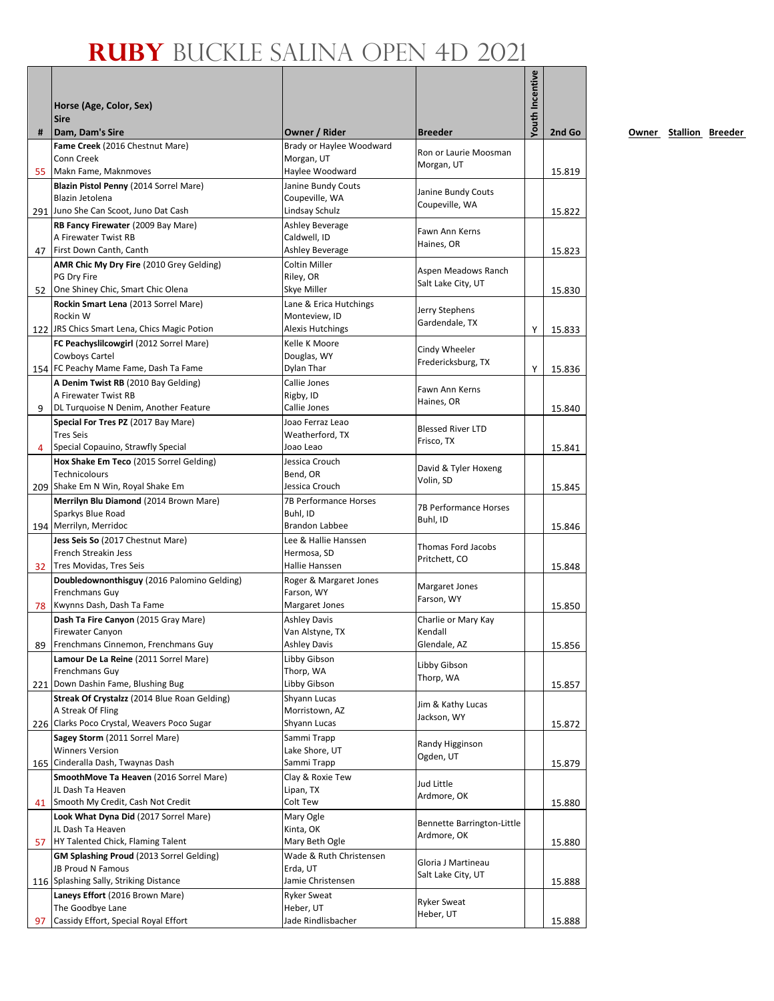|    | Horse (Age, Color, Sex)<br><b>Sire</b>                                        |                                        |                                  | outh Incentive |        |
|----|-------------------------------------------------------------------------------|----------------------------------------|----------------------------------|----------------|--------|
| #  | Dam, Dam's Sire                                                               | Owner / Rider                          | <b>Breeder</b>                   |                | 2nd Go |
|    | Fame Creek (2016 Chestnut Mare)                                               | Brady or Haylee Woodward               | Ron or Laurie Moosman            |                |        |
|    | Conn Creek                                                                    | Morgan, UT                             | Morgan, UT                       |                |        |
| 55 | Makn Fame, Maknmoves<br>Blazin Pistol Penny (2014 Sorrel Mare)                | Haylee Woodward<br>Janine Bundy Couts  |                                  |                | 15.819 |
|    | Blazin Jetolena                                                               | Coupeville, WA                         | Janine Bundy Couts               |                |        |
|    | 291 Juno She Can Scoot, Juno Dat Cash                                         | Lindsay Schulz                         | Coupeville, WA                   |                | 15.822 |
|    | RB Fancy Firewater (2009 Bay Mare)                                            | Ashley Beverage                        | Fawn Ann Kerns                   |                |        |
|    | A Firewater Twist RB                                                          | Caldwell, ID                           | Haines, OR                       |                |        |
|    | 47 First Down Canth, Canth                                                    | Ashley Beverage<br>Coltin Miller       |                                  |                | 15.823 |
|    | AMR Chic My Dry Fire (2010 Grey Gelding)<br>PG Dry Fire                       | Riley, OR                              | Aspen Meadows Ranch              |                |        |
|    | 52 One Shiney Chic, Smart Chic Olena                                          | Skye Miller                            | Salt Lake City, UT               |                | 15.830 |
|    | Rockin Smart Lena (2013 Sorrel Mare)                                          | Lane & Erica Hutchings                 |                                  |                |        |
|    | Rockin W                                                                      | Monteview, ID                          | Jerry Stephens<br>Gardendale, TX |                |        |
|    | 122 JRS Chics Smart Lena, Chics Magic Potion                                  | Alexis Hutchings                       |                                  | Y              | 15.833 |
|    | FC Peachyslilcowgirl (2012 Sorrel Mare)                                       | Kelle K Moore                          | Cindy Wheeler                    |                |        |
|    | Cowboys Cartel<br>154 FC Peachy Mame Fame, Dash Ta Fame                       | Douglas, WY<br>Dylan Thar              | Fredericksburg, TX               | Υ              | 15.836 |
|    | A Denim Twist RB (2010 Bay Gelding)                                           | Callie Jones                           |                                  |                |        |
|    | A Firewater Twist RB                                                          | Rigby, ID                              | Fawn Ann Kerns                   |                |        |
| 9  | DL Turquoise N Denim, Another Feature                                         | Callie Jones                           | Haines, OR                       |                | 15.840 |
|    | Special For Tres PZ (2017 Bay Mare)                                           | Joao Ferraz Leao                       | <b>Blessed River LTD</b>         |                |        |
|    | <b>Tres Seis</b>                                                              | Weatherford, TX                        | Frisco, TX                       |                |        |
| 4  | Special Copauino, Strawfly Special<br>Hox Shake Em Teco (2015 Sorrel Gelding) | Joao Leao<br>Jessica Crouch            |                                  |                | 15.841 |
|    | Technicolours                                                                 | Bend, OR                               | David & Tyler Hoxeng             |                |        |
|    | 209 Shake Em N Win, Royal Shake Em                                            | Jessica Crouch                         | Volin, SD                        |                | 15.845 |
|    | Merrilyn Blu Diamond (2014 Brown Mare)                                        | <b>7B Performance Horses</b>           | <b>7B Performance Horses</b>     |                |        |
|    | Sparkys Blue Road                                                             | Buhl, ID                               | Buhl, ID                         |                |        |
|    | 194 Merrilyn, Merridoc                                                        | Brandon Labbee                         |                                  |                | 15.846 |
|    | Jess Seis So (2017 Chestnut Mare)<br>French Streakin Jess                     | Lee & Hallie Hanssen                   | Thomas Ford Jacobs               |                |        |
|    | 32 Tres Movidas, Tres Seis                                                    | Hermosa, SD<br>Hallie Hanssen          | Pritchett, CO                    |                | 15.848 |
|    | Doubledownonthisguy (2016 Palomino Gelding)                                   | Roger & Margaret Jones                 |                                  |                |        |
|    | Frenchmans Guy                                                                | Farson, WY                             | Margaret Jones<br>Farson, WY     |                |        |
|    | 78 Kwynns Dash, Dash Ta Fame                                                  | Margaret Jones                         |                                  |                | 15.850 |
|    | Dash Ta Fire Canyon (2015 Gray Mare)                                          | <b>Ashley Davis</b>                    | Charlie or Mary Kay              |                |        |
|    | Firewater Canyon<br>Frenchmans Cinnemon, Frenchmans Guy                       | Van Alstyne, TX<br><b>Ashley Davis</b> | Kendall<br>Glendale, AZ          |                |        |
| 89 | Lamour De La Reine (2011 Sorrel Mare)                                         | Libby Gibson                           |                                  |                | 15.856 |
|    | Frenchmans Guy                                                                | Thorp, WA                              | Libby Gibson                     |                |        |
|    | 221 Down Dashin Fame, Blushing Bug                                            | Libby Gibson                           | Thorp, WA                        |                | 15.857 |
|    | Streak Of Crystalzz (2014 Blue Roan Gelding)                                  | Shyann Lucas                           | Jim & Kathy Lucas                |                |        |
|    | A Streak Of Fling                                                             | Morristown, AZ                         | Jackson, WY                      |                |        |
|    | 226 Clarks Poco Crystal, Weavers Poco Sugar                                   | Shyann Lucas                           |                                  |                | 15.872 |
|    | Sagey Storm (2011 Sorrel Mare)<br><b>Winners Version</b>                      | Sammi Trapp<br>Lake Shore, UT          | Randy Higginson                  |                |        |
|    | 165 Cinderalla Dash, Twaynas Dash                                             | Sammi Trapp                            | Ogden, UT                        |                | 15.879 |
|    | SmoothMove Ta Heaven (2016 Sorrel Mare)                                       | Clay & Roxie Tew                       |                                  |                |        |
|    | JL Dash Ta Heaven                                                             | Lipan, TX                              | Jud Little<br>Ardmore, OK        |                |        |
| 41 | Smooth My Credit, Cash Not Credit                                             | Colt Tew                               |                                  |                | 15.880 |
|    | Look What Dyna Did (2017 Sorrel Mare)                                         | Mary Ogle                              | Bennette Barrington-Little       |                |        |
| 57 | JL Dash Ta Heaven<br>HY Talented Chick, Flaming Talent                        | Kinta, OK<br>Mary Beth Ogle            | Ardmore, OK                      |                | 15.880 |
|    | GM Splashing Proud (2013 Sorrel Gelding)                                      | Wade & Ruth Christensen                |                                  |                |        |
|    | JB Proud N Famous                                                             | Erda, UT                               | Gloria J Martineau               |                |        |
|    | 116 Splashing Sally, Striking Distance                                        | Jamie Christensen                      | Salt Lake City, UT               |                | 15.888 |
|    | Laneys Effort (2016 Brown Mare)                                               | <b>Ryker Sweat</b>                     | <b>Ryker Sweat</b>               |                |        |
|    | The Goodbye Lane                                                              | Heber, UT                              | Heber, UT                        |                |        |
| 97 | Cassidy Effort, Special Royal Effort                                          | Jade Rindlisbacher                     |                                  |                | 15.888 |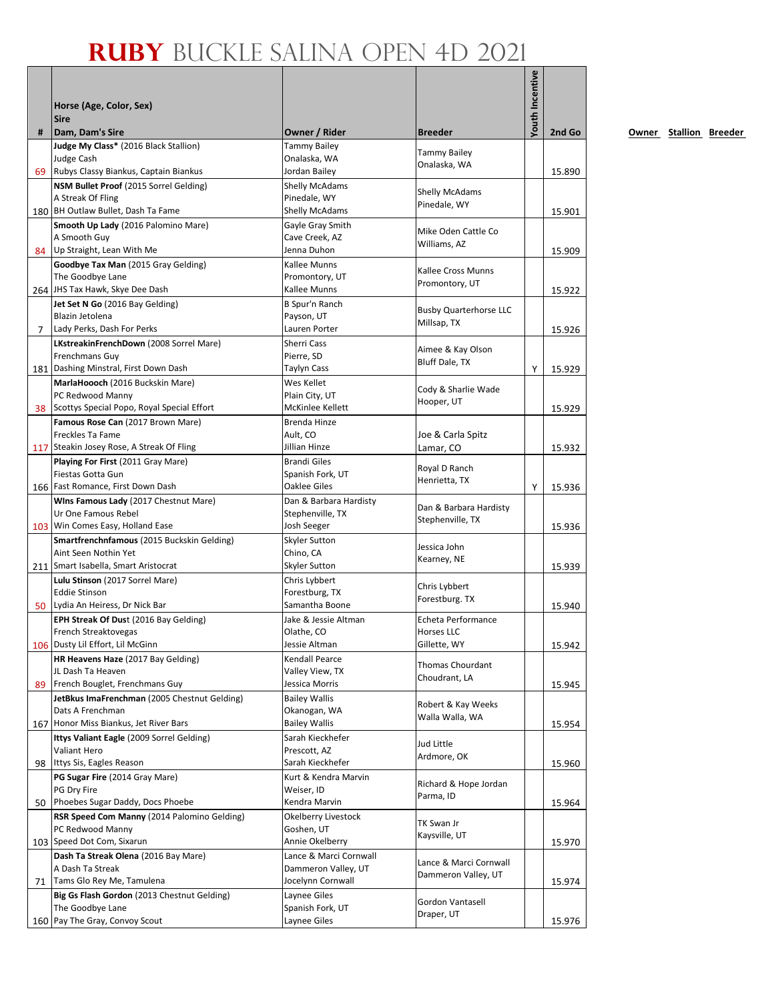|   | Horse (Age, Color, Sex)<br><b>Sire</b>                       |                                            |                                               | <b>/outh Incentive</b> |        |
|---|--------------------------------------------------------------|--------------------------------------------|-----------------------------------------------|------------------------|--------|
| # | Dam, Dam's Sire                                              | Owner / Rider                              | <b>Breeder</b>                                |                        | 2nd Go |
|   | Judge My Class* (2016 Black Stallion)                        | <b>Tammy Bailey</b>                        |                                               |                        |        |
|   | <b>Judge Cash</b>                                            | Onalaska, WA                               | <b>Tammy Bailey</b><br>Onalaska, WA           |                        |        |
|   | 69 Rubys Classy Biankus, Captain Biankus                     | Jordan Bailey                              |                                               |                        | 15.890 |
|   | NSM Bullet Proof (2015 Sorrel Gelding)                       | <b>Shelly McAdams</b>                      | <b>Shelly McAdams</b>                         |                        |        |
|   | A Streak Of Fling<br>180 BH Outlaw Bullet, Dash Ta Fame      | Pinedale, WY<br>Shelly McAdams             | Pinedale, WY                                  |                        | 15.901 |
|   | Smooth Up Lady (2016 Palomino Mare)                          | Gayle Gray Smith                           |                                               |                        |        |
|   | A Smooth Guy                                                 | Cave Creek, AZ                             | Mike Oden Cattle Co                           |                        |        |
|   | 84 Up Straight, Lean With Me                                 | Jenna Duhon                                | Williams, AZ                                  |                        | 15.909 |
|   | Goodbye Tax Man (2015 Gray Gelding)                          | Kallee Munns                               |                                               |                        |        |
|   | The Goodbye Lane                                             | Promontory, UT                             | Kallee Cross Munns<br>Promontory, UT          |                        |        |
|   | 264 JHS Tax Hawk, Skye Dee Dash                              | Kallee Munns                               |                                               |                        | 15.922 |
|   | Jet Set N Go (2016 Bay Gelding)                              | B Spur'n Ranch                             | <b>Busby Quarterhorse LLC</b>                 |                        |        |
|   | Blazin Jetolena                                              | Payson, UT                                 | Millsap, TX                                   |                        |        |
| 7 | Lady Perks, Dash For Perks                                   | Lauren Porter                              |                                               |                        | 15.926 |
|   | LKstreakinFrenchDown (2008 Sorrel Mare)                      | Sherri Cass                                | Aimee & Kay Olson                             |                        |        |
|   | Frenchmans Guy<br>181 Dashing Minstral, First Down Dash      | Pierre, SD<br>Taylyn Cass                  | Bluff Dale, TX                                | Υ                      | 15.929 |
|   | MarlaHoooch (2016 Buckskin Mare)                             | Wes Kellet                                 |                                               |                        |        |
|   | PC Redwood Manny                                             | Plain City, UT                             | Cody & Sharlie Wade                           |                        |        |
|   | 38 Scottys Special Popo, Royal Special Effort                | McKinlee Kellett                           | Hooper, UT                                    |                        | 15.929 |
|   | Famous Rose Can (2017 Brown Mare)                            | Brenda Hinze                               |                                               |                        |        |
|   | Freckles Ta Fame                                             | Ault, CO                                   | Joe & Carla Spitz                             |                        |        |
|   | 117 Steakin Josey Rose, A Streak Of Fling                    | Jillian Hinze                              | Lamar, CO                                     |                        | 15.932 |
|   | Playing For First (2011 Gray Mare)                           | <b>Brandi Giles</b>                        | Royal D Ranch                                 |                        |        |
|   | Fiestas Gotta Gun                                            | Spanish Fork, UT                           | Henrietta, TX                                 |                        |        |
|   | 166 Fast Romance, First Down Dash                            | <b>Oaklee Giles</b>                        |                                               | Y                      | 15.936 |
|   | Wins Famous Lady (2017 Chestnut Mare)<br>Ur One Famous Rebel | Dan & Barbara Hardisty<br>Stephenville, TX | Dan & Barbara Hardisty                        |                        |        |
|   | 103 Win Comes Easy, Holland Ease                             | Josh Seeger                                | Stephenville, TX                              |                        | 15.936 |
|   | Smartfrenchnfamous (2015 Buckskin Gelding)                   | Skyler Sutton                              |                                               |                        |        |
|   | Aint Seen Nothin Yet                                         | Chino, CA                                  | Jessica John                                  |                        |        |
|   | 211 Smart Isabella, Smart Aristocrat                         | Skyler Sutton                              | Kearney, NE                                   |                        | 15.939 |
|   | Lulu Stinson (2017 Sorrel Mare)                              | Chris Lybbert                              | Chris Lybbert                                 |                        |        |
|   | <b>Eddie Stinson</b>                                         | Forestburg, TX                             | Forestburg. TX                                |                        |        |
|   | 50 Lydia An Heiress, Dr Nick Bar                             | Samantha Boone                             |                                               |                        | 15.940 |
|   | EPH Streak Of Dust (2016 Bay Gelding)                        | Jake & Jessie Altman                       | Echeta Performance                            |                        |        |
|   | French Streaktovegas<br>106 Dusty Lil Effort, Lil McGinn     | Olathe, CO<br>Jessie Altman                | Horses LLC<br>Gillette, WY                    |                        |        |
|   | HR Heavens Haze (2017 Bay Gelding)                           | Kendall Pearce                             |                                               |                        | 15.942 |
|   | JL Dash Ta Heaven                                            | Valley View, TX                            | Thomas Chourdant                              |                        |        |
|   | 89 French Bouglet, Frenchmans Guy                            | Jessica Morris                             | Choudrant, LA                                 |                        | 15.945 |
|   | JetBkus ImaFrenchman (2005 Chestnut Gelding)                 | <b>Bailey Wallis</b>                       |                                               |                        |        |
|   | Dats A Frenchman                                             | Okanogan, WA                               | Robert & Kay Weeks<br>Walla Walla, WA         |                        |        |
|   | 167 Honor Miss Biankus, Jet River Bars                       | <b>Bailey Wallis</b>                       |                                               |                        | 15.954 |
|   | Ittys Valiant Eagle (2009 Sorrel Gelding)                    | Sarah Kieckhefer                           | Jud Little                                    |                        |        |
|   | Valiant Hero                                                 | Prescott, AZ                               | Ardmore, OK                                   |                        |        |
|   | 98 Ittys Sis, Eagles Reason                                  | Sarah Kieckhefer                           |                                               |                        | 15.960 |
|   | PG Sugar Fire (2014 Gray Mare)<br>PG Dry Fire                | Kurt & Kendra Marvin<br>Weiser, ID         | Richard & Hope Jordan                         |                        |        |
|   | 50 Phoebes Sugar Daddy, Docs Phoebe                          | Kendra Marvin                              | Parma, ID                                     |                        | 15.964 |
|   | RSR Speed Com Manny (2014 Palomino Gelding)                  | Okelberry Livestock                        |                                               |                        |        |
|   | PC Redwood Manny                                             | Goshen, UT                                 | TK Swan Jr                                    |                        |        |
|   | 103 Speed Dot Com, Sixarun                                   | Annie Okelberry                            | Kaysville, UT                                 |                        | 15.970 |
|   | Dash Ta Streak Olena (2016 Bay Mare)                         | Lance & Marci Cornwall                     |                                               |                        |        |
|   | A Dash Ta Streak                                             | Dammeron Valley, UT                        | Lance & Marci Cornwall<br>Dammeron Valley, UT |                        |        |
|   | 71 Tams Glo Rey Me, Tamulena                                 | Jocelynn Cornwall                          |                                               |                        | 15.974 |
|   | Big Gs Flash Gordon (2013 Chestnut Gelding)                  | Laynee Giles                               | Gordon Vantasell                              |                        |        |
|   | The Goodbye Lane                                             | Spanish Fork, UT                           | Draper, UT                                    |                        |        |
|   | 160 Pay The Gray, Convoy Scout                               | Laynee Giles                               |                                               |                        | 15.976 |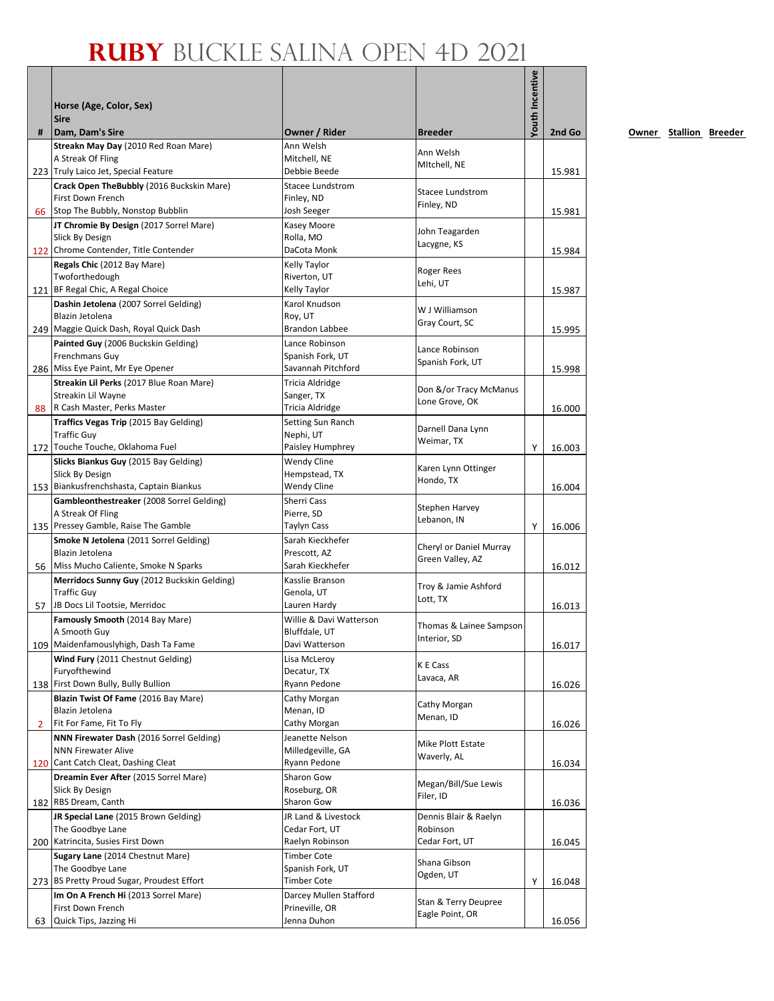|    |                                                                   |                                      |                                             | Youth Incentive |        |
|----|-------------------------------------------------------------------|--------------------------------------|---------------------------------------------|-----------------|--------|
|    | Horse (Age, Color, Sex)                                           |                                      |                                             |                 |        |
|    | <b>Sire</b>                                                       |                                      |                                             |                 |        |
| #  | Dam, Dam's Sire                                                   | Owner / Rider                        | <b>Breeder</b>                              |                 | 2nd Go |
|    | Streakn May Day (2010 Red Roan Mare)<br>A Streak Of Fling         | Ann Welsh<br>Mitchell. NE            | Ann Welsh                                   |                 |        |
|    | 223 Truly Laico Jet, Special Feature                              | Debbie Beede                         | MItchell, NE                                |                 | 15.981 |
|    | Crack Open TheBubbly (2016 Buckskin Mare)                         | <b>Stacee Lundstrom</b>              |                                             |                 |        |
|    | First Down French                                                 | Finley, ND                           | <b>Stacee Lundstrom</b><br>Finley, ND       |                 |        |
|    | 66 Stop The Bubbly, Nonstop Bubblin                               | Josh Seeger                          |                                             |                 | 15.981 |
|    | JT Chromie By Design (2017 Sorrel Mare)<br>Slick By Design        | Kasey Moore<br>Rolla, MO             | John Teagarden                              |                 |        |
|    | 122 Chrome Contender, Title Contender                             | DaCota Monk                          | Lacygne, KS                                 |                 | 15.984 |
|    | Regals Chic (2012 Bay Mare)                                       | Kelly Taylor                         |                                             |                 |        |
|    | Twoforthedough                                                    | Riverton, UT                         | <b>Roger Rees</b><br>Lehi, UT               |                 |        |
|    | 121 BF Regal Chic, A Regal Choice                                 | Kelly Taylor                         |                                             |                 | 15.987 |
|    | Dashin Jetolena (2007 Sorrel Gelding)                             | Karol Knudson                        | W J Williamson                              |                 |        |
|    | Blazin Jetolena<br>249 Maggie Quick Dash, Royal Quick Dash        | Roy, UT<br><b>Brandon Labbee</b>     | Gray Court, SC                              |                 | 15.995 |
|    | Painted Guy (2006 Buckskin Gelding)                               | Lance Robinson                       |                                             |                 |        |
|    | Frenchmans Guy                                                    | Spanish Fork, UT                     | Lance Robinson                              |                 |        |
|    | 286 Miss Eye Paint, Mr Eye Opener                                 | Savannah Pitchford                   | Spanish Fork, UT                            |                 | 15.998 |
|    | Streakin Lil Perks (2017 Blue Roan Mare)                          | Tricia Aldridge                      | Don &/or Tracy McManus                      |                 |        |
|    | Streakin Lil Wayne                                                | Sanger, TX                           | Lone Grove, OK                              |                 |        |
|    | 88 R Cash Master, Perks Master                                    | Tricia Aldridge<br>Setting Sun Ranch |                                             |                 | 16.000 |
|    | Traffics Vegas Trip (2015 Bay Gelding)<br><b>Traffic Guy</b>      | Nephi, UT                            | Darnell Dana Lynn                           |                 |        |
|    | 172 Touche Touche, Oklahoma Fuel                                  | Paisley Humphrey                     | Weimar, TX                                  | Y               | 16.003 |
|    | Slicks Biankus Guy (2015 Bay Gelding)                             | <b>Wendy Cline</b>                   | Karen Lynn Ottinger                         |                 |        |
|    | Slick By Design                                                   | Hempstead, TX                        | Hondo, TX                                   |                 |        |
|    | 153 Biankusfrenchshasta, Captain Biankus                          | Wendy Cline                          |                                             |                 | 16.004 |
|    | Gambleonthestreaker (2008 Sorrel Gelding)<br>A Streak Of Fling    | Sherri Cass<br>Pierre, SD            | Stephen Harvey                              |                 |        |
|    | 135 Pressey Gamble, Raise The Gamble                              | Taylyn Cass                          | Lebanon, IN                                 | Y               | 16.006 |
|    | Smoke N Jetolena (2011 Sorrel Gelding)                            | Sarah Kieckhefer                     |                                             |                 |        |
|    | Blazin Jetolena                                                   | Prescott, AZ                         | Cheryl or Daniel Murray<br>Green Valley, AZ |                 |        |
| 56 | Miss Mucho Caliente, Smoke N Sparks                               | Sarah Kieckhefer                     |                                             |                 | 16.012 |
|    | Merridocs Sunny Guy (2012 Buckskin Gelding)<br><b>Traffic Guy</b> | Kasslie Branson<br>Genola, UT        | Troy & Jamie Ashford                        |                 |        |
| 57 | JB Docs Lil Tootsie, Merridoc                                     | Lauren Hardy                         | Lott, TX                                    |                 | 16.013 |
|    | Famously Smooth (2014 Bay Mare)                                   | Willie & Davi Watterson              |                                             |                 |        |
|    | A Smooth Guy                                                      | Bluffdale, UT                        | Thomas & Lainee Sampson<br>Interior, SD     |                 |        |
|    | 109 Maidenfamouslyhigh, Dash Ta Fame                              | Davi Watterson                       |                                             |                 | 16.017 |
|    | Wind Fury (2011 Chestnut Gelding)<br>Furyofthewind                | Lisa McLeroy<br>Decatur, TX          | K E Cass                                    |                 |        |
|    | 138 First Down Bully, Bully Bullion                               | Ryann Pedone                         | Lavaca, AR                                  |                 | 16.026 |
|    | Blazin Twist Of Fame (2016 Bay Mare)                              | Cathy Morgan                         |                                             |                 |        |
|    | Blazin Jetolena                                                   | Menan, ID                            | Cathy Morgan<br>Menan, ID                   |                 |        |
| 2  | Fit For Fame, Fit To Fly                                          | Cathy Morgan                         |                                             |                 | 16.026 |
|    | NNN Firewater Dash (2016 Sorrel Gelding)                          | Jeanette Nelson                      | Mike Plott Estate                           |                 |        |
|    | <b>NNN Firewater Alive</b><br>120 Cant Catch Cleat, Dashing Cleat | Milledgeville, GA<br>Ryann Pedone    | Waverly, AL                                 |                 | 16.034 |
|    | Dreamin Ever After (2015 Sorrel Mare)                             | Sharon Gow                           |                                             |                 |        |
|    | Slick By Design                                                   | Roseburg, OR                         | Megan/Bill/Sue Lewis<br>Filer, ID           |                 |        |
|    | 182 RBS Dream, Canth                                              | Sharon Gow                           |                                             |                 | 16.036 |
|    | JR Special Lane (2015 Brown Gelding)                              | JR Land & Livestock                  | Dennis Blair & Raelyn                       |                 |        |
|    | The Goodbye Lane<br>200 Katrincita, Susies First Down             | Cedar Fort, UT<br>Raelyn Robinson    | Robinson                                    |                 |        |
|    | Sugary Lane (2014 Chestnut Mare)                                  | <b>Timber Cote</b>                   | Cedar Fort, UT                              |                 | 16.045 |
|    | The Goodbye Lane                                                  | Spanish Fork, UT                     | Shana Gibson                                |                 |        |
|    | 273 BS Pretty Proud Sugar, Proudest Effort                        | <b>Timber Cote</b>                   | Ogden, UT                                   |                 | 16.048 |
|    | Im On A French Hi (2013 Sorrel Mare)                              | Darcey Mullen Stafford               | Stan & Terry Deupree                        |                 |        |
|    | First Down French                                                 | Prineville, OR                       | Eagle Point, OR                             |                 |        |
| 63 | Quick Tips, Jazzing Hi                                            | Jenna Duhon                          |                                             |                 | 16.056 |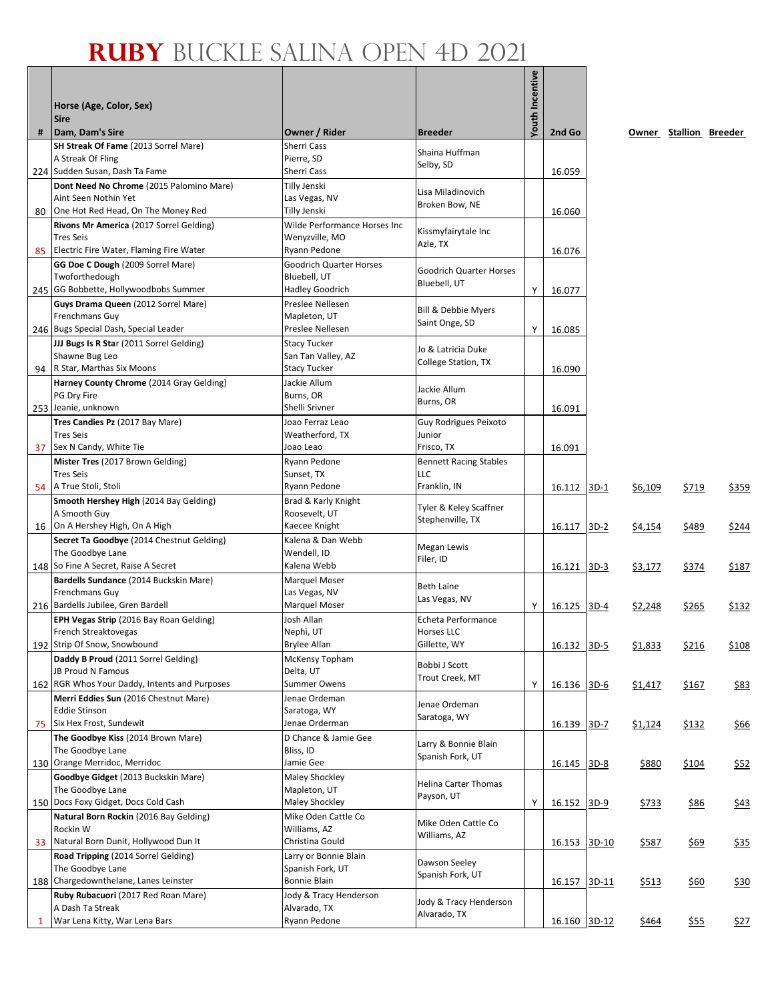|    | Horse (Age, Color, Sex)                                                                                        |                                                                   |                                                            | Youth Incentive |                  |         |              |                        |       |
|----|----------------------------------------------------------------------------------------------------------------|-------------------------------------------------------------------|------------------------------------------------------------|-----------------|------------------|---------|--------------|------------------------|-------|
| #  | <b>Sire</b><br>Dam, Dam's Sire                                                                                 | Owner / Rider                                                     | <b>Breeder</b>                                             |                 | 2nd Go           |         |              | Owner Stallion Breeder |       |
|    | SH Streak Of Fame (2013 Sorrel Mare)<br>A Streak Of Fling<br>224 Sudden Susan, Dash Ta Fame                    | Sherri Cass<br>Pierre, SD<br>Sherri Cass                          | Shaina Huffman<br>Selby, SD                                |                 |                  |         |              |                        |       |
| 80 | Dont Need No Chrome (2015 Palomino Mare)<br>Aint Seen Nothin Yet<br>One Hot Red Head, On The Money Red         | Tilly Jenski<br>Las Vegas, NV<br>Tilly Jenski                     | Lisa Miladinovich<br>Broken Bow, NE                        |                 | 16.059<br>16.060 |         |              |                        |       |
| 85 | Rivons Mr America (2017 Sorrel Gelding)<br><b>Tres Seis</b><br>Electric Fire Water, Flaming Fire Water         | Wilde Performance Horses Inc<br>Wenyzville, MO<br>Ryann Pedone    | Kissmyfairytale Inc<br>Azle, TX                            |                 | 16.076           |         |              |                        |       |
|    | GG Doe C Dough (2009 Sorrel Mare)<br>Twoforthedough<br>245 GG Bobbette, Hollywoodbobs Summer                   | <b>Goodrich Quarter Horses</b><br>Bluebell, UT<br>Hadley Goodrich | <b>Goodrich Quarter Horses</b><br>Bluebell, UT             | Y               | 16.077           |         |              |                        |       |
|    | Guys Drama Queen (2012 Sorrel Mare)<br>Frenchmans Guy<br>246 Bugs Special Dash, Special Leader                 | Preslee Nellesen<br>Mapleton, UT<br>Preslee Nellesen              | Bill & Debbie Myers<br>Saint Onge, SD                      | Y               | 16.085           |         |              |                        |       |
|    | JJJ Bugs Is R Star (2011 Sorrel Gelding)<br>Shawne Bug Leo<br>94 R Star, Marthas Six Moons                     | <b>Stacy Tucker</b><br>San Tan Valley, AZ<br><b>Stacy Tucker</b>  | Jo & Latricia Duke<br>College Station, TX                  |                 | 16.090           |         |              |                        |       |
|    | Harney County Chrome (2014 Gray Gelding)<br>PG Dry Fire<br>253 Jeanie, unknown                                 | Jackie Allum<br>Burns, OR<br>Shelli Srivner                       | Jackie Allum<br>Burns, OR                                  |                 | 16.091           |         |              |                        |       |
|    | Tres Candies Pz (2017 Bay Mare)<br><b>Tres Seis</b><br>37 Sex N Candy, White Tie                               | Joao Ferraz Leao<br>Weatherford, TX<br>Joao Leao                  | Guy Rodrigues Peixoto<br>Junior<br>Frisco, TX              |                 |                  |         |              |                        |       |
|    | Mister Tres (2017 Brown Gelding)<br><b>Tres Seis</b>                                                           | Ryann Pedone<br>Sunset, TX                                        | <b>Bennett Racing Stables</b><br>LLC                       |                 | 16.091           |         |              |                        |       |
|    | 54 A True Stoli, Stoli<br>Smooth Hershey High (2014 Bay Gelding)<br>A Smooth Guy                               | Ryann Pedone<br>Brad & Karly Knight<br>Roosevelt, UT              | Franklin, IN<br>Tyler & Keley Scaffner<br>Stephenville, TX |                 | 16.112           | $3D-1$  | \$6,109      | \$719                  | \$359 |
|    | 16 On A Hershey High, On A High<br>Secret Ta Goodbye (2014 Chestnut Gelding)<br>The Goodbye Lane               | Kaecee Knight<br>Kalena & Dan Webb<br>Wendell, ID                 | Megan Lewis<br>Filer, ID                                   |                 | 16.117           | $3D-2$  | \$4,154      | \$489                  | \$244 |
|    | 148 So Fine A Secret, Raise A Secret<br>Bardells Sundance (2014 Buckskin Mare)<br>Frenchmans Guy               | Kalena Webb<br>Marquel Moser<br>Las Vegas, NV                     | <b>Beth Laine</b><br>Las Vegas, NV                         |                 | 16.121           | $3D-3$  | \$3,177      | \$374                  | \$187 |
|    | 216 Bardells Jubilee, Gren Bardell<br>EPH Vegas Strip (2016 Bay Roan Gelding)<br>French Streaktovegas          | <b>Marquel Moser</b><br>Josh Allan<br>Nephi, UT                   | Echeta Performance<br><b>Horses LLC</b>                    | Y               | 16.125           | $3D-4$  | \$2,248      | \$265                  | \$132 |
|    | 192 Strip Of Snow, Snowbound<br>Daddy B Proud (2011 Sorrel Gelding)<br>JB Proud N Famous                       | Brylee Allan<br>McKensy Topham<br>Delta, UT                       | Gillette, WY<br>Bobbi J Scott<br>Trout Creek, MT           |                 | 16.132           | $3D-5$  | \$1,833      | \$216                  | \$108 |
|    | 162 RGR Whos Your Daddy, Intents and Purposes<br>Merri Eddies Sun (2016 Chestnut Mare)<br><b>Eddie Stinson</b> | <b>Summer Owens</b><br>Jenae Ordeman<br>Saratoga, WY              | Jenae Ordeman                                              | Υ               | 16.136           | $3D-6$  | \$1,417      | \$167                  | \$83  |
| 75 | Six Hex Frost, Sundewit<br>The Goodbye Kiss (2014 Brown Mare)<br>The Goodbye Lane                              | Jenae Orderman<br>D Chance & Jamie Gee<br>Bliss, ID               | Saratoga, WY<br>Larry & Bonnie Blain<br>Spanish Fork, UT   |                 | 16.139           | 3D-7    | \$1,124      | <u>\$132</u>           | \$66  |
|    | 130 Orange Merridoc, Merridoc<br>Goodbye Gidget (2013 Buckskin Mare)<br>The Goodbye Lane                       | Jamie Gee<br>Maley Shockley<br>Mapleton, UT                       | Helina Carter Thomas<br>Payson, UT                         |                 | 16.145           | $3D-8$  | <u>\$880</u> | \$104                  | \$52  |
|    | 150 Docs Foxy Gidget, Docs Cold Cash<br>Natural Born Rockin (2016 Bay Gelding)<br>Rockin W                     | Maley Shockley<br>Mike Oden Cattle Co<br>Williams, AZ             | Mike Oden Cattle Co                                        | Y               | 16.152           | $3D-9$  | \$733        | <u>\$86</u>            | \$43  |
| 33 | Natural Born Dunit, Hollywood Dun It<br>Road Tripping (2014 Sorrel Gelding)<br>The Goodbye Lane                | Christina Gould<br>Larry or Bonnie Blain<br>Spanish Fork, UT      | Williams, AZ<br>Dawson Seeley                              |                 | 16.153           | $3D-10$ | \$587        | \$69                   | \$35  |
|    | 188 Chargedownthelane, Lanes Leinster<br>Ruby Rubacuori (2017 Red Roan Mare)<br>A Dash Ta Streak               | Bonnie Blain<br>Jody & Tracy Henderson<br>Alvarado, TX            | Spanish Fork, UT<br>Jody & Tracy Henderson                 |                 | 16.157           | 3D-11   | \$513        | \$60                   | \$30  |
| 1  | War Lena Kitty, War Lena Bars                                                                                  | Ryann Pedone                                                      | Alvarado, TX                                               |                 | 16.160           | $3D-12$ | \$464        | <u>\$55</u>            | \$27  |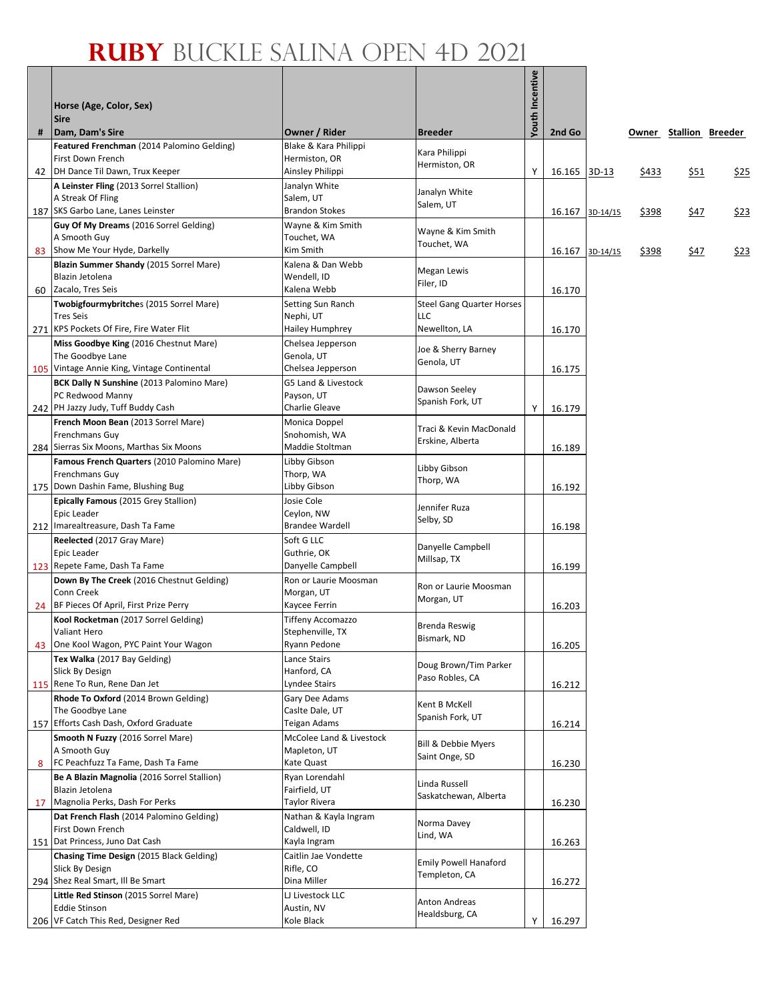|    | Horse (Age, Color, Sex)                                       |                                              |                                         | Youth Incentive |        |          |       |                        |             |
|----|---------------------------------------------------------------|----------------------------------------------|-----------------------------------------|-----------------|--------|----------|-------|------------------------|-------------|
|    | <b>Sire</b>                                                   |                                              |                                         |                 |        |          |       |                        |             |
| #  | Dam, Dam's Sire<br>Featured Frenchman (2014 Palomino Gelding) | Owner / Rider<br>Blake & Kara Philippi       | <b>Breeder</b>                          |                 | 2nd Go |          |       | Owner Stallion Breeder |             |
|    | First Down French                                             | Hermiston, OR                                | Kara Philippi                           |                 |        |          |       |                        |             |
|    | 42   DH Dance Til Dawn, Trux Keeper                           | Ainsley Philippi                             | Hermiston, OR                           | Υ               | 16.165 | $3D-13$  | \$433 | \$51                   | \$25        |
|    | A Leinster Fling (2013 Sorrel Stallion)                       | Janalyn White                                | Janalyn White                           |                 |        |          |       |                        |             |
|    | A Streak Of Fling                                             | Salem, UT                                    | Salem, UT                               |                 |        |          |       |                        |             |
|    | 187 SKS Garbo Lane, Lanes Leinster                            | Brandon Stokes                               |                                         |                 | 16.167 | 3D-14/15 | \$398 | \$47                   | <u>\$23</u> |
|    | Guy Of My Dreams (2016 Sorrel Gelding)<br>A Smooth Guy        | Wayne & Kim Smith<br>Touchet, WA             | Wayne & Kim Smith                       |                 |        |          |       |                        |             |
| 83 | Show Me Your Hyde, Darkelly                                   | Kim Smith                                    | Touchet, WA                             |                 | 16.167 | 3D-14/15 | \$398 | \$47                   | \$23        |
|    | Blazin Summer Shandy (2015 Sorrel Mare)                       | Kalena & Dan Webb                            | Megan Lewis                             |                 |        |          |       |                        |             |
|    | Blazin Jetolena                                               | Wendell, ID                                  | Filer, ID                               |                 |        |          |       |                        |             |
|    | 60 Zacalo, Tres Seis                                          | Kalena Webb                                  |                                         |                 | 16.170 |          |       |                        |             |
|    | Twobigfourmybritches (2015 Sorrel Mare)<br><b>Tres Seis</b>   | Setting Sun Ranch<br>Nephi, UT               | <b>Steel Gang Quarter Horses</b><br>LLC |                 |        |          |       |                        |             |
|    | 271 KPS Pockets Of Fire, Fire Water Flit                      | Hailey Humphrey                              | Newellton, LA                           |                 | 16.170 |          |       |                        |             |
|    | Miss Goodbye King (2016 Chestnut Mare)                        | Chelsea Jepperson                            | Joe & Sherry Barney                     |                 |        |          |       |                        |             |
|    | The Goodbye Lane                                              | Genola, UT                                   | Genola, UT                              |                 |        |          |       |                        |             |
|    | 105 Vintage Annie King, Vintage Continental                   | Chelsea Jepperson                            |                                         |                 | 16.175 |          |       |                        |             |
|    | BCK Dally N Sunshine (2013 Palomino Mare)<br>PC Redwood Manny | G5 Land & Livestock<br>Payson, UT            | Dawson Seeley                           |                 |        |          |       |                        |             |
|    | 242 PH Jazzy Judy, Tuff Buddy Cash                            | Charlie Gleave                               | Spanish Fork, UT                        | Υ               | 16.179 |          |       |                        |             |
|    | French Moon Bean (2013 Sorrel Mare)                           | Monica Doppel                                | Traci & Kevin MacDonald                 |                 |        |          |       |                        |             |
|    | <b>Frenchmans Guy</b>                                         | Snohomish, WA                                | Erskine, Alberta                        |                 |        |          |       |                        |             |
|    | 284 Sierras Six Moons, Marthas Six Moons                      | Maddie Stoltman                              |                                         |                 | 16.189 |          |       |                        |             |
|    | Famous French Quarters (2010 Palomino Mare)<br>Frenchmans Guy | Libby Gibson<br>Thorp, WA                    | Libby Gibson                            |                 |        |          |       |                        |             |
|    | 175 Down Dashin Fame, Blushing Bug                            | Libby Gibson                                 | Thorp, WA                               |                 | 16.192 |          |       |                        |             |
|    | <b>Epically Famous (2015 Grey Stallion)</b>                   | Josie Cole                                   | Jennifer Ruza                           |                 |        |          |       |                        |             |
|    | Epic Leader                                                   | Ceylon, NW                                   | Selby, SD                               |                 |        |          |       |                        |             |
|    | 212 Imarealtreasure, Dash Ta Fame                             | <b>Brandee Wardell</b>                       |                                         |                 | 16.198 |          |       |                        |             |
|    | Reelected (2017 Gray Mare)<br>Epic Leader                     | Soft G LLC<br>Guthrie, OK                    | Danyelle Campbell                       |                 |        |          |       |                        |             |
|    | 123 Repete Fame, Dash Ta Fame                                 | Danyelle Campbell                            | Millsap, TX                             |                 | 16.199 |          |       |                        |             |
|    | Down By The Creek (2016 Chestnut Gelding)                     | Ron or Laurie Moosman                        | Ron or Laurie Moosman                   |                 |        |          |       |                        |             |
|    | Conn Creek                                                    | Morgan, UT                                   | Morgan, UT                              |                 |        |          |       |                        |             |
| 24 | BF Pieces Of April, First Prize Perry                         | Kaycee Ferrin                                |                                         |                 | 16.203 |          |       |                        |             |
|    | Kool Rocketman (2017 Sorrel Gelding)<br>Valiant Hero          | <b>Tiffeny Accomazzo</b><br>Stephenville, TX | Brenda Reswig                           |                 |        |          |       |                        |             |
|    | 43 One Kool Wagon, PYC Paint Your Wagon                       | Ryann Pedone                                 | Bismark, ND                             |                 | 16.205 |          |       |                        |             |
|    | Tex Walka (2017 Bay Gelding)                                  | Lance Stairs                                 | Doug Brown/Tim Parker                   |                 |        |          |       |                        |             |
|    | Slick By Design<br>115 Rene To Run, Rene Dan Jet              | Hanford, CA                                  | Paso Robles, CA                         |                 |        |          |       |                        |             |
|    | Rhode To Oxford (2014 Brown Gelding)                          | Lyndee Stairs<br>Gary Dee Adams              |                                         |                 | 16.212 |          |       |                        |             |
|    | The Goodbye Lane                                              | Caslte Dale, UT                              | Kent B McKell                           |                 |        |          |       |                        |             |
|    | 157 Efforts Cash Dash, Oxford Graduate                        | Teigan Adams                                 | Spanish Fork, UT                        |                 | 16.214 |          |       |                        |             |
|    | Smooth N Fuzzy (2016 Sorrel Mare)                             | McColee Land & Livestock                     | <b>Bill &amp; Debbie Myers</b>          |                 |        |          |       |                        |             |
|    | A Smooth Guy<br>FC Peachfuzz Ta Fame, Dash Ta Fame            | Mapleton, UT                                 | Saint Onge, SD                          |                 |        |          |       |                        |             |
| 8  | Be A Blazin Magnolia (2016 Sorrel Stallion)                   | Kate Quast<br>Ryan Lorendahl                 |                                         |                 | 16.230 |          |       |                        |             |
|    | Blazin Jetolena                                               | Fairfield, UT                                | Linda Russell                           |                 |        |          |       |                        |             |
| 17 | Magnolia Perks, Dash For Perks                                | Taylor Rivera                                | Saskatchewan, Alberta                   |                 | 16.230 |          |       |                        |             |
|    | Dat French Flash (2014 Palomino Gelding)                      | Nathan & Kayla Ingram                        | Norma Davey                             |                 |        |          |       |                        |             |
|    | First Down French<br>151 Dat Princess, Juno Dat Cash          | Caldwell, ID                                 | Lind, WA                                |                 |        |          |       |                        |             |
|    | Chasing Time Design (2015 Black Gelding)                      | Kayla Ingram<br>Caitlin Jae Vondette         |                                         |                 | 16.263 |          |       |                        |             |
|    | Slick By Design                                               | Rifle, CO                                    | <b>Emily Powell Hanaford</b>            |                 |        |          |       |                        |             |
|    | 294 Shez Real Smart, Ill Be Smart                             | Dina Miller                                  | Templeton, CA                           |                 | 16.272 |          |       |                        |             |
|    | Little Red Stinson (2015 Sorrel Mare)                         | LJ Livestock LLC                             | Anton Andreas                           |                 |        |          |       |                        |             |
|    | <b>Eddie Stinson</b>                                          | Austin, NV                                   | Healdsburg, CA                          |                 |        |          |       |                        |             |
|    | 206 VF Catch This Red, Designer Red                           | Kole Black                                   |                                         | Y               | 16.297 |          |       |                        |             |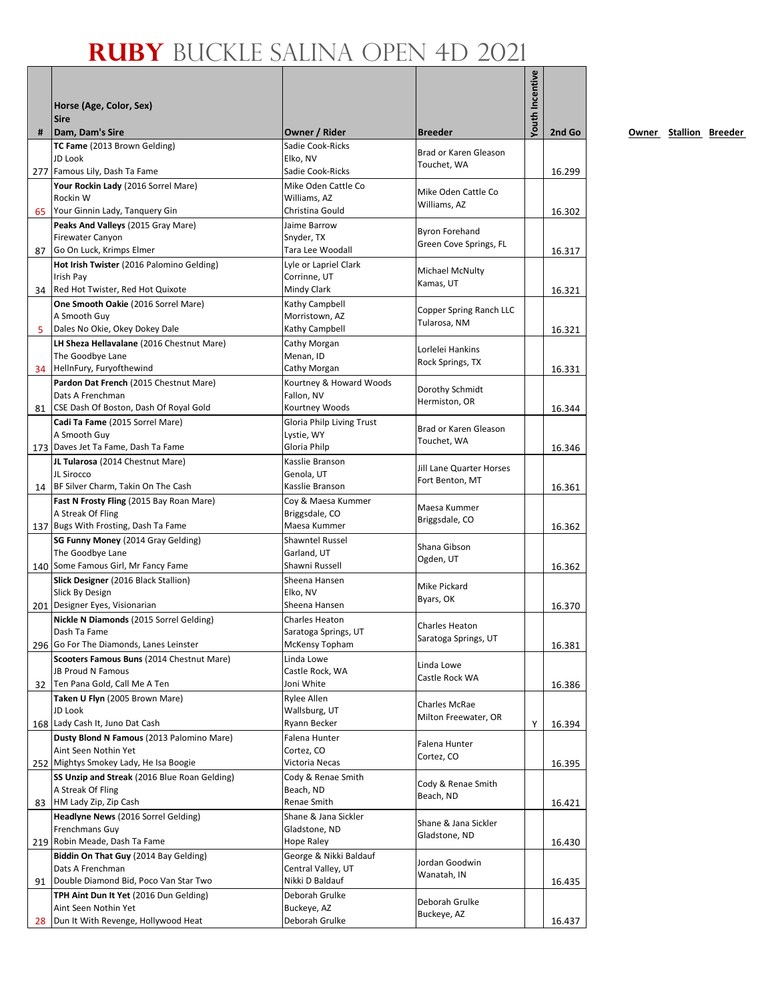|    | Horse (Age, Color, Sex)<br><b>Sire</b>                                   |                                                  |                                                 | <b>/outh Incentive</b> |        |
|----|--------------------------------------------------------------------------|--------------------------------------------------|-------------------------------------------------|------------------------|--------|
| #  | Dam, Dam's Sire                                                          | Owner / Rider                                    | <b>Breeder</b>                                  |                        | 2nd Go |
|    | TC Fame (2013 Brown Gelding)<br>JD Look<br>277 Famous Lily, Dash Ta Fame | Sadie Cook-Ricks<br>Elko, NV<br>Sadie Cook-Ricks | Brad or Karen Gleason<br>Touchet, WA            |                        |        |
|    | Your Rockin Lady (2016 Sorrel Mare)                                      | Mike Oden Cattle Co                              |                                                 |                        | 16.299 |
|    | Rockin W<br>65 Your Ginnin Lady, Tanguery Gin                            | Williams, AZ<br>Christina Gould                  | Mike Oden Cattle Co<br>Williams, AZ             |                        | 16.302 |
|    | Peaks And Valleys (2015 Gray Mare)                                       | Jaime Barrow                                     |                                                 |                        |        |
|    | <b>Firewater Canyon</b><br>87 Go On Luck, Krimps Elmer                   | Snyder, TX<br>Tara Lee Woodall                   | <b>Byron Forehand</b><br>Green Cove Springs, FL |                        | 16.317 |
|    | Hot Irish Twister (2016 Palomino Gelding)                                | Lyle or Lapriel Clark                            |                                                 |                        |        |
|    | Irish Pay                                                                | Corrinne, UT                                     | Michael McNulty<br>Kamas, UT                    |                        |        |
|    | 34 Red Hot Twister, Red Hot Quixote                                      | Mindy Clark                                      |                                                 |                        | 16.321 |
|    | One Smooth Oakie (2016 Sorrel Mare)                                      | Kathy Campbell                                   | Copper Spring Ranch LLC                         |                        |        |
|    | A Smooth Guy                                                             | Morristown, AZ                                   | Tularosa, NM                                    |                        |        |
| 5. | Dales No Okie, Okey Dokey Dale                                           | Kathy Campbell                                   |                                                 |                        | 16.321 |
|    | LH Sheza Hellavalane (2016 Chestnut Mare)<br>The Goodbye Lane            | Cathy Morgan<br>Menan, ID                        | Lorlelei Hankins                                |                        |        |
|    | 34 HellnFury, Furyofthewind                                              | Cathy Morgan                                     | Rock Springs, TX                                |                        | 16.331 |
|    | Pardon Dat French (2015 Chestnut Mare)                                   | Kourtney & Howard Woods                          |                                                 |                        |        |
|    | Dats A Frenchman                                                         | Fallon, NV                                       | Dorothy Schmidt                                 |                        |        |
|    | 81 CSE Dash Of Boston, Dash Of Royal Gold                                | Kourtney Woods                                   | Hermiston, OR                                   |                        | 16.344 |
|    | Cadi Ta Fame (2015 Sorrel Mare)                                          | Gloria Philp Living Trust                        | Brad or Karen Gleason                           |                        |        |
|    | A Smooth Guy                                                             | Lystie, WY                                       | Touchet, WA                                     |                        |        |
|    | 173 Daves Jet Ta Fame, Dash Ta Fame                                      | Gloria Philp                                     |                                                 |                        | 16.346 |
|    | JL Tularosa (2014 Chestnut Mare)                                         | Kasslie Branson                                  | Jill Lane Quarter Horses                        |                        |        |
|    | JL Sirocco<br>14 BF Silver Charm, Takin On The Cash                      | Genola, UT<br>Kasslie Branson                    | Fort Benton, MT                                 |                        |        |
|    | Fast N Frosty Fling (2015 Bay Roan Mare)                                 | Coy & Maesa Kummer                               |                                                 |                        | 16.361 |
|    | A Streak Of Fling                                                        | Briggsdale, CO                                   | Maesa Kummer                                    |                        |        |
|    | 137 Bugs With Frosting, Dash Ta Fame                                     | Maesa Kummer                                     | Briggsdale, CO                                  |                        | 16.362 |
|    | SG Funny Money (2014 Gray Gelding)                                       | <b>Shawntel Russel</b>                           |                                                 |                        |        |
|    | The Goodbye Lane                                                         | Garland, UT                                      | Shana Gibson<br>Ogden, UT                       |                        |        |
|    | 140 Some Famous Girl, Mr Fancy Fame                                      | Shawni Russell                                   |                                                 |                        | 16.362 |
|    | Slick Designer (2016 Black Stallion)                                     | Sheena Hansen                                    | Mike Pickard                                    |                        |        |
|    | Slick By Design                                                          | Elko, NV                                         | Byars, OK                                       |                        |        |
|    | 201 Designer Eyes, Visionarian                                           | Sheena Hansen                                    |                                                 |                        | 16.370 |
|    | Nickle N Diamonds (2015 Sorrel Gelding)<br>Dash Ta Fame                  | Charles Heaton<br>Saratoga Springs, UT           | Charles Heaton                                  |                        |        |
|    | 296 Go For The Diamonds, Lanes Leinster                                  | McKensy Topham                                   | Saratoga Springs, UT                            |                        | 16.381 |
|    | Scooters Famous Buns (2014 Chestnut Mare)                                | Linda Lowe                                       |                                                 |                        |        |
|    | JB Proud N Famous                                                        | Castle Rock, WA                                  | Linda Lowe<br>Castle Rock WA                    |                        |        |
|    | 32 Ten Pana Gold, Call Me A Ten                                          | Joni White                                       |                                                 |                        | 16.386 |
|    | Taken U Flyn (2005 Brown Mare)                                           | Rylee Allen                                      | Charles McRae                                   |                        |        |
|    | JD Look                                                                  | Wallsburg, UT                                    | Milton Freewater, OR                            |                        |        |
|    | 168 Lady Cash It, Juno Dat Cash                                          | Ryann Becker                                     |                                                 | Υ                      | 16.394 |
|    | Dusty Blond N Famous (2013 Palomino Mare)<br>Aint Seen Nothin Yet        | Falena Hunter<br>Cortez, CO                      | Falena Hunter                                   |                        |        |
|    | 252 Mightys Smokey Lady, He Isa Boogie                                   | Victoria Necas                                   | Cortez, CO                                      |                        | 16.395 |
|    | SS Unzip and Streak (2016 Blue Roan Gelding)                             | Cody & Renae Smith                               |                                                 |                        |        |
|    | A Streak Of Fling                                                        | Beach, ND                                        | Cody & Renae Smith                              |                        |        |
|    | 83 HM Lady Zip, Zip Cash                                                 | Renae Smith                                      | Beach, ND                                       |                        | 16.421 |
|    | Headlyne News (2016 Sorrel Gelding)                                      | Shane & Jana Sickler                             | Shane & Jana Sickler                            |                        |        |
|    | Frenchmans Guy                                                           | Gladstone, ND                                    | Gladstone, ND                                   |                        |        |
|    | 219 Robin Meade, Dash Ta Fame                                            | Hope Raley                                       |                                                 |                        | 16.430 |
|    | Biddin On That Guy (2014 Bay Gelding)                                    | George & Nikki Baldauf                           | Jordan Goodwin                                  |                        |        |
|    | Dats A Frenchman<br>91   Double Diamond Bid, Poco Van Star Two           | Central Valley, UT<br>Nikki D Baldauf            | Wanatah, IN                                     |                        |        |
|    | TPH Aint Dun It Yet (2016 Dun Gelding)                                   | Deborah Grulke                                   |                                                 |                        | 16.435 |
|    | Aint Seen Nothin Yet                                                     | Buckeye, AZ                                      | Deborah Grulke                                  |                        |        |
| 28 | Dun It With Revenge, Hollywood Heat                                      | Deborah Grulke                                   | Buckeye, AZ                                     |                        | 16.437 |
|    |                                                                          |                                                  |                                                 |                        |        |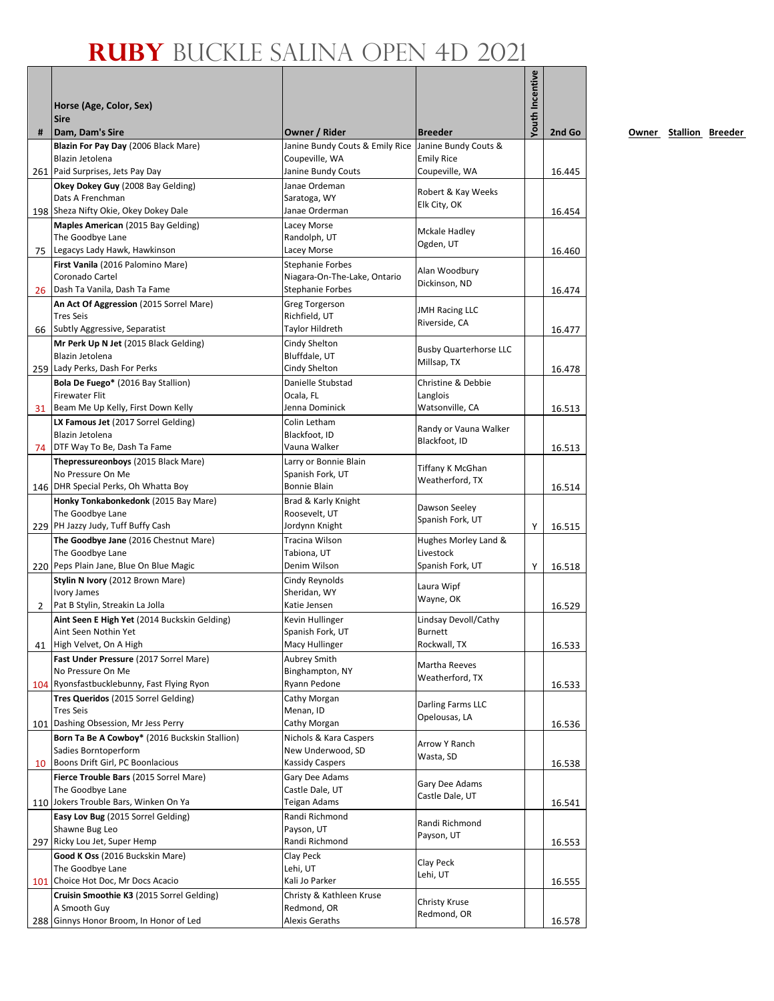|                | Horse (Age, Color, Sex)<br><b>Sire</b>                      |                                                      |                                     | <b>/outh Incentive</b> |        |
|----------------|-------------------------------------------------------------|------------------------------------------------------|-------------------------------------|------------------------|--------|
| #              | Dam, Dam's Sire                                             | Owner / Rider                                        | <b>Breeder</b>                      |                        | 2nd Go |
|                | Blazin For Pay Day (2006 Black Mare)                        | Janine Bundy Couts & Emily Rice Janine Bundy Couts & |                                     |                        |        |
|                | Blazin Jetolena<br>261 Paid Surprises, Jets Pay Day         | Coupeville, WA<br>Janine Bundy Couts                 | <b>Emily Rice</b><br>Coupeville, WA |                        | 16.445 |
|                | Okey Dokey Guy (2008 Bay Gelding)                           | Janae Ordeman                                        |                                     |                        |        |
|                | Dats A Frenchman                                            | Saratoga, WY                                         | Robert & Kay Weeks                  |                        |        |
|                | 198 Sheza Nifty Okie, Okey Dokey Dale                       | Janae Orderman                                       | Elk City, OK                        |                        | 16.454 |
|                | Maples American (2015 Bay Gelding)                          | Lacey Morse                                          |                                     |                        |        |
|                | The Goodbye Lane                                            | Randolph, UT                                         | Mckale Hadley<br>Ogden, UT          |                        |        |
| 75             | Legacys Lady Hawk, Hawkinson                                | Lacey Morse                                          |                                     |                        | 16.460 |
|                | First Vanila (2016 Palomino Mare)                           | Stephanie Forbes                                     | Alan Woodbury                       |                        |        |
|                | Coronado Cartel<br>26 Dash Ta Vanila, Dash Ta Fame          | Niagara-On-The-Lake, Ontario                         | Dickinson, ND                       |                        |        |
|                |                                                             | Stephanie Forbes                                     |                                     |                        | 16.474 |
|                | An Act Of Aggression (2015 Sorrel Mare)<br><b>Tres Seis</b> | Greg Torgerson<br>Richfield, UT                      | <b>JMH Racing LLC</b>               |                        |        |
|                | 66 Subtly Aggressive, Separatist                            | Taylor Hildreth                                      | Riverside, CA                       |                        | 16.477 |
|                | Mr Perk Up N Jet (2015 Black Gelding)                       | Cindy Shelton                                        |                                     |                        |        |
|                | Blazin Jetolena                                             | Bluffdale, UT                                        | <b>Busby Quarterhorse LLC</b>       |                        |        |
|                | 259 Lady Perks, Dash For Perks                              | Cindy Shelton                                        | Millsap, TX                         |                        | 16.478 |
|                | Bola De Fuego* (2016 Bay Stallion)                          | Danielle Stubstad                                    | Christine & Debbie                  |                        |        |
|                | <b>Firewater Flit</b>                                       | Ocala, FL                                            | Langlois                            |                        |        |
|                | 31  Beam Me Up Kelly, First Down Kelly                      | Jenna Dominick                                       | Watsonville, CA                     |                        | 16.513 |
|                | LX Famous Jet (2017 Sorrel Gelding)                         | Colin Letham                                         | Randy or Vauna Walker               |                        |        |
|                | Blazin Jetolena<br>74   DTF Way To Be, Dash Ta Fame         | Blackfoot, ID<br>Vauna Walker                        | Blackfoot, ID                       |                        |        |
|                | Thepressureonboys (2015 Black Mare)                         | Larry or Bonnie Blain                                |                                     |                        | 16.513 |
|                | No Pressure On Me                                           | Spanish Fork, UT                                     | Tiffany K McGhan                    |                        |        |
|                | 146 DHR Special Perks, Oh Whatta Boy                        | Bonnie Blain                                         | Weatherford, TX                     |                        | 16.514 |
|                | Honky Tonkabonkedonk (2015 Bay Mare)                        | Brad & Karly Knight                                  |                                     |                        |        |
|                | The Goodbye Lane                                            | Roosevelt, UT                                        | Dawson Seeley<br>Spanish Fork, UT   |                        |        |
|                | 229 PH Jazzy Judy, Tuff Buffy Cash                          | Jordynn Knight                                       |                                     | Y                      | 16.515 |
|                | The Goodbye Jane (2016 Chestnut Mare)                       | Tracina Wilson                                       | Hughes Morley Land &                |                        |        |
|                | The Goodbye Lane                                            | Tabiona, UT                                          | Livestock                           |                        |        |
|                | 220 Peps Plain Jane, Blue On Blue Magic                     | Denim Wilson                                         | Spanish Fork, UT                    | Y                      | 16.518 |
|                | Stylin N Ivory (2012 Brown Mare)<br><b>Ivory James</b>      | Cindy Reynolds<br>Sheridan, WY                       | Laura Wipf                          |                        |        |
| $\overline{2}$ | Pat B Stylin, Streakin La Jolla                             | Katie Jensen                                         | Wayne, OK                           |                        | 16.529 |
|                | Aint Seen E High Yet (2014 Buckskin Gelding)                | Kevin Hullinger                                      | Lindsay Devoll/Cathy                |                        |        |
|                | Aint Seen Nothin Yet                                        | Spanish Fork, UT                                     | <b>Burnett</b>                      |                        |        |
|                | 41 High Velvet, On A High                                   | Macy Hullinger                                       | Rockwall, TX                        |                        | 16.533 |
|                | Fast Under Pressure (2017 Sorrel Mare)                      | Aubrey Smith                                         | Martha Reeves                       |                        |        |
|                | No Pressure On Me                                           | Binghampton, NY                                      | Weatherford, TX                     |                        |        |
|                | 104 Ryonsfastbucklebunny, Fast Flying Ryon                  | Ryann Pedone                                         |                                     |                        | 16.533 |
|                | Tres Queridos (2015 Sorrel Gelding)<br><b>Tres Seis</b>     | Cathy Morgan<br>Menan, ID                            | Darling Farms LLC                   |                        |        |
|                | 101 Dashing Obsession, Mr Jess Perry                        | Cathy Morgan                                         | Opelousas, LA                       |                        | 16.536 |
|                | Born Ta Be A Cowboy* (2016 Buckskin Stallion)               | Nichols & Kara Caspers                               |                                     |                        |        |
|                | Sadies Borntoperform                                        | New Underwood, SD                                    | Arrow Y Ranch                       |                        |        |
| 10             | Boons Drift Girl, PC Boonlacious                            | Kassidy Caspers                                      | Wasta, SD                           |                        | 16.538 |
|                | Fierce Trouble Bars (2015 Sorrel Mare)                      | Gary Dee Adams                                       | Gary Dee Adams                      |                        |        |
|                | The Goodbye Lane                                            | Castle Dale, UT                                      | Castle Dale, UT                     |                        |        |
|                | 110 Jokers Trouble Bars, Winken On Ya                       | Teigan Adams                                         |                                     |                        | 16.541 |
|                | Easy Lov Bug (2015 Sorrel Gelding)                          | Randi Richmond                                       | Randi Richmond                      |                        |        |
|                | Shawne Bug Leo<br>297 Ricky Lou Jet, Super Hemp             | Payson, UT<br>Randi Richmond                         | Payson, UT                          |                        |        |
|                | Good K Oss (2016 Buckskin Mare)                             | Clay Peck                                            |                                     |                        | 16.553 |
|                | The Goodbye Lane                                            | Lehi, UT                                             | Clay Peck                           |                        |        |
|                | 101 Choice Hot Doc, Mr Docs Acacio                          | Kali Jo Parker                                       | Lehi, UT                            |                        | 16.555 |
|                | Cruisin Smoothie K3 (2015 Sorrel Gelding)                   | Christy & Kathleen Kruse                             |                                     |                        |        |
|                | A Smooth Guy                                                | Redmond, OR                                          | Christy Kruse<br>Redmond, OR        |                        |        |
|                | 288 Ginnys Honor Broom, In Honor of Led                     | Alexis Geraths                                       |                                     |                        | 16.578 |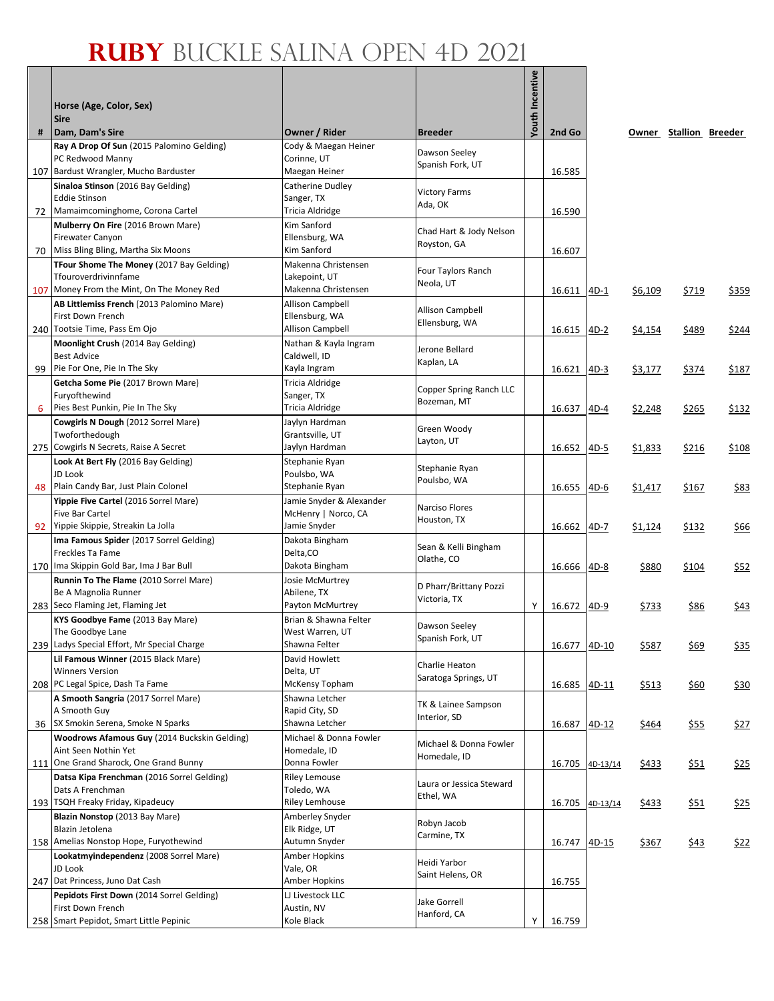|    |                                                                                    |                                            |                          | <b>Youth Incentive</b> |             |          |              |                        |              |
|----|------------------------------------------------------------------------------------|--------------------------------------------|--------------------------|------------------------|-------------|----------|--------------|------------------------|--------------|
|    | Horse (Age, Color, Sex)<br><b>Sire</b>                                             |                                            |                          |                        |             |          |              |                        |              |
| #  | Dam, Dam's Sire                                                                    | Owner / Rider                              | <b>Breeder</b>           |                        | 2nd Go      |          |              | Owner Stallion Breeder |              |
|    | Ray A Drop Of Sun (2015 Palomino Gelding)                                          | Cody & Maegan Heiner                       | Dawson Seeley            |                        |             |          |              |                        |              |
|    | PC Redwood Manny                                                                   | Corinne, UT                                | Spanish Fork, UT         |                        |             |          |              |                        |              |
|    | 107 Bardust Wrangler, Mucho Barduster<br>Sinaloa Stinson (2016 Bay Gelding)        | Maegan Heiner<br>Catherine Dudley          |                          |                        | 16.585      |          |              |                        |              |
|    | <b>Eddie Stinson</b>                                                               | Sanger, TX                                 | <b>Victory Farms</b>     |                        |             |          |              |                        |              |
| 72 | Mamaimcominghome, Corona Cartel                                                    | Tricia Aldridge                            | Ada, OK                  |                        | 16.590      |          |              |                        |              |
|    | Mulberry On Fire (2016 Brown Mare)                                                 | Kim Sanford                                | Chad Hart & Jody Nelson  |                        |             |          |              |                        |              |
|    | <b>Firewater Canyon</b><br>Miss Bling Bling, Martha Six Moons                      | Ellensburg, WA<br>Kim Sanford              | Royston, GA              |                        |             |          |              |                        |              |
| 70 | TFour Shome The Money (2017 Bay Gelding)                                           | Makenna Christensen                        |                          |                        | 16.607      |          |              |                        |              |
|    | Tfouroverdrivinnfame                                                               | Lakepoint, UT                              | Four Taylors Ranch       |                        |             |          |              |                        |              |
|    | 107 Money From the Mint, On The Money Red                                          | Makenna Christensen                        | Neola, UT                |                        | 16.611 4D-1 |          | \$6,109      | <u>\$719</u>           | <u>\$359</u> |
|    | AB Littlemiss French (2013 Palomino Mare)                                          | <b>Allison Campbell</b>                    | <b>Allison Campbell</b>  |                        |             |          |              |                        |              |
|    | First Down French<br>240 Tootsie Time, Pass Em Ojo                                 | Ellensburg, WA<br>Allison Campbell         | Ellensburg, WA           |                        |             |          |              |                        |              |
|    | Moonlight Crush (2014 Bay Gelding)                                                 | Nathan & Kayla Ingram                      |                          |                        | 16.615      | $4D-2$   | \$4,154      | \$489                  | \$244        |
|    | <b>Best Advice</b>                                                                 | Caldwell, ID                               | Jerone Bellard           |                        |             |          |              |                        |              |
| 99 | Pie For One, Pie In The Sky                                                        | Kayla Ingram                               | Kaplan, LA               |                        | 16.621      | $4D-3$   | \$3,177      | \$374                  | \$187        |
|    | Getcha Some Pie (2017 Brown Mare)                                                  | Tricia Aldridge                            | Copper Spring Ranch LLC  |                        |             |          |              |                        |              |
|    | Furyofthewind                                                                      | Sanger, TX                                 | Bozeman, MT              |                        |             |          |              |                        |              |
| 6  | Pies Best Punkin, Pie In The Sky<br>Cowgirls N Dough (2012 Sorrel Mare)            | Tricia Aldridge<br>Jaylyn Hardman          |                          |                        | 16.637      | $4D-4$   | \$2,248      | \$265                  | \$132        |
|    | Twoforthedough                                                                     | Grantsville, UT                            | Green Woody              |                        |             |          |              |                        |              |
|    | 275 Cowgirls N Secrets, Raise A Secret                                             | Jaylyn Hardman                             | Layton, UT               |                        | 16.652      | 4D-5     | \$1,833      | \$216                  | \$108        |
|    | Look At Bert Fly (2016 Bay Gelding)                                                | Stephanie Ryan                             | Stephanie Ryan           |                        |             |          |              |                        |              |
|    | JD Look                                                                            | Poulsbo, WA                                | Poulsbo, WA              |                        |             |          |              |                        |              |
| 48 | Plain Candy Bar, Just Plain Colonel<br>Yippie Five Cartel (2016 Sorrel Mare)       | Stephanie Ryan<br>Jamie Snyder & Alexander |                          |                        | 16.655      | 4D-6     | \$1,417      | \$167                  | \$83         |
|    | Five Bar Cartel                                                                    | McHenry   Norco, CA                        | Narciso Flores           |                        |             |          |              |                        |              |
| 92 | Yippie Skippie, Streakin La Jolla                                                  | Jamie Snyder                               | Houston, TX              |                        | 16.662      | 4D-7     | \$1,124      | \$132                  | <u>\$66</u>  |
|    | Ima Famous Spider (2017 Sorrel Gelding)                                            | Dakota Bingham                             | Sean & Kelli Bingham     |                        |             |          |              |                        |              |
|    | Freckles Ta Fame                                                                   | Delta,CO                                   | Olathe, CO               |                        |             |          |              |                        |              |
|    | 170 Ima Skippin Gold Bar, Ima J Bar Bull                                           | Dakota Bingham                             |                          |                        | 16.666      | 4D-8     | \$880        | \$104                  | \$52         |
|    | Runnin To The Flame (2010 Sorrel Mare)<br>Be A Magnolia Runner                     | Josie McMurtrey<br>Abilene, TX             | D Pharr/Brittany Pozzi   |                        |             |          |              |                        |              |
|    | 283 Seco Flaming Jet, Flaming Jet                                                  | Payton McMurtrey                           | Victoria, TX             | Υ                      | 16.672      | $4D-9$   | <u>\$733</u> | \$86                   | \$43         |
|    | KYS Goodbye Fame (2013 Bay Mare)                                                   | Brian & Shawna Felter                      | Dawson Seeley            |                        |             |          |              |                        |              |
|    | The Goodbye Lane                                                                   | West Warren, UT                            | Spanish Fork, UT         |                        |             |          |              |                        |              |
|    | 239 Ladys Special Effort, Mr Special Charge<br>Lil Famous Winner (2015 Black Mare) | Shawna Felter<br>David Howlett             |                          |                        | 16.677      | $4D-10$  | \$587        | <u>\$69</u>            | \$35         |
|    | <b>Winners Version</b>                                                             | Delta, UT                                  | Charlie Heaton           |                        |             |          |              |                        |              |
|    | 208 PC Legal Spice, Dash Ta Fame                                                   | McKensy Topham                             | Saratoga Springs, UT     |                        | 16.685      | 4D-11    | \$513        | \$60                   | \$30         |
|    | A Smooth Sangria (2017 Sorrel Mare)                                                | Shawna Letcher                             | TK & Lainee Sampson      |                        |             |          |              |                        |              |
|    | A Smooth Guy<br>SX Smokin Serena, Smoke N Sparks                                   | Rapid City, SD<br>Shawna Letcher           | Interior, SD             |                        |             |          |              |                        |              |
| 36 | Woodrows Afamous Guy (2014 Buckskin Gelding)                                       | Michael & Donna Fowler                     |                          |                        | 16.687      | 4D-12    | \$464        | <u>\$55</u>            | \$27         |
|    | Aint Seen Nothin Yet                                                               | Homedale, ID                               | Michael & Donna Fowler   |                        |             |          |              |                        |              |
|    | 111 One Grand Sharock, One Grand Bunny                                             | Donna Fowler                               | Homedale, ID             |                        | 16.705      | 4D-13/14 | \$433        | \$51                   | \$25         |
|    | Datsa Kipa Frenchman (2016 Sorrel Gelding)                                         | <b>Riley Lemouse</b>                       | Laura or Jessica Steward |                        |             |          |              |                        |              |
|    | Dats A Frenchman                                                                   | Toledo, WA                                 | Ethel, WA                |                        |             |          |              |                        |              |
|    | 193 TSQH Freaky Friday, Kipadeucy<br>Blazin Nonstop (2013 Bay Mare)                | <b>Riley Lemhouse</b><br>Amberley Snyder   |                          |                        | 16.705      | 4D-13/14 | \$433        | <u>\$51</u>            | \$25         |
|    | Blazin Jetolena                                                                    | Elk Ridge, UT                              | Robyn Jacob              |                        |             |          |              |                        |              |
|    | 158 Amelias Nonstop Hope, Furyothewind                                             | Autumn Snyder                              | Carmine, TX              |                        | 16.747      | $4D-15$  | \$367        | \$43                   | \$22         |
|    | Lookatmyindependenz (2008 Sorrel Mare)                                             | Amber Hopkins                              | Heidi Yarbor             |                        |             |          |              |                        |              |
|    | JD Look<br>247 Dat Princess, Juno Dat Cash                                         | Vale, OR<br><b>Amber Hopkins</b>           | Saint Helens, OR         |                        | 16.755      |          |              |                        |              |
|    | Pepidots First Down (2014 Sorrel Gelding)                                          | LJ Livestock LLC                           |                          |                        |             |          |              |                        |              |
|    | First Down French                                                                  | Austin, NV                                 | Jake Gorrell             |                        |             |          |              |                        |              |
|    | 258 Smart Pepidot, Smart Little Pepinic                                            | Kole Black                                 | Hanford, CA              | Υ                      | 16.759      |          |              |                        |              |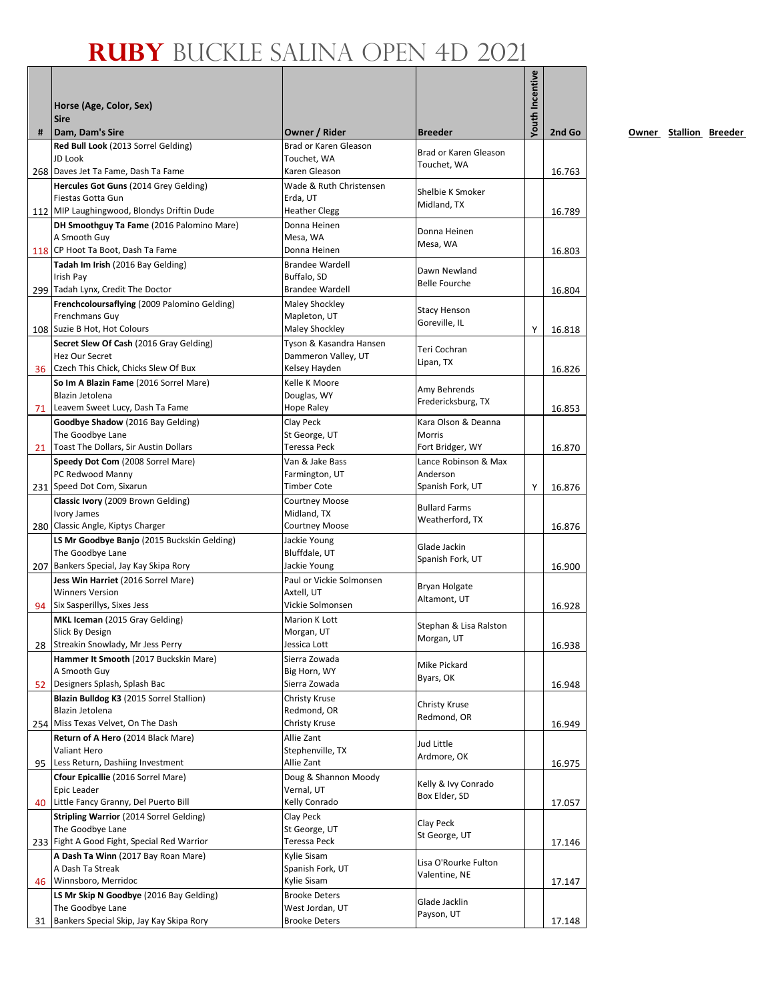|    | Horse (Age, Color, Sex)<br><b>Sire</b>                                                                   |                                             |                                      | <b>Youth Incentive</b> |        |
|----|----------------------------------------------------------------------------------------------------------|---------------------------------------------|--------------------------------------|------------------------|--------|
| #  | Dam, Dam's Sire                                                                                          | Owner / Rider                               | <b>Breeder</b>                       |                        | 2nd Go |
|    | Red Bull Look (2013 Sorrel Gelding)<br>JD Look                                                           | Brad or Karen Gleason<br>Touchet, WA        | Brad or Karen Gleason<br>Touchet, WA |                        |        |
|    | 268 Daves Jet Ta Fame, Dash Ta Fame                                                                      | Karen Gleason<br>Wade & Ruth Christensen    |                                      |                        | 16.763 |
|    | Hercules Got Guns (2014 Grey Gelding)<br>Fiestas Gotta Gun<br>112 MIP Laughingwood, Blondys Driftin Dude | Erda. UT<br><b>Heather Clegg</b>            | Shelbie K Smoker<br>Midland, TX      |                        | 16.789 |
|    | DH Smoothguy Ta Fame (2016 Palomino Mare)                                                                | Donna Heinen                                |                                      |                        |        |
|    | A Smooth Guy<br>118 CP Hoot Ta Boot, Dash Ta Fame                                                        | Mesa, WA<br>Donna Heinen                    | Donna Heinen<br>Mesa, WA             |                        | 16.803 |
|    | Tadah Im Irish (2016 Bay Gelding)                                                                        | <b>Brandee Wardell</b>                      | Dawn Newland                         |                        |        |
|    | Irish Pay                                                                                                | Buffalo, SD                                 | <b>Belle Fourche</b>                 |                        |        |
|    | 299 Tadah Lynx, Credit The Doctor                                                                        | <b>Brandee Wardell</b>                      |                                      |                        | 16.804 |
|    | Frenchcoloursaflying (2009 Palomino Gelding)<br>Frenchmans Guy                                           | Maley Shockley<br>Mapleton, UT              | <b>Stacy Henson</b>                  |                        |        |
|    | 108 Suzie B Hot, Hot Colours                                                                             | Maley Shockley                              | Goreville, IL                        | Y                      | 16.818 |
|    | Secret Slew Of Cash (2016 Gray Gelding)                                                                  | Tyson & Kasandra Hansen                     | Teri Cochran                         |                        |        |
|    | <b>Hez Our Secret</b>                                                                                    | Dammeron Valley, UT                         | Lipan, TX                            |                        |        |
|    | 36 Czech This Chick, Chicks Slew Of Bux                                                                  | Kelsey Hayden                               |                                      |                        | 16.826 |
|    | So Im A Blazin Fame (2016 Sorrel Mare)                                                                   | Kelle K Moore                               | Amy Behrends                         |                        |        |
| 71 | Blazin Jetolena<br>Leavem Sweet Lucy, Dash Ta Fame                                                       | Douglas, WY<br>Hope Raley                   | Fredericksburg, TX                   |                        | 16.853 |
|    | Goodbye Shadow (2016 Bay Gelding)                                                                        | Clay Peck                                   | Kara Olson & Deanna                  |                        |        |
|    | The Goodbye Lane                                                                                         | St George, UT                               | Morris                               |                        |        |
| 21 | Toast The Dollars, Sir Austin Dollars                                                                    | Teressa Peck                                | Fort Bridger, WY                     |                        | 16.870 |
|    | Speedy Dot Com (2008 Sorrel Mare)                                                                        | Van & Jake Bass                             | Lance Robinson & Max                 |                        |        |
|    | PC Redwood Manny                                                                                         | Farmington, UT                              | Anderson                             |                        |        |
|    | 231 Speed Dot Com, Sixarun<br>Classic Ivory (2009 Brown Gelding)                                         | <b>Timber Cote</b><br><b>Courtney Moose</b> | Spanish Fork, UT                     | Y                      | 16.876 |
|    | <b>Ivory James</b>                                                                                       | Midland, TX                                 | <b>Bullard Farms</b>                 |                        |        |
|    | 280 Classic Angle, Kiptys Charger                                                                        | <b>Courtney Moose</b>                       | Weatherford, TX                      |                        | 16.876 |
|    | LS Mr Goodbye Banjo (2015 Buckskin Gelding)                                                              | Jackie Young                                | Glade Jackin                         |                        |        |
|    | The Goodbye Lane                                                                                         | Bluffdale, UT                               | Spanish Fork, UT                     |                        |        |
|    | 207 Bankers Special, Jay Kay Skipa Rory                                                                  | Jackie Young                                |                                      |                        | 16.900 |
|    | Jess Win Harriet (2016 Sorrel Mare)<br><b>Winners Version</b>                                            | Paul or Vickie Solmonsen<br>Axtell, UT      | <b>Bryan Holgate</b>                 |                        |        |
| 94 | Six Sasperillys, Sixes Jess                                                                              | Vickie Solmonsen                            | Altamont, UT                         |                        | 16.928 |
|    | MKL Iceman (2015 Gray Gelding)                                                                           | Marion K Lott                               |                                      |                        |        |
|    | Slick By Design                                                                                          | Morgan, UT                                  | Stephan & Lisa Ralston<br>Morgan, UT |                        |        |
|    | 28 Streakin Snowlady, Mr Jess Perry                                                                      | Jessica Lott                                |                                      |                        | 16.938 |
|    | Hammer It Smooth (2017 Buckskin Mare)                                                                    | Sierra Zowada                               | Mike Pickard                         |                        |        |
| 52 | A Smooth Guy<br>Designers Splash, Splash Bac                                                             | Big Horn, WY<br>Sierra Zowada               | Byars, OK                            |                        | 16.948 |
|    | Blazin Bulldog K3 (2015 Sorrel Stallion)                                                                 | Christy Kruse                               |                                      |                        |        |
|    | Blazin Jetolena                                                                                          | Redmond, OR                                 | Christy Kruse                        |                        |        |
|    | 254 Miss Texas Velvet, On The Dash                                                                       | Christy Kruse                               | Redmond, OR                          |                        | 16.949 |
|    | Return of A Hero (2014 Black Mare)                                                                       | Allie Zant                                  | Jud Little                           |                        |        |
|    | Valiant Hero                                                                                             | Stephenville, TX                            | Ardmore, OK                          |                        |        |
| 95 | Less Return, Dashiing Investment                                                                         | Allie Zant<br>Doug & Shannon Moody          |                                      |                        | 16.975 |
|    | Cfour Epicallie (2016 Sorrel Mare)<br>Epic Leader                                                        | Vernal, UT                                  | Kelly & Ivy Conrado                  |                        |        |
| 40 | Little Fancy Granny, Del Puerto Bill                                                                     | Kelly Conrado                               | Box Elder, SD                        |                        | 17.057 |
|    | Stripling Warrior (2014 Sorrel Gelding)                                                                  | Clay Peck                                   |                                      |                        |        |
|    | The Goodbye Lane                                                                                         | St George, UT                               | Clay Peck<br>St George, UT           |                        |        |
|    | 233 Fight A Good Fight, Special Red Warrior                                                              | Teressa Peck                                |                                      |                        | 17.146 |
|    | A Dash Ta Winn (2017 Bay Roan Mare)                                                                      | Kylie Sisam                                 | Lisa O'Rourke Fulton                 |                        |        |
| 46 | A Dash Ta Streak<br>Winnsboro, Merridoc                                                                  | Spanish Fork, UT<br>Kylie Sisam             | Valentine, NE                        |                        | 17.147 |
|    | LS Mr Skip N Goodbye (2016 Bay Gelding)                                                                  | <b>Brooke Deters</b>                        |                                      |                        |        |
|    | The Goodbye Lane                                                                                         | West Jordan, UT                             | Glade Jacklin                        |                        |        |
| 31 | Bankers Special Skip, Jay Kay Skipa Rory                                                                 | Brooke Deters                               | Payson, UT                           |                        | 17.148 |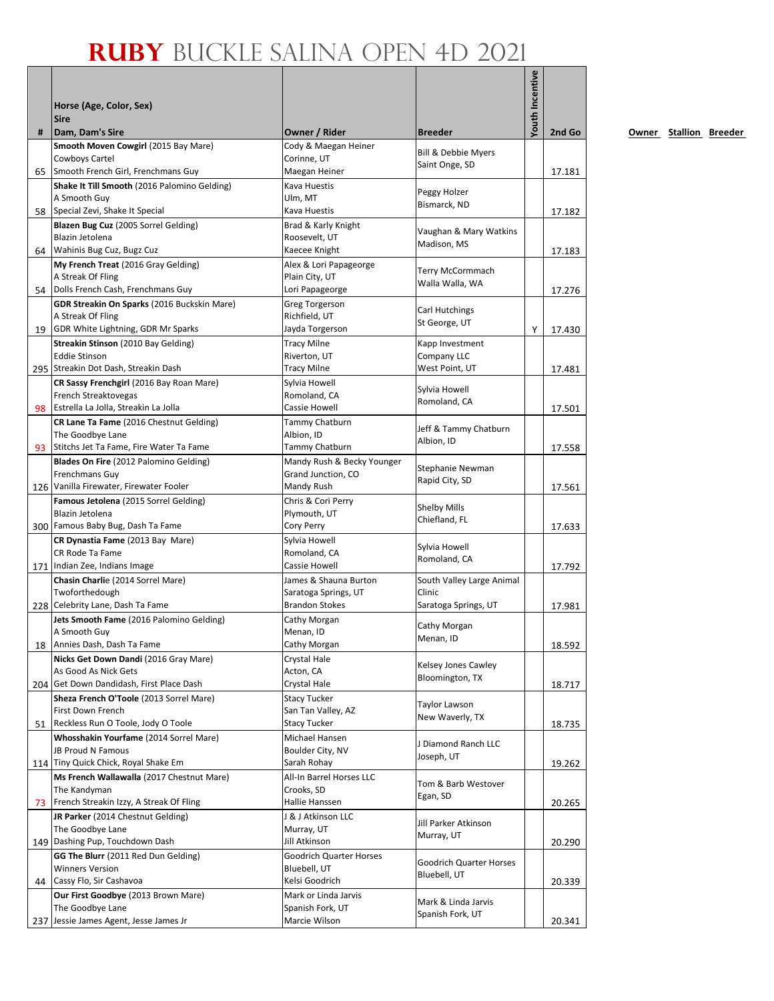|    | Horse (Age, Color, Sex)<br><b>Sire</b>                           |                                                  |                                 | <b>Youth Incentive</b> |        |
|----|------------------------------------------------------------------|--------------------------------------------------|---------------------------------|------------------------|--------|
| #  | Dam, Dam's Sire                                                  | Owner / Rider                                    | <b>Breeder</b>                  |                        | 2nd Go |
|    | Smooth Moven Cowgirl (2015 Bay Mare)                             | Cody & Maegan Heiner                             | Bill & Debbie Myers             |                        |        |
| 65 | Cowboys Cartel<br>Smooth French Girl, Frenchmans Guy             | Corinne, UT<br>Maegan Heiner                     | Saint Onge, SD                  |                        | 17.181 |
|    | Shake It Till Smooth (2016 Palomino Gelding)                     | Kava Huestis                                     |                                 |                        |        |
|    | A Smooth Guy                                                     | Ulm, MT                                          | Peggy Holzer                    |                        |        |
|    | 58 Special Zevi, Shake It Special                                | Kava Huestis                                     | Bismarck, ND                    |                        | 17.182 |
|    | Blazen Bug Cuz (2005 Sorrel Gelding)                             | Brad & Karly Knight                              | Vaughan & Mary Watkins          |                        |        |
|    | Blazin Jetolena                                                  | Roosevelt, UT                                    | Madison, MS                     |                        |        |
| 64 | Wahinis Bug Cuz, Bugz Cuz<br>My French Treat (2016 Gray Gelding) | Kaecee Knight<br>Alex & Lori Papageorge          |                                 |                        | 17.183 |
|    | A Streak Of Fling                                                | Plain City, UT                                   | Terry McCormmach                |                        |        |
|    | 54 Dolls French Cash, Frenchmans Guy                             | Lori Papageorge                                  | Walla Walla, WA                 |                        | 17.276 |
|    | <b>GDR Streakin On Sparks (2016 Buckskin Mare)</b>               | <b>Greg Torgerson</b>                            |                                 |                        |        |
|    | A Streak Of Fling                                                | Richfield, UT                                    | Carl Hutchings<br>St George, UT |                        |        |
|    | 19 GDR White Lightning, GDR Mr Sparks                            | Jayda Torgerson                                  |                                 | Y                      | 17.430 |
|    | Streakin Stinson (2010 Bay Gelding)                              | <b>Tracy Milne</b>                               | Kapp Investment                 |                        |        |
|    | <b>Eddie Stinson</b><br>295 Streakin Dot Dash, Streakin Dash     | Riverton, UT<br><b>Tracy Milne</b>               | Company LLC<br>West Point, UT   |                        | 17.481 |
|    | CR Sassy Frenchgirl (2016 Bay Roan Mare)                         | Sylvia Howell                                    |                                 |                        |        |
|    | French Streaktovegas                                             | Romoland, CA                                     | Sylvia Howell                   |                        |        |
|    | 98 Estrella La Jolla, Streakin La Jolla                          | Cassie Howell                                    | Romoland, CA                    |                        | 17.501 |
|    | CR Lane Ta Fame (2016 Chestnut Gelding)                          | Tammy Chatburn                                   | Jeff & Tammy Chatburn           |                        |        |
|    | The Goodbye Lane                                                 | Albion, ID                                       | Albion, ID                      |                        |        |
| 93 | Stitchs Jet Ta Fame, Fire Water Ta Fame                          | Tammy Chatburn                                   |                                 |                        | 17.558 |
|    | Blades On Fire (2012 Palomino Gelding)<br>Frenchmans Guy         | Mandy Rush & Becky Younger<br>Grand Junction, CO | Stephanie Newman                |                        |        |
|    | 126 Vanilla Firewater, Firewater Fooler                          | Mandy Rush                                       | Rapid City, SD                  |                        | 17.561 |
|    | Famous Jetolena (2015 Sorrel Gelding)                            | Chris & Cori Perry                               |                                 |                        |        |
|    | Blazin Jetolena                                                  | Plymouth, UT                                     | Shelby Mills<br>Chiefland, FL   |                        |        |
|    | 300 Famous Baby Bug, Dash Ta Fame                                | Cory Perry                                       |                                 |                        | 17.633 |
|    | CR Dynastia Fame (2013 Bay Mare)                                 | Sylvia Howell                                    | Sylvia Howell                   |                        |        |
|    | CR Rode Ta Fame<br>171 Indian Zee, Indians Image                 | Romoland, CA<br>Cassie Howell                    | Romoland, CA                    |                        | 17.792 |
|    | Chasin Charlie (2014 Sorrel Mare)                                | James & Shauna Burton                            | South Valley Large Animal       |                        |        |
|    | Twoforthedough                                                   | Saratoga Springs, UT                             | Clinic                          |                        |        |
|    | 228 Celebrity Lane, Dash Ta Fame                                 | <b>Brandon Stokes</b>                            | Saratoga Springs, UT            |                        | 17.981 |
|    | Jets Smooth Fame (2016 Palomino Gelding)                         | Cathy Morgan                                     | Cathy Morgan                    |                        |        |
|    | A Smooth Guy                                                     | Menan, ID                                        | Menan, ID                       |                        |        |
|    | 18 Annies Dash, Dash Ta Fame                                     | Cathy Morgan                                     |                                 |                        | 18.592 |
|    | Nicks Get Down Dandi (2016 Gray Mare)<br>As Good As Nick Gets    | Crystal Hale<br>Acton, CA                        | Kelsey Jones Cawley             |                        |        |
|    | 204 Get Down Dandidash, First Place Dash                         | Crystal Hale                                     | Bloomington, TX                 |                        | 18.717 |
|    | Sheza French O'Toole (2013 Sorrel Mare)                          | <b>Stacy Tucker</b>                              | Taylor Lawson                   |                        |        |
|    | First Down French                                                | San Tan Valley, AZ                               | New Waverly, TX                 |                        |        |
| 51 | Reckless Run O Toole, Jody O Toole                               | <b>Stacy Tucker</b>                              |                                 |                        | 18.735 |
|    | Whosshakin Yourfame (2014 Sorrel Mare)<br>JB Proud N Famous      | Michael Hansen<br>Boulder City, NV               | J Diamond Ranch LLC             |                        |        |
|    | 114 Tiny Quick Chick, Royal Shake Em                             | Sarah Rohay                                      | Joseph, UT                      |                        | 19.262 |
|    | Ms French Wallawalla (2017 Chestnut Mare)                        | All-In Barrel Horses LLC                         |                                 |                        |        |
|    | The Kandyman                                                     | Crooks, SD                                       | Tom & Barb Westover<br>Egan, SD |                        |        |
| 73 | French Streakin Izzy, A Streak Of Fling                          | Hallie Hanssen                                   |                                 |                        | 20.265 |
|    | JR Parker (2014 Chestnut Gelding)                                | J & J Atkinson LLC                               | Jill Parker Atkinson            |                        |        |
|    | The Goodbye Lane<br>149 Dashing Pup, Touchdown Dash              | Murray, UT<br>Jill Atkinson                      | Murray, UT                      |                        | 20.290 |
|    | GG The Blurr (2011 Red Dun Gelding)                              | <b>Goodrich Quarter Horses</b>                   |                                 |                        |        |
|    | <b>Winners Version</b>                                           | Bluebell, UT                                     | Goodrich Quarter Horses         |                        |        |
|    | 44 Cassy Flo, Sir Cashavoa                                       | Kelsi Goodrich                                   | Bluebell, UT                    |                        | 20.339 |
|    | Our First Goodbye (2013 Brown Mare)                              | Mark or Linda Jarvis                             | Mark & Linda Jarvis             |                        |        |
|    | The Goodbye Lane                                                 | Spanish Fork, UT                                 | Spanish Fork, UT                |                        |        |
|    | 237 Jessie James Agent, Jesse James Jr                           | Marcie Wilson                                    |                                 |                        | 20.341 |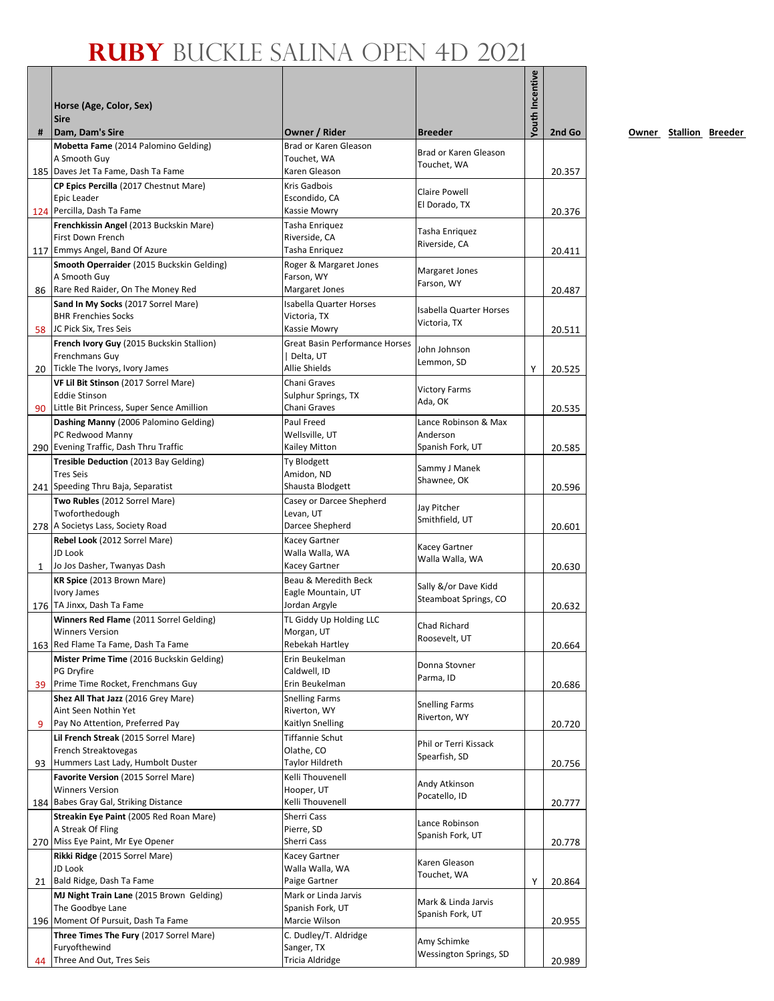|              | Horse (Age, Color, Sex)<br><b>Sire</b>                        |                                        |                                         | <b>/outh Incentive</b> |        |
|--------------|---------------------------------------------------------------|----------------------------------------|-----------------------------------------|------------------------|--------|
| #            | Dam, Dam's Sire<br>Mobetta Fame (2014 Palomino Gelding)       | Owner / Rider<br>Brad or Karen Gleason | <b>Breeder</b>                          |                        | 2nd Go |
|              | A Smooth Guy                                                  | Touchet, WA                            | Brad or Karen Gleason                   |                        |        |
|              | 185   Daves Jet Ta Fame, Dash Ta Fame                         | Karen Gleason                          | Touchet, WA                             |                        | 20.357 |
|              | CP Epics Percilla (2017 Chestnut Mare)                        | Kris Gadbois                           | Claire Powell                           |                        |        |
|              | Epic Leader                                                   | Escondido, CA                          | El Dorado, TX                           |                        |        |
|              | 124 Percilla, Dash Ta Fame                                    | Kassie Mowry                           |                                         |                        | 20.376 |
|              | Frenchkissin Angel (2013 Buckskin Mare)<br>First Down French  | Tasha Enriquez<br>Riverside, CA        | Tasha Enriquez                          |                        |        |
|              | 117 Emmys Angel, Band Of Azure                                | Tasha Enriquez                         | Riverside, CA                           |                        | 20.411 |
|              | Smooth Operraider (2015 Buckskin Gelding)                     | Roger & Margaret Jones                 |                                         |                        |        |
|              | A Smooth Guy                                                  | Farson, WY                             | Margaret Jones<br>Farson, WY            |                        |        |
|              | 86 Rare Red Raider, On The Money Red                          | Margaret Jones                         |                                         |                        | 20.487 |
|              | Sand In My Socks (2017 Sorrel Mare)                           | <b>Isabella Quarter Horses</b>         | <b>Isabella Quarter Horses</b>          |                        |        |
|              | <b>BHR Frenchies Socks</b><br>58 JC Pick Six, Tres Seis       | Victoria, TX<br>Kassie Mowry           | Victoria, TX                            |                        | 20.511 |
|              | French Ivory Guy (2015 Buckskin Stallion)                     | Great Basin Performance Horses         |                                         |                        |        |
|              | Frenchmans Guy                                                | Delta, UT                              | John Johnson                            |                        |        |
|              | 20 Tickle The Ivorys, Ivory James                             | Allie Shields                          | Lemmon, SD                              | Y                      | 20.525 |
|              | VF Lil Bit Stinson (2017 Sorrel Mare)                         | Chani Graves                           | <b>Victory Farms</b>                    |                        |        |
|              | <b>Eddie Stinson</b>                                          | Sulphur Springs, TX                    | Ada, OK                                 |                        |        |
| 90           | Little Bit Princess, Super Sence Amillion                     | Chani Graves<br>Paul Freed             | Lance Robinson & Max                    |                        | 20.535 |
|              | Dashing Manny (2006 Palomino Gelding)<br>PC Redwood Manny     | Wellsville, UT                         | Anderson                                |                        |        |
|              | 290 Evening Traffic, Dash Thru Traffic                        | Kailey Mitton                          | Spanish Fork, UT                        |                        | 20.585 |
|              | Tresible Deduction (2013 Bay Gelding)                         | Ty Blodgett                            | Sammy J Manek                           |                        |        |
|              | <b>Tres Seis</b>                                              | Amidon, ND                             | Shawnee, OK                             |                        |        |
|              | 241 Speeding Thru Baja, Separatist                            | Shausta Blodgett                       |                                         |                        | 20.596 |
|              | Two Rubles (2012 Sorrel Mare)<br>Twoforthedough               | Casey or Darcee Shepherd<br>Levan, UT  | Jay Pitcher                             |                        |        |
|              | 278 A Societys Lass, Society Road                             | Darcee Shepherd                        | Smithfield, UT                          |                        | 20.601 |
|              | Rebel Look (2012 Sorrel Mare)                                 | Kacey Gartner                          |                                         |                        |        |
|              | JD Look                                                       | Walla Walla, WA                        | Kacey Gartner<br>Walla Walla, WA        |                        |        |
| $\mathbf{1}$ | Jo Jos Dasher, Twanyas Dash                                   | Kacey Gartner                          |                                         |                        | 20.630 |
|              | KR Spice (2013 Brown Mare)                                    | Beau & Meredith Beck                   | Sally &/or Dave Kidd                    |                        |        |
|              | <b>Ivory James</b><br>176   TA Jinxx, Dash Ta Fame            | Eagle Mountain, UT<br>Jordan Argyle    | Steamboat Springs, CO                   |                        | 20.632 |
|              | Winners Red Flame (2011 Sorrel Gelding)                       | TL Giddy Up Holding LLC                |                                         |                        |        |
|              | <b>Winners Version</b>                                        | Morgan, UT                             | Chad Richard                            |                        |        |
|              | 163 Red Flame Ta Fame, Dash Ta Fame                           | Rebekah Hartley                        | Roosevelt, UT                           |                        | 20.664 |
|              | Mister Prime Time (2016 Buckskin Gelding)                     | Erin Beukelman                         | Donna Stovner                           |                        |        |
| 39           | PG Dryfire<br>Prime Time Rocket, Frenchmans Guy               | Caldwell, ID<br>Erin Beukelman         | Parma, ID                               |                        |        |
|              | Shez All That Jazz (2016 Grey Mare)                           | <b>Snelling Farms</b>                  |                                         |                        | 20.686 |
|              | Aint Seen Nothin Yet                                          | Riverton, WY                           | <b>Snelling Farms</b>                   |                        |        |
| 9            | Pay No Attention, Preferred Pay                               | Kaitlyn Snelling                       | Riverton, WY                            |                        | 20.720 |
|              | Lil French Streak (2015 Sorrel Mare)                          | Tiffannie Schut                        | Phil or Terri Kissack                   |                        |        |
|              | French Streaktovegas                                          | Olathe, CO                             | Spearfish, SD                           |                        |        |
| 93           | Hummers Last Lady, Humbolt Duster                             | Taylor Hildreth<br>Kelli Thouvenell    |                                         |                        | 20.756 |
|              | Favorite Version (2015 Sorrel Mare)<br><b>Winners Version</b> | Hooper, UT                             | Andy Atkinson                           |                        |        |
|              | 184 Babes Gray Gal, Striking Distance                         | Kelli Thouvenell                       | Pocatello, ID                           |                        | 20.777 |
|              | Streakin Eye Paint (2005 Red Roan Mare)                       | Sherri Cass                            | Lance Robinson                          |                        |        |
|              | A Streak Of Fling                                             | Pierre, SD                             | Spanish Fork, UT                        |                        |        |
|              | 270 Miss Eye Paint, Mr Eye Opener                             | Sherri Cass                            |                                         |                        | 20.778 |
|              | Rikki Ridge (2015 Sorrel Mare)<br>JD Look                     | Kacey Gartner<br>Walla Walla, WA       | Karen Gleason                           |                        |        |
|              | 21 Bald Ridge, Dash Ta Fame                                   | Paige Gartner                          | Touchet, WA                             | Υ                      | 20.864 |
|              | MJ Night Train Lane (2015 Brown Gelding)                      | Mark or Linda Jarvis                   |                                         |                        |        |
|              | The Goodbye Lane                                              | Spanish Fork, UT                       | Mark & Linda Jarvis<br>Spanish Fork, UT |                        |        |
|              | 196 Moment Of Pursuit, Dash Ta Fame                           | Marcie Wilson                          |                                         |                        | 20.955 |
|              | Three Times The Fury (2017 Sorrel Mare)                       | C. Dudley/T. Aldridge                  | Amy Schimke                             |                        |        |
| 44           | Furyofthewind<br>Three And Out, Tres Seis                     | Sanger, TX<br>Tricia Aldridge          | Wessington Springs, SD                  |                        | 20.989 |
|              |                                                               |                                        |                                         |                        |        |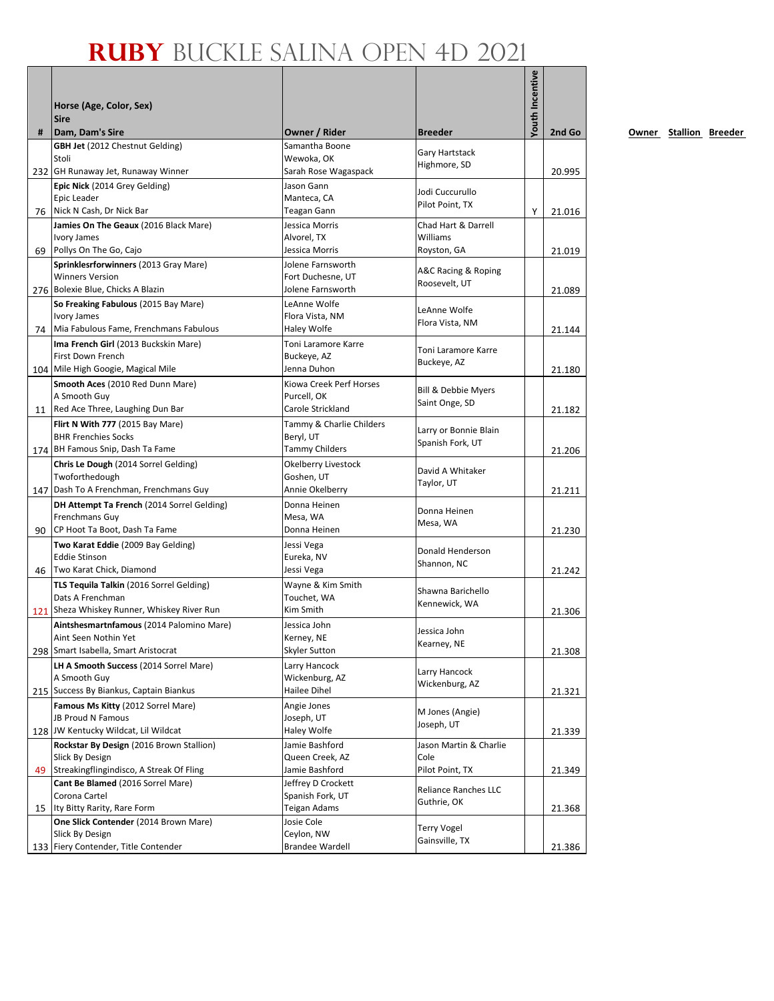| #  | Horse (Age, Color, Sex)<br><b>Sire</b><br>Dam, Dam's Sire       | Owner / Rider                          | <b>Breeder</b>                  | <b>/outh Incentive</b> | 2nd Go |
|----|-----------------------------------------------------------------|----------------------------------------|---------------------------------|------------------------|--------|
|    | <b>GBH Jet</b> (2012 Chestnut Gelding)                          | Samantha Boone                         |                                 |                        |        |
|    | Stoli                                                           | Wewoka, OK                             | Gary Hartstack<br>Highmore, SD  |                        |        |
|    | 232 GH Runaway Jet, Runaway Winner                              | Sarah Rose Wagaspack                   |                                 |                        | 20.995 |
|    | Epic Nick (2014 Grey Gelding)                                   | Jason Gann                             | Jodi Cuccurullo                 |                        |        |
|    | Epic Leader                                                     | Manteca, CA                            | Pilot Point, TX                 |                        |        |
|    | 76 Nick N Cash, Dr Nick Bar                                     | Teagan Gann                            |                                 | Y                      | 21.016 |
|    | Jamies On The Geaux (2016 Black Mare)<br><b>Ivory James</b>     | Jessica Morris<br>Alvorel, TX          | Chad Hart & Darrell<br>Williams |                        |        |
| 69 | Pollys On The Go, Cajo                                          | Jessica Morris                         | Royston, GA                     |                        | 21.019 |
|    | Sprinklesrforwinners (2013 Gray Mare)                           | Jolene Farnsworth                      |                                 |                        |        |
|    | <b>Winners Version</b>                                          | Fort Duchesne, UT                      | A&C Racing & Roping             |                        |        |
|    | 276 Bolexie Blue, Chicks A Blazin                               | Jolene Farnsworth                      | Roosevelt, UT                   |                        | 21.089 |
|    | So Freaking Fabulous (2015 Bay Mare)                            | LeAnne Wolfe                           | LeAnne Wolfe                    |                        |        |
|    | <b>Ivory James</b>                                              | Flora Vista, NM                        | Flora Vista, NM                 |                        |        |
|    | 74   Mia Fabulous Fame, Frenchmans Fabulous                     | Haley Wolfe                            |                                 |                        | 21.144 |
|    | Ima French Girl (2013 Buckskin Mare)                            | Toni Laramore Karre                    | Toni Laramore Karre             |                        |        |
|    | First Down French                                               | Buckeye, AZ                            | Buckeye, AZ                     |                        |        |
|    | 104 Mile High Googie, Magical Mile                              | Jenna Duhon                            |                                 |                        | 21.180 |
|    | Smooth Aces (2010 Red Dunn Mare)<br>A Smooth Guy                | Kiowa Creek Perf Horses<br>Purcell, OK | Bill & Debbie Myers             |                        |        |
|    | 11 Red Ace Three, Laughing Dun Bar                              | Carole Strickland                      | Saint Onge, SD                  |                        | 21.182 |
|    | Flirt N With 777 (2015 Bay Mare)                                | Tammy & Charlie Childers               |                                 |                        |        |
|    | <b>BHR Frenchies Socks</b>                                      | Beryl, UT                              | Larry or Bonnie Blain           |                        |        |
|    | 174 BH Famous Snip, Dash Ta Fame                                | <b>Tammy Childers</b>                  | Spanish Fork, UT                |                        | 21.206 |
|    | Chris Le Dough (2014 Sorrel Gelding)                            | Okelberry Livestock                    |                                 |                        |        |
|    | Twoforthedough                                                  | Goshen, UT                             | David A Whitaker                |                        |        |
|    | 147 Dash To A Frenchman, Frenchmans Guy                         | Annie Okelberry                        | Taylor, UT                      |                        | 21.211 |
|    | DH Attempt Ta French (2014 Sorrel Gelding)                      | Donna Heinen                           | Donna Heinen                    |                        |        |
|    | Frenchmans Guy                                                  | Mesa, WA                               | Mesa, WA                        |                        |        |
| 90 | CP Hoot Ta Boot, Dash Ta Fame                                   | Donna Heinen                           |                                 |                        | 21.230 |
|    | Two Karat Eddie (2009 Bay Gelding)                              | Jessi Vega                             | Donald Henderson                |                        |        |
|    | <b>Eddie Stinson</b>                                            | Eureka, NV                             | Shannon, NC                     |                        |        |
|    | 46   Two Karat Chick, Diamond                                   | Jessi Vega                             |                                 |                        | 21.242 |
|    | TLS Tequila Talkin (2016 Sorrel Gelding)                        | Wayne & Kim Smith                      | Shawna Barichello               |                        |        |
|    | Dats A Frenchman<br>121 Sheza Whiskey Runner, Whiskey River Run | Touchet, WA<br>Kim Smith               | Kennewick, WA                   |                        | 21.306 |
|    | Aintshesmartnfamous (2014 Palomino Mare)                        | Jessica John                           |                                 |                        |        |
|    | Aint Seen Nothin Yet                                            | Kerney, NE                             | Jessica John                    |                        |        |
|    | 298 Smart Isabella, Smart Aristocrat                            | Skyler Sutton                          | Kearney, NE                     |                        | 21.308 |
|    | LH A Smooth Success (2014 Sorrel Mare)                          | Larry Hancock                          |                                 |                        |        |
|    | A Smooth Guy                                                    | Wickenburg, AZ                         | Larry Hancock                   |                        |        |
|    | 215 Success By Biankus, Captain Biankus                         | Hailee Dihel                           | Wickenburg, AZ                  |                        | 21.321 |
|    | Famous Ms Kitty (2012 Sorrel Mare)                              | Angie Jones                            | M Jones (Angie)                 |                        |        |
|    | JB Proud N Famous                                               | Joseph, UT                             | Joseph, UT                      |                        |        |
|    | 128 JW Kentucky Wildcat, Lil Wildcat                            | Haley Wolfe                            |                                 |                        | 21.339 |
|    | Rockstar By Design (2016 Brown Stallion)                        | Jamie Bashford                         | Jason Martin & Charlie          |                        |        |
| 49 | Slick By Design<br>Streakingflingindisco, A Streak Of Fling     | Queen Creek, AZ<br>Jamie Bashford      | Cole<br>Pilot Point, TX         |                        | 21.349 |
|    | Cant Be Blamed (2016 Sorrel Mare)                               | Jeffrey D Crockett                     |                                 |                        |        |
|    | Corona Cartel                                                   | Spanish Fork, UT                       | Reliance Ranches LLC            |                        |        |
|    | 15   Ity Bitty Rarity, Rare Form                                | Teigan Adams                           | Guthrie, OK                     |                        | 21.368 |
|    | One Slick Contender (2014 Brown Mare)                           | Josie Cole                             |                                 |                        |        |
|    | Slick By Design                                                 | Ceylon, NW                             | Terry Vogel<br>Gainsville, TX   |                        |        |
|    | 133 Fiery Contender, Title Contender                            | <b>Brandee Wardell</b>                 |                                 |                        | 21.386 |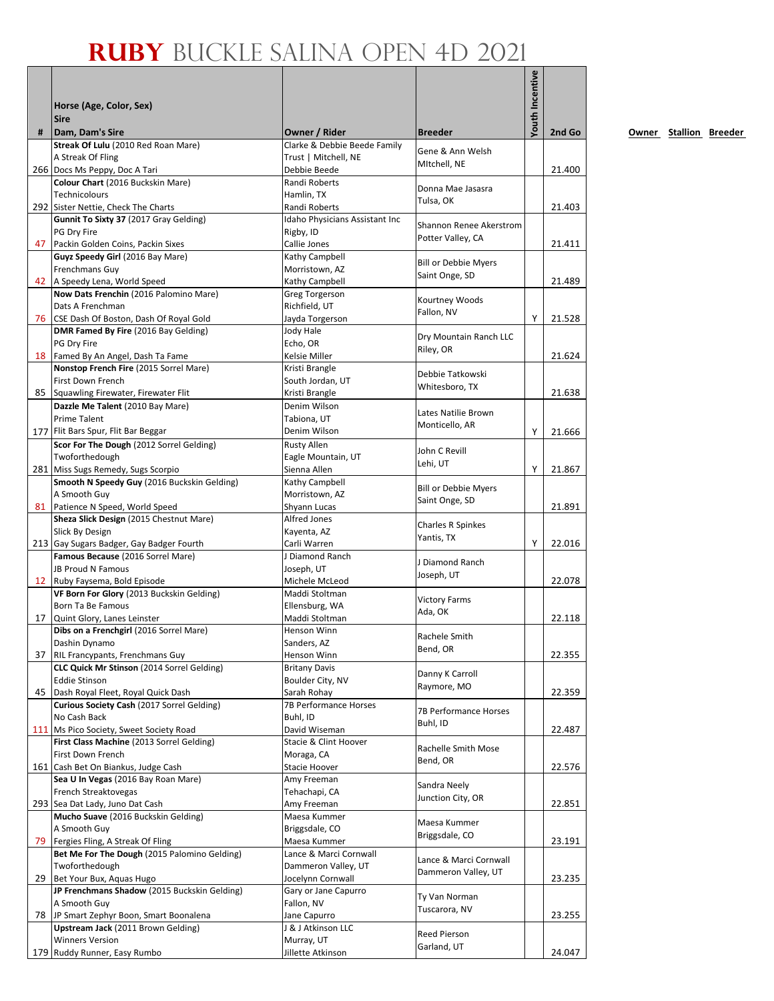|    | Horse (Age, Color, Sex)<br><b>Sire</b>                         |                                               |                                    | Youth Incentive |        |
|----|----------------------------------------------------------------|-----------------------------------------------|------------------------------------|-----------------|--------|
| #  | Dam, Dam's Sire<br>Streak Of Lulu (2010 Red Roan Mare)         | Owner / Rider<br>Clarke & Debbie Beede Family | <b>Breeder</b>                     |                 | 2nd Go |
|    | A Streak Of Fling                                              | Trust   Mitchell, NE                          | Gene & Ann Welsh                   |                 |        |
|    | 266 Docs Ms Peppy, Doc A Tari                                  | Debbie Beede                                  | MItchell, NE                       |                 | 21.400 |
|    | Colour Chart (2016 Buckskin Mare)                              | Randi Roberts                                 | Donna Mae Jasasra                  |                 |        |
|    | Technicolours<br>292 Sister Nettie, Check The Charts           | Hamlin, TX<br>Randi Roberts                   | Tulsa, OK                          |                 | 21.403 |
|    | Gunnit To Sixty 37 (2017 Gray Gelding)                         | <b>Idaho Physicians Assistant Inc</b>         |                                    |                 |        |
|    | PG Dry Fire                                                    | Rigby, ID                                     | Shannon Renee Akerstrom            |                 |        |
|    | 47 Packin Golden Coins, Packin Sixes                           | Callie Jones                                  | Potter Valley, CA                  |                 | 21.411 |
|    | Guyz Speedy Girl (2016 Bay Mare)                               | Kathy Campbell                                | <b>Bill or Debbie Myers</b>        |                 |        |
| 42 | Frenchmans Guy<br>A Speedy Lena, World Speed                   | Morristown, AZ<br>Kathy Campbell              | Saint Onge, SD                     |                 | 21.489 |
|    | Now Dats Frenchin (2016 Palomino Mare)                         | <b>Greg Torgerson</b>                         |                                    |                 |        |
|    | Dats A Frenchman                                               | Richfield, UT                                 | Kourtney Woods<br>Fallon, NV       |                 |        |
|    | 76 CSE Dash Of Boston, Dash Of Royal Gold                      | Jayda Torgerson                               |                                    | Y               | 21.528 |
|    | DMR Famed By Fire (2016 Bay Gelding)                           | Jody Hale                                     | Dry Mountain Ranch LLC             |                 |        |
|    | PG Dry Fire<br>18 Famed By An Angel, Dash Ta Fame              | Echo, OR<br>Kelsie Miller                     | Riley, OR                          |                 | 21.624 |
|    | Nonstop French Fire (2015 Sorrel Mare)                         | Kristi Brangle                                |                                    |                 |        |
|    | First Down French                                              | South Jordan, UT                              | Debbie Tatkowski<br>Whitesboro, TX |                 |        |
| 85 | Squawling Firewater, Firewater Flit                            | Kristi Brangle                                |                                    |                 | 21.638 |
|    | Dazzle Me Talent (2010 Bay Mare)                               | Denim Wilson                                  | Lates Natilie Brown                |                 |        |
|    | <b>Prime Talent</b><br>177 Flit Bars Spur, Flit Bar Beggar     | Tabiona, UT<br>Denim Wilson                   | Monticello, AR                     | Υ               | 21.666 |
|    | Scor For The Dough (2012 Sorrel Gelding)                       | Rusty Allen                                   |                                    |                 |        |
|    | Twoforthedough                                                 | Eagle Mountain, UT                            | John C Revill                      |                 |        |
|    | 281 Miss Sugs Remedy, Sugs Scorpio                             | Sienna Allen                                  | Lehi, UT                           | Y               | 21.867 |
|    | Smooth N Speedy Guy (2016 Buckskin Gelding)                    | Kathy Campbell                                | <b>Bill or Debbie Myers</b>        |                 |        |
|    | A Smooth Guy<br>81 Patience N Speed, World Speed               | Morristown, AZ<br>Shyann Lucas                | Saint Onge, SD                     |                 | 21.891 |
|    | Sheza Slick Design (2015 Chestnut Mare)                        | Alfred Jones                                  |                                    |                 |        |
|    | Slick By Design                                                | Kayenta, AZ                                   | Charles R Spinkes                  |                 |        |
|    | 213 Gay Sugars Badger, Gay Badger Fourth                       | Carli Warren                                  | Yantis, TX                         | Y               | 22.016 |
|    | Famous Because (2016 Sorrel Mare)                              | J Diamond Ranch                               | J Diamond Ranch                    |                 |        |
|    | JB Proud N Famous<br>12 Ruby Faysema, Bold Episode             | Joseph, UT<br>Michele McLeod                  | Joseph, UT                         |                 | 22.078 |
|    | VF Born For Glory (2013 Buckskin Gelding)                      | Maddi Stoltman                                |                                    |                 |        |
|    | Born Ta Be Famous                                              | Ellensburg, WA                                | <b>Victory Farms</b><br>Ada, OK    |                 |        |
|    | 17 Quint Glory, Lanes Leinster                                 | Maddi Stoltman                                |                                    |                 | 22.118 |
|    | Dibs on a Frenchgirl (2016 Sorrel Mare)                        | Henson Winn                                   | Rachele Smith                      |                 |        |
|    | Dashin Dynamo<br>37 RIL Francypants, Frenchmans Guy            | Sanders, AZ<br>Henson Winn                    | Bend, OR                           |                 | 22.355 |
|    | CLC Quick Mr Stinson (2014 Sorrel Gelding)                     | <b>Britany Davis</b>                          |                                    |                 |        |
|    | <b>Eddie Stinson</b>                                           | Boulder City, NV                              | Danny K Carroll<br>Raymore, MO     |                 |        |
| 45 | Dash Royal Fleet, Royal Quick Dash                             | Sarah Rohay                                   |                                    |                 | 22.359 |
|    | Curious Society Cash (2017 Sorrel Gelding)<br>No Cash Back     | 7B Performance Horses<br>Buhl, ID             | 7B Performance Horses              |                 |        |
|    | 111 Ms Pico Society, Sweet Society Road                        | David Wiseman                                 | Buhl, ID                           |                 | 22.487 |
|    | First Class Machine (2013 Sorrel Gelding)                      | Stacie & Clint Hoover                         | Rachelle Smith Mose                |                 |        |
|    | First Down French                                              | Moraga, CA                                    | Bend, OR                           |                 |        |
|    | 161 Cash Bet On Biankus, Judge Cash                            | Stacie Hoover                                 |                                    |                 | 22.576 |
|    | Sea U In Vegas (2016 Bay Roan Mare)<br>French Streaktovegas    | Amy Freeman<br>Tehachapi, CA                  | Sandra Neely                       |                 |        |
|    | 293 Sea Dat Lady, Juno Dat Cash                                | Amy Freeman                                   | Junction City, OR                  |                 | 22.851 |
|    | Mucho Suave (2016 Buckskin Gelding)                            | Maesa Kummer                                  | Maesa Kummer                       |                 |        |
|    | A Smooth Guy                                                   | Briggsdale, CO                                | Briggsdale, CO                     |                 |        |
|    | 79 Fergies Fling, A Streak Of Fling                            | Maesa Kummer                                  |                                    |                 | 23.191 |
|    | Bet Me For The Dough (2015 Palomino Gelding)<br>Twoforthedough | Lance & Marci Cornwall<br>Dammeron Valley, UT | Lance & Marci Cornwall             |                 |        |
| 29 | Bet Your Bux, Aquas Hugo                                       | Jocelynn Cornwall                             | Dammeron Valley, UT                |                 | 23.235 |
|    | JP Frenchmans Shadow (2015 Buckskin Gelding)                   | Gary or Jane Capurro                          | Ty Van Norman                      |                 |        |
|    | A Smooth Guy                                                   | Fallon, NV                                    | Tuscarora, NV                      |                 |        |
|    | 78 JP Smart Zephyr Boon, Smart Boonalena                       | Jane Capurro                                  |                                    |                 | 23.255 |
|    | Upstream Jack (2011 Brown Gelding)<br><b>Winners Version</b>   | J & J Atkinson LLC<br>Murray, UT              | Reed Pierson                       |                 |        |
|    | 179 Ruddy Runner, Easy Rumbo                                   | Jillette Atkinson                             | Garland, UT                        |                 | 24.047 |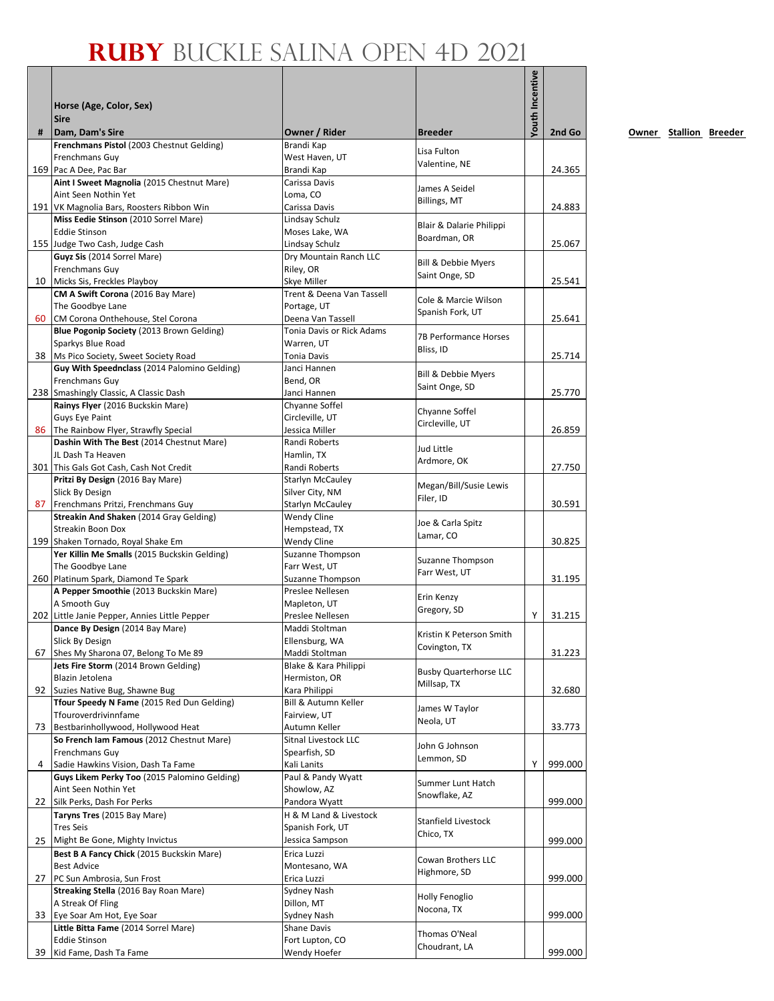|    | Horse (Age, Color, Sex)<br><b>Sire</b>                                          |                                          |                                           | Youth Incentive |         |
|----|---------------------------------------------------------------------------------|------------------------------------------|-------------------------------------------|-----------------|---------|
| #  | Dam, Dam's Sire<br>Frenchmans Pistol (2003 Chestnut Gelding)                    | Owner / Rider<br>Brandi Kap              | <b>Breeder</b>                            |                 | 2nd Go  |
|    | Frenchmans Guy                                                                  | West Haven, UT                           | Lisa Fulton                               |                 |         |
|    | 169 Pac A Dee, Pac Bar                                                          | Brandi Kap                               | Valentine, NE                             |                 | 24.365  |
|    | Aint I Sweet Magnolia (2015 Chestnut Mare)                                      | Carissa Davis                            | James A Seidel                            |                 |         |
|    | Aint Seen Nothin Yet                                                            | Loma, CO                                 | Billings, MT                              |                 |         |
|    | 191 VK Magnolia Bars, Roosters Ribbon Win                                       | Carissa Davis                            |                                           |                 | 24.883  |
|    | Miss Eedie Stinson (2010 Sorrel Mare)<br><b>Eddie Stinson</b>                   | Lindsay Schulz<br>Moses Lake, WA         | Blair & Dalarie Philippi                  |                 |         |
|    | 155 Judge Two Cash, Judge Cash                                                  | Lindsay Schulz                           | Boardman, OR                              |                 | 25.067  |
|    | Guyz Sis (2014 Sorrel Mare)                                                     | Dry Mountain Ranch LLC                   | Bill & Debbie Myers                       |                 |         |
|    | Frenchmans Guy                                                                  | Riley, OR                                | Saint Onge, SD                            |                 |         |
|    | 10 Micks Sis, Freckles Playboy                                                  | Skye Miller                              |                                           |                 | 25.541  |
|    | CM A Swift Corona (2016 Bay Mare)<br>The Goodbye Lane                           | Trent & Deena Van Tassell<br>Portage, UT | Cole & Marcie Wilson                      |                 |         |
| 60 | CM Corona Onthehouse, Stel Corona                                               | Deena Van Tassell                        | Spanish Fork, UT                          |                 | 25.641  |
|    | Blue Pogonip Society (2013 Brown Gelding)                                       | Tonia Davis or Rick Adams                |                                           |                 |         |
|    | Sparkys Blue Road                                                               | Warren, UT                               | <b>7B Performance Horses</b><br>Bliss, ID |                 |         |
|    | 38 Ms Pico Society, Sweet Society Road                                          | <b>Tonia Davis</b>                       |                                           |                 | 25.714  |
|    | Guy With Speednclass (2014 Palomino Gelding)                                    | Janci Hannen                             | Bill & Debbie Myers                       |                 |         |
|    | <b>Frenchmans Guy</b><br>238 Smashingly Classic, A Classic Dash                 | Bend, OR<br>Janci Hannen                 | Saint Onge, SD                            |                 | 25.770  |
|    | Rainys Flyer (2016 Buckskin Mare)                                               | Chyanne Soffel                           |                                           |                 |         |
|    | <b>Guys Eye Paint</b>                                                           | Circleville, UT                          | Chyanne Soffel                            |                 |         |
|    | 86 The Rainbow Flyer, Strawfly Special                                          | Jessica Miller                           | Circleville, UT                           |                 | 26.859  |
|    | Dashin With The Best (2014 Chestnut Mare)                                       | Randi Roberts                            | Jud Little                                |                 |         |
|    | JL Dash Ta Heaven                                                               | Hamlin, TX                               | Ardmore, OK                               |                 |         |
|    | 301 This Gals Got Cash, Cash Not Credit                                         | Randi Roberts                            |                                           |                 | 27.750  |
|    | Pritzi By Design (2016 Bay Mare)<br>Slick By Design                             | Starlyn McCauley<br>Silver City, NM      | Megan/Bill/Susie Lewis                    |                 |         |
|    | 87 Frenchmans Pritzi, Frenchmans Guy                                            | Starlyn McCauley                         | Filer, ID                                 |                 | 30.591  |
|    | Streakin And Shaken (2014 Gray Gelding)                                         | Wendy Cline                              | Joe & Carla Spitz                         |                 |         |
|    | <b>Streakin Boon Dox</b>                                                        | Hempstead, TX                            | Lamar, CO                                 |                 |         |
|    | 199 Shaken Tornado, Royal Shake Em                                              | Wendy Cline                              |                                           |                 | 30.825  |
|    | Yer Killin Me Smalls (2015 Buckskin Gelding)<br>The Goodbye Lane                | Suzanne Thompson<br>Farr West, UT        | Suzanne Thompson                          |                 |         |
|    | 260 Platinum Spark, Diamond Te Spark                                            | Suzanne Thompson                         | Farr West, UT                             |                 | 31.195  |
|    | A Pepper Smoothie (2013 Buckskin Mare)                                          | Preslee Nellesen                         |                                           |                 |         |
|    | A Smooth Guy                                                                    | Mapleton, UT                             | Erin Kenzy                                |                 |         |
|    | 202 Little Janie Pepper, Annies Little Pepper                                   | Preslee Nellesen                         | Gregory, SD                               | Y               | 31.215  |
|    | Dance By Design (2014 Bay Mare)                                                 | Maddi Stoltman                           | Kristin K Peterson Smith                  |                 |         |
| 67 | Slick By Design                                                                 | Ellensburg, WA                           | Covington, TX                             |                 |         |
|    | Shes My Sharona 07, Belong To Me 89<br>Jets Fire Storm (2014 Brown Gelding)     | Maddi Stoltman<br>Blake & Kara Philippi  |                                           |                 | 31.223  |
|    | Blazin Jetolena                                                                 | Hermiston, OR                            | <b>Busby Quarterhorse LLC</b>             |                 |         |
|    | 92 Suzies Native Bug, Shawne Bug                                                | Kara Philippi                            | Millsap, TX                               |                 | 32.680  |
|    | Tfour Speedy N Fame (2015 Red Dun Gelding)                                      | <b>Bill &amp; Autumn Keller</b>          | James W Taylor                            |                 |         |
|    | Tfouroverdrivinnfame                                                            | Fairview, UT                             | Neola, UT                                 |                 |         |
| 73 | Bestbarinhollywood, Hollywood Heat<br>So French Iam Famous (2012 Chestnut Mare) | Autumn Keller<br>Sitnal Livestock LLC    |                                           |                 | 33.773  |
|    | <b>Frenchmans Guy</b>                                                           | Spearfish, SD                            | John G Johnson                            |                 |         |
| 4  | Sadie Hawkins Vision, Dash Ta Fame                                              | Kali Lanits                              | Lemmon, SD                                | Y               | 999.000 |
|    | Guys Likem Perky Too (2015 Palomino Gelding)                                    | Paul & Pandy Wyatt                       | Summer Lunt Hatch                         |                 |         |
|    | Aint Seen Nothin Yet                                                            | Showlow, AZ                              | Snowflake, AZ                             |                 |         |
|    | 22 Silk Perks, Dash For Perks                                                   | Pandora Wyatt                            |                                           |                 | 999.000 |
|    | Taryns Tres (2015 Bay Mare)                                                     | H & M Land & Livestock                   | Stanfield Livestock                       |                 |         |
|    | <b>Tres Seis</b><br>25 Might Be Gone, Mighty Invictus                           | Spanish Fork, UT<br>Jessica Sampson      | Chico, TX                                 |                 | 999.000 |
|    | Best B A Fancy Chick (2015 Buckskin Mare)                                       | Erica Luzzi                              |                                           |                 |         |
|    | <b>Best Advice</b>                                                              | Montesano, WA                            | Cowan Brothers LLC                        |                 |         |
| 27 | PC Sun Ambrosia, Sun Frost                                                      | Erica Luzzi                              | Highmore, SD                              |                 | 999.000 |
|    | Streaking Stella (2016 Bay Roan Mare)                                           | Sydney Nash                              | Holly Fenoglio                            |                 |         |
|    | A Streak Of Fling                                                               | Dillon, MT                               | Nocona, TX                                |                 |         |
|    | 33 Eye Soar Am Hot, Eye Soar                                                    | Sydney Nash                              |                                           |                 | 999.000 |
|    | Little Bitta Fame (2014 Sorrel Mare)<br><b>Eddie Stinson</b>                    | Shane Davis<br>Fort Lupton, CO           | Thomas O'Neal                             |                 |         |
| 39 | Kid Fame, Dash Ta Fame                                                          | Wendy Hoefer                             | Choudrant, LA                             |                 | 999.000 |
|    |                                                                                 |                                          |                                           |                 |         |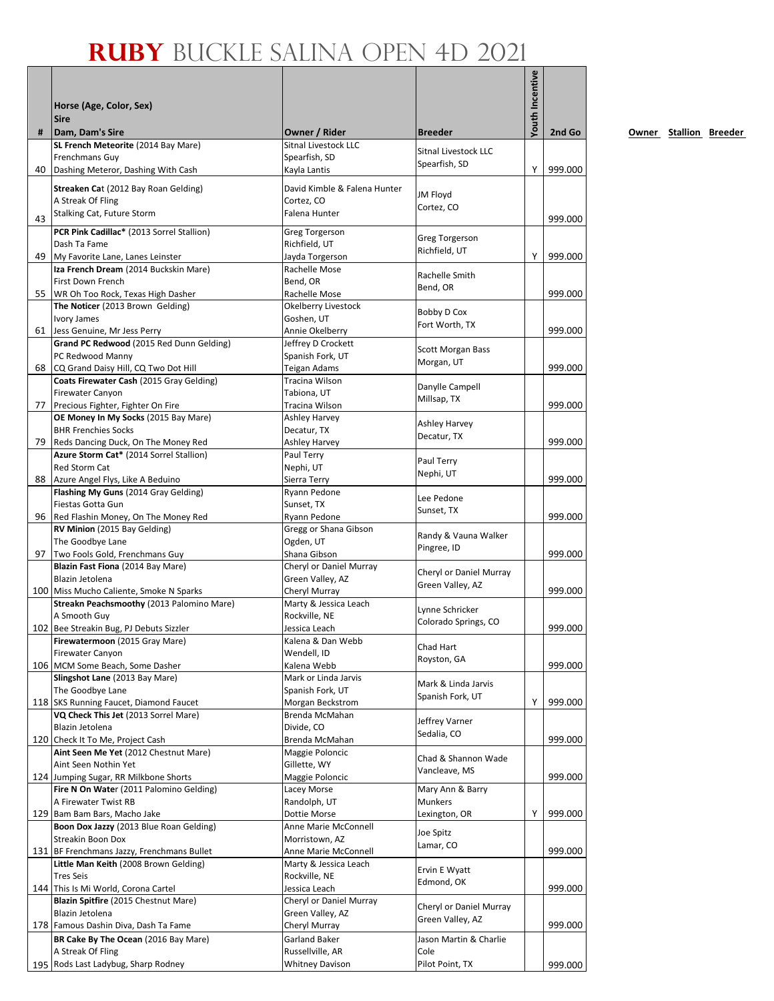|    | Horse (Age, Color, Sex)<br><b>Sire</b>                                      |                                              |                                 | Youth Incentive |         |
|----|-----------------------------------------------------------------------------|----------------------------------------------|---------------------------------|-----------------|---------|
| #  | Dam, Dam's Sire<br>SL French Meteorite (2014 Bay Mare)                      | Owner / Rider<br><b>Sitnal Livestock LLC</b> | <b>Breeder</b>                  |                 | 2nd Go  |
|    | Frenchmans Guy                                                              | Spearfish, SD                                | Sitnal Livestock LLC            |                 |         |
| 40 | Dashing Meteror, Dashing With Cash                                          | Kayla Lantis                                 | Spearfish, SD                   | Y               | 999.000 |
|    | Streaken Cat (2012 Bay Roan Gelding)                                        | David Kimble & Falena Hunter                 |                                 |                 |         |
|    | A Streak Of Fling                                                           | Cortez. CO                                   | JM Floyd                        |                 |         |
| 43 | Stalking Cat, Future Storm                                                  | Falena Hunter                                | Cortez, CO                      |                 | 999.000 |
|    | PCR Pink Cadillac* (2013 Sorrel Stallion)                                   | <b>Greg Torgerson</b>                        |                                 |                 |         |
|    | Dash Ta Fame                                                                | Richfield, UT                                | Greg Torgerson<br>Richfield, UT |                 |         |
|    | 49 My Favorite Lane, Lanes Leinster                                         | Jayda Torgerson                              |                                 | Y               | 999.000 |
|    | Iza French Dream (2014 Buckskin Mare)<br>First Down French                  | Rachelle Mose<br>Bend, OR                    | Rachelle Smith                  |                 |         |
|    | 55 WR Oh Too Rock, Texas High Dasher                                        | Rachelle Mose                                | Bend, OR                        |                 | 999.000 |
|    | The Noticer (2013 Brown Gelding)                                            | Okelberry Livestock                          | Bobby D Cox                     |                 |         |
|    | Ivory James                                                                 | Goshen, UT                                   | Fort Worth, TX                  |                 |         |
|    | 61 Jess Genuine, Mr Jess Perry                                              | Annie Okelberry                              |                                 |                 | 999.000 |
|    | Grand PC Redwood (2015 Red Dunn Gelding)<br>PC Redwood Manny                | Jeffrey D Crockett<br>Spanish Fork, UT       | Scott Morgan Bass               |                 |         |
|    | 68 CQ Grand Daisy Hill, CQ Two Dot Hill                                     | Teigan Adams                                 | Morgan, UT                      |                 | 999.000 |
|    | Coats Firewater Cash (2015 Gray Gelding)                                    | Tracina Wilson                               | Danylle Campell                 |                 |         |
|    | <b>Firewater Canyon</b>                                                     | Tabiona, UT                                  | Millsap, TX                     |                 |         |
|    | 77 Precious Fighter, Fighter On Fire                                        | Tracina Wilson                               |                                 |                 | 999.000 |
|    | OE Money In My Socks (2015 Bay Mare)<br><b>BHR Frenchies Socks</b>          | Ashley Harvey<br>Decatur, TX                 | <b>Ashley Harvey</b>            |                 |         |
| 79 | Reds Dancing Duck, On The Money Red                                         | <b>Ashley Harvey</b>                         | Decatur, TX                     |                 | 999.000 |
|    | Azure Storm Cat* (2014 Sorrel Stallion)                                     | Paul Terry                                   | Paul Terry                      |                 |         |
|    | Red Storm Cat                                                               | Nephi, UT                                    | Nephi, UT                       |                 |         |
|    | 88 Azure Angel Flys, Like A Beduino<br>Flashing My Guns (2014 Gray Gelding) | Sierra Terry<br>Ryann Pedone                 |                                 |                 | 999.000 |
|    | Fiestas Gotta Gun                                                           | Sunset, TX                                   | Lee Pedone                      |                 |         |
|    | 96 Red Flashin Money, On The Money Red                                      | Ryann Pedone                                 | Sunset, TX                      |                 | 999.000 |
|    | RV Minion (2015 Bay Gelding)                                                | Gregg or Shana Gibson                        | Randy & Vauna Walker            |                 |         |
|    | The Goodbye Lane                                                            | Ogden, UT                                    | Pingree, ID                     |                 |         |
| 97 | Two Fools Gold, Frenchmans Guy<br>Blazin Fast Fiona (2014 Bay Mare)         | Shana Gibson<br>Cheryl or Daniel Murray      |                                 |                 | 999.000 |
|    | Blazin Jetolena                                                             | Green Valley, AZ                             | Cheryl or Daniel Murray         |                 |         |
|    | 100 Miss Mucho Caliente, Smoke N Sparks                                     | Cheryl Murray                                | Green Valley, AZ                |                 | 999.000 |
|    | Streakn Peachsmoothy (2013 Palomino Mare)                                   | Marty & Jessica Leach                        | Lynne Schricker                 |                 |         |
|    | A Smooth Guy<br>102 Bee Streakin Bug, PJ Debuts Sizzler                     | Rockville, NE<br>Jessica Leach               | Colorado Springs, CO            |                 | 999.000 |
|    | <b>Firewatermoon</b> (2015 Gray Mare)                                       | Kalena & Dan Webb                            |                                 |                 |         |
|    | <b>Firewater Canyon</b>                                                     | Wendell, ID                                  | Chad Hart                       |                 |         |
|    | 106 MCM Some Beach, Some Dasher                                             | Kalena Webb                                  | Royston, GA                     |                 | 999.000 |
|    | Slingshot Lane (2013 Bay Mare)                                              | Mark or Linda Jarvis                         | Mark & Linda Jarvis             |                 |         |
|    | The Goodbye Lane<br>118 SKS Running Faucet, Diamond Faucet                  | Spanish Fork, UT<br>Morgan Beckstrom         | Spanish Fork, UT                | Υ               | 999.000 |
|    | VQ Check This Jet (2013 Sorrel Mare)                                        | Brenda McMahan                               |                                 |                 |         |
|    | Blazin Jetolena                                                             | Divide, CO                                   | Jeffrey Varner<br>Sedalia, CO   |                 |         |
|    | 120 Check It To Me, Project Cash                                            | Brenda McMahan                               |                                 |                 | 999.000 |
|    | Aint Seen Me Yet (2012 Chestnut Mare)<br>Aint Seen Nothin Yet               | Maggie Poloncic<br>Gillette, WY              | Chad & Shannon Wade             |                 |         |
|    | 124 Jumping Sugar, RR Milkbone Shorts                                       | Maggie Poloncic                              | Vancleave, MS                   |                 | 999.000 |
|    | Fire N On Water (2011 Palomino Gelding)                                     | Lacey Morse                                  | Mary Ann & Barry                |                 |         |
|    | A Firewater Twist RB                                                        | Randolph, UT                                 | <b>Munkers</b>                  |                 |         |
|    | 129 Bam Bam Bars, Macho Jake                                                | Dottie Morse                                 | Lexington, OR                   | Υ               | 999.000 |
|    | Boon Dox Jazzy (2013 Blue Roan Gelding)<br><b>Streakin Boon Dox</b>         | Anne Marie McConnell<br>Morristown, AZ       | Joe Spitz                       |                 |         |
|    | 131 BF Frenchmans Jazzy, Frenchmans Bullet                                  | Anne Marie McConnell                         | Lamar, CO                       |                 | 999.000 |
|    | Little Man Keith (2008 Brown Gelding)                                       | Marty & Jessica Leach                        | Ervin E Wyatt                   |                 |         |
|    | <b>Tres Seis</b>                                                            | Rockville, NE                                | Edmond, OK                      |                 |         |
|    | 144 This Is Mi World, Corona Cartel                                         | Jessica Leach                                |                                 |                 | 999.000 |
|    | Blazin Spitfire (2015 Chestnut Mare)<br>Blazin Jetolena                     | Cheryl or Daniel Murray<br>Green Valley, AZ  | Cheryl or Daniel Murray         |                 |         |
|    | 178 Famous Dashin Diva, Dash Ta Fame                                        | Cheryl Murray                                | Green Valley, AZ                |                 | 999.000 |
|    | BR Cake By The Ocean (2016 Bay Mare)                                        | Garland Baker                                | Jason Martin & Charlie          |                 |         |
|    | A Streak Of Fling                                                           | Russellville, AR                             | Cole                            |                 |         |
|    | 195 Rods Last Ladybug, Sharp Rodney                                         | <b>Whitney Davison</b>                       | Pilot Point, TX                 |                 | 999.000 |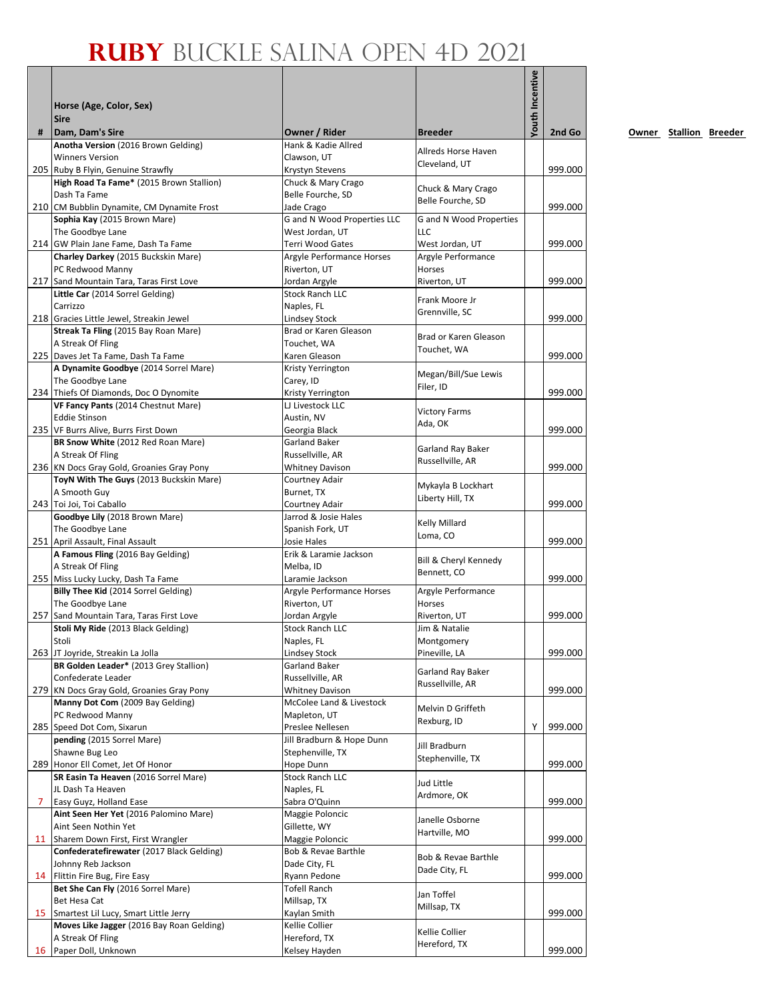|   | Horse (Age, Color, Sex)<br><b>Sire</b>                                         |                                                  |                                       | Youth Incentive |         |
|---|--------------------------------------------------------------------------------|--------------------------------------------------|---------------------------------------|-----------------|---------|
| # | Dam, Dam's Sire<br>Anotha Version (2016 Brown Gelding)                         | Owner / Rider<br>Hank & Kadie Allred             | <b>Breeder</b>                        |                 | 2nd Go  |
|   | <b>Winners Version</b>                                                         | Clawson, UT                                      | Allreds Horse Haven                   |                 |         |
|   | 205 Ruby B Flyin, Genuine Strawfly                                             | Krystyn Stevens                                  | Cleveland, UT                         |                 | 999.000 |
|   | High Road Ta Fame* (2015 Brown Stallion)                                       | Chuck & Mary Crago                               | Chuck & Mary Crago                    |                 |         |
|   | Dash Ta Fame<br>210 CM Bubblin Dynamite, CM Dynamite Frost                     | Belle Fourche, SD                                | Belle Fourche, SD                     |                 | 999.000 |
|   | Sophia Kay (2015 Brown Mare)                                                   | Jade Crago<br><b>G</b> and N Wood Properties LLC | G and N Wood Properties               |                 |         |
|   | The Goodbye Lane                                                               | West Jordan, UT                                  | <b>LLC</b>                            |                 |         |
|   | 214 GW Plain Jane Fame, Dash Ta Fame                                           | Terri Wood Gates                                 | West Jordan, UT                       |                 | 999.000 |
|   | Charley Darkey (2015 Buckskin Mare)                                            | Argyle Performance Horses                        | Argyle Performance                    |                 |         |
|   | PC Redwood Manny<br>217 Sand Mountain Tara, Taras First Love                   | Riverton, UT<br>Jordan Argyle                    | Horses<br>Riverton, UT                |                 | 999.000 |
|   | Little Car (2014 Sorrel Gelding)                                               | <b>Stock Ranch LLC</b>                           |                                       |                 |         |
|   | Carrizzo                                                                       | Naples, FL                                       | Frank Moore Jr<br>Grennville, SC      |                 |         |
|   | 218 Gracies Little Jewel, Streakin Jewel                                       | Lindsey Stock                                    |                                       |                 | 999.000 |
|   | Streak Ta Fling (2015 Bay Roan Mare)<br>A Streak Of Fling                      | Brad or Karen Gleason<br>Touchet, WA             | Brad or Karen Gleason                 |                 |         |
|   | 225 Daves Jet Ta Fame, Dash Ta Fame                                            | Karen Gleason                                    | Touchet, WA                           |                 | 999.000 |
|   | A Dynamite Goodbye (2014 Sorrel Mare)                                          | Kristy Yerrington                                |                                       |                 |         |
|   | The Goodbye Lane                                                               | Carey, ID                                        | Megan/Bill/Sue Lewis<br>Filer, ID     |                 |         |
|   | 234 Thiefs Of Diamonds, Doc O Dynomite                                         | Kristy Yerrington                                |                                       |                 | 999.000 |
|   | VF Fancy Pants (2014 Chestnut Mare)<br><b>Eddie Stinson</b>                    | LJ Livestock LLC<br>Austin, NV                   | <b>Victory Farms</b>                  |                 |         |
|   | 235 VF Burrs Alive, Burrs First Down                                           | Georgia Black                                    | Ada, OK                               |                 | 999.000 |
|   | BR Snow White (2012 Red Roan Mare)                                             | Garland Baker                                    |                                       |                 |         |
|   | A Streak Of Fling                                                              | Russellville, AR                                 | Garland Ray Baker<br>Russellville, AR |                 |         |
|   | 236 KN Docs Gray Gold, Groanies Gray Pony                                      | <b>Whitney Davison</b>                           |                                       |                 | 999.000 |
|   | ToyN With The Guys (2013 Buckskin Mare)<br>A Smooth Guy                        | Courtney Adair<br>Burnet, TX                     | Mykayla B Lockhart                    |                 |         |
|   | 243 Toi Joi, Toi Caballo                                                       | Courtney Adair                                   | Liberty Hill, TX                      |                 | 999.000 |
|   | Goodbye Lily (2018 Brown Mare)                                                 | Jarrod & Josie Hales                             | Kelly Millard                         |                 |         |
|   | The Goodbye Lane                                                               | Spanish Fork, UT                                 | Loma, CO                              |                 |         |
|   | 251 April Assault, Final Assault                                               | Josie Hales<br>Erik & Laramie Jackson            |                                       |                 | 999.000 |
|   | A Famous Fling (2016 Bay Gelding)<br>A Streak Of Fling                         | Melba, ID                                        | Bill & Cheryl Kennedy                 |                 |         |
|   | 255 Miss Lucky Lucky, Dash Ta Fame                                             | Laramie Jackson                                  | Bennett, CO                           |                 | 999.000 |
|   | Billy Thee Kid (2014 Sorrel Gelding)                                           | Argyle Performance Horses                        | Argyle Performance                    |                 |         |
|   | The Goodbye Lane                                                               | Riverton, UT                                     | Horses                                |                 |         |
|   | 257 Sand Mountain Tara, Taras First Love<br>Stoli My Ride (2013 Black Gelding) | Jordan Argyle<br><b>Stock Ranch LLC</b>          | Riverton, UT<br>Jim & Natalie         |                 | 999.000 |
|   | Stoli                                                                          | Naples, FL                                       | Montgomery                            |                 |         |
|   | 263 JT Joyride, Streakin La Jolla                                              | Lindsey Stock                                    | Pineville, LA                         |                 | 999.000 |
|   | BR Golden Leader* (2013 Grey Stallion)                                         | Garland Baker                                    | Garland Ray Baker                     |                 |         |
|   | Confederate Leader<br>279 KN Docs Gray Gold, Groanies Gray Pony                | Russellville, AR<br><b>Whitney Davison</b>       | Russellville, AR                      |                 | 999.000 |
|   | Manny Dot Com (2009 Bay Gelding)                                               | McColee Land & Livestock                         |                                       |                 |         |
|   | PC Redwood Manny                                                               | Mapleton, UT                                     | Melvin D Griffeth                     |                 |         |
|   | 285 Speed Dot Com, Sixarun                                                     | Preslee Nellesen                                 | Rexburg, ID                           | Y               | 999.000 |
|   | pending (2015 Sorrel Mare)                                                     | Jill Bradburn & Hope Dunn                        | Jill Bradburn                         |                 |         |
|   | Shawne Bug Leo<br>289 Honor Ell Comet, Jet Of Honor                            | Stephenville, TX<br>Hope Dunn                    | Stephenville, TX                      |                 | 999.000 |
|   | SR Easin Ta Heaven (2016 Sorrel Mare)                                          | <b>Stock Ranch LLC</b>                           |                                       |                 |         |
|   | JL Dash Ta Heaven                                                              | Naples, FL                                       | Jud Little<br>Ardmore, OK             |                 |         |
| 7 | Easy Guyz, Holland Ease                                                        | Sabra O'Quinn                                    |                                       |                 | 999.000 |
|   | Aint Seen Her Yet (2016 Palomino Mare)                                         | Maggie Poloncic                                  | Janelle Osborne                       |                 |         |
|   | Aint Seen Nothin Yet<br>11 Sharem Down First, First Wrangler                   | Gillette, WY<br>Maggie Poloncic                  | Hartville, MO                         |                 | 999.000 |
|   | Confederatefirewater (2017 Black Gelding)                                      | Bob & Revae Barthle                              |                                       |                 |         |
|   | Johnny Reb Jackson                                                             | Dade City, FL                                    | Bob & Revae Barthle<br>Dade City, FL  |                 |         |
|   | 14 Flittin Fire Bug, Fire Easy                                                 | Ryann Pedone                                     |                                       |                 | 999.000 |
|   | Bet She Can Fly (2016 Sorrel Mare)<br>Bet Hesa Cat                             | <b>Tofell Ranch</b><br>Millsap, TX               | Jan Toffel                            |                 |         |
|   | 15 Smartest Lil Lucy, Smart Little Jerry                                       | Kaylan Smith                                     | Millsap, TX                           |                 | 999.000 |
|   | Moves Like Jagger (2016 Bay Roan Gelding)                                      | Kellie Collier                                   | Kellie Collier                        |                 |         |
|   | A Streak Of Fling                                                              | Hereford, TX                                     | Hereford, TX                          |                 |         |
|   | 16 Paper Doll, Unknown                                                         | Kelsey Hayden                                    |                                       |                 | 999.000 |